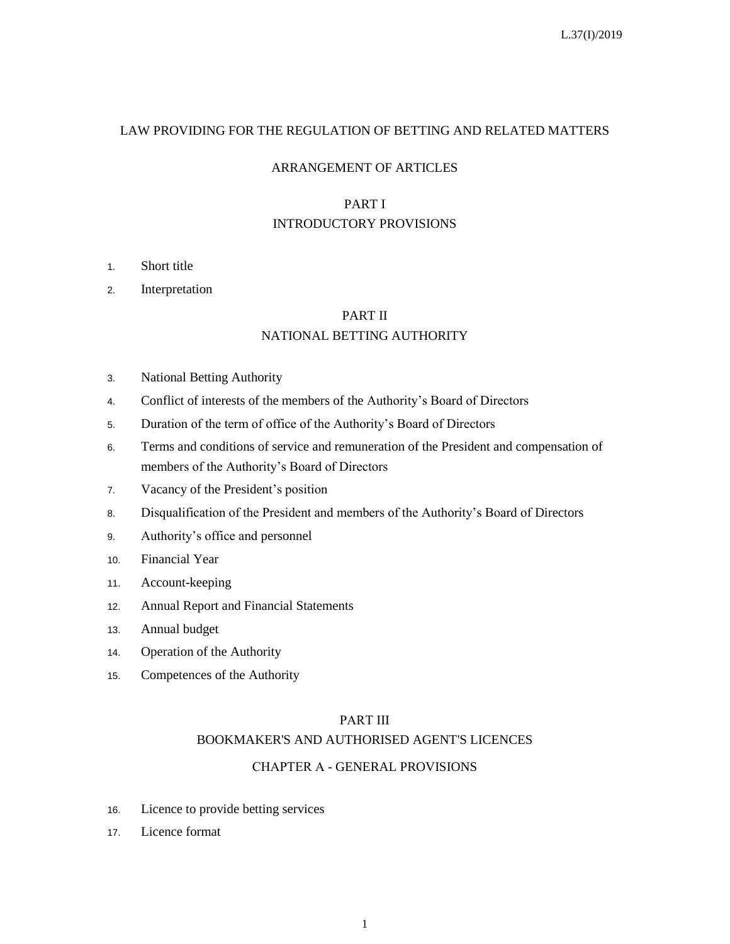## LAW PROVIDING FOR THE REGULATION OF BETTING AND RELATED MATTERS

#### ARRANGEMENT OF ARTICLES

## PART I INTRODUCTORY PROVISIONS

- 1. Short title
- 2. Interpretation

## PART II

## NATIONAL BETTING AUTHORITY

- 3. National Betting Authority
- 4. Conflict of interests of the members of the Authority's Board of Directors
- 5. Duration of the term of office of the Authority's Board of Directors
- 6. Terms and conditions of service and remuneration of the President and compensation of members of the Authority's Board of Directors
- 7. Vacancy of the President's position
- 8. Disqualification of the President and members of the Authority's Board of Directors
- 9. Authority's office and personnel
- 10. Financial Year
- 11. Account-keeping
- 12. Annual Report and Financial Statements
- 13. Annual budget
- 14. Operation of the Authority
- 15. Competences of the Authority

## PART IΙΙ

## BOOKMAKER'S AND AUTHORISED AGENT'S LICENCES

# CHAPTER Α - GENERAL PROVISIONS

- 16. Licence to provide betting services
- 17. Licence format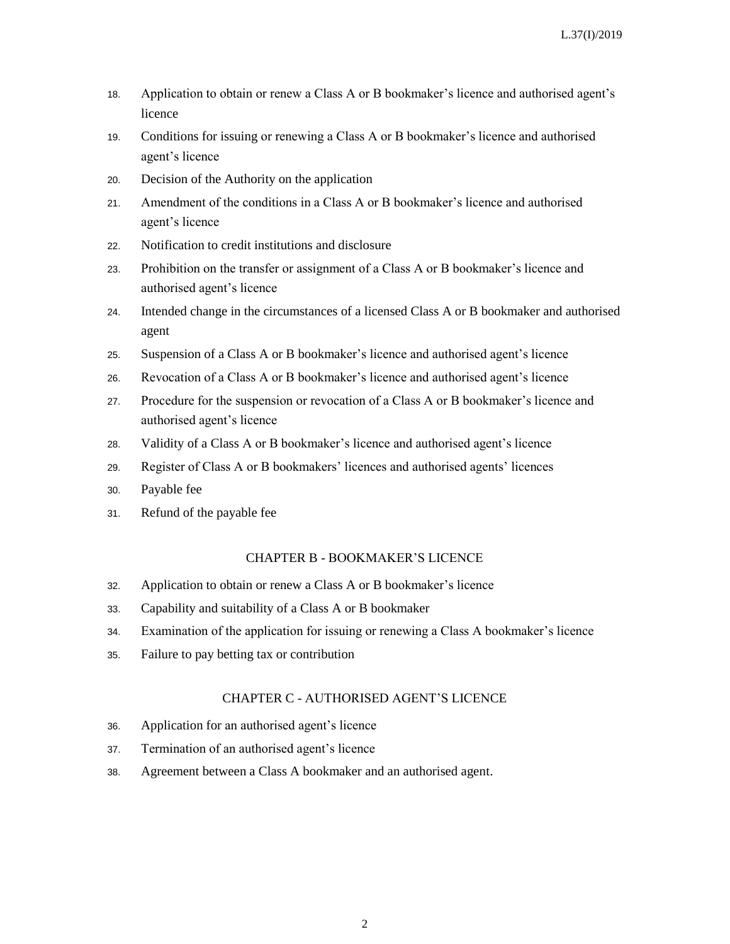- 18. Application to obtain or renew a Class A or B bookmaker's licence and authorised agent's licence
- 19. Conditions for issuing or renewing a Class A or B bookmaker's licence and authorised agent's licence
- 20. Decision of the Authority on the application
- 21. Amendment of the conditions in a Class A or B bookmaker's licence and authorised agent's licence
- 22. Notification to credit institutions and disclosure
- 23. Prohibition on the transfer or assignment of a Class A or B bookmaker's licence and authorised agent's licence
- 24. Intended change in the circumstances of a licensed Class A or B bookmaker and authorised agent
- 25. Suspension of a Class A or B bookmaker's licence and authorised agent's licence
- 26. Revocation of a Class A or B bookmaker's licence and authorised agent's licence
- 27. Procedure for the suspension or revocation of a Class A or B bookmaker's licence and authorised agent's licence
- 28. Validity of a Class A or B bookmaker's licence and authorised agent's licence
- 29. Register of Class A or B bookmakers' licences and authorised agents' licences
- 30. Payable fee
- 31. Refund of the payable fee

#### CHAPTER B - BOOKMAKER'S LICENCE

- 32. Application to obtain or renew a Class A or B bookmaker's licence
- 33. Capability and suitability of a Class A or B bookmaker
- 34. Examination of the application for issuing or renewing a Class A bookmaker's licence
- 35. Failure to pay betting tax or contribution

#### CHAPTER C - AUTHORISED AGENT'S LICENCE

- 36. Application for an authorised agent's licence
- 37. Termination of an authorised agent's licence
- 38. Agreement between a Class A bookmaker and an authorised agent.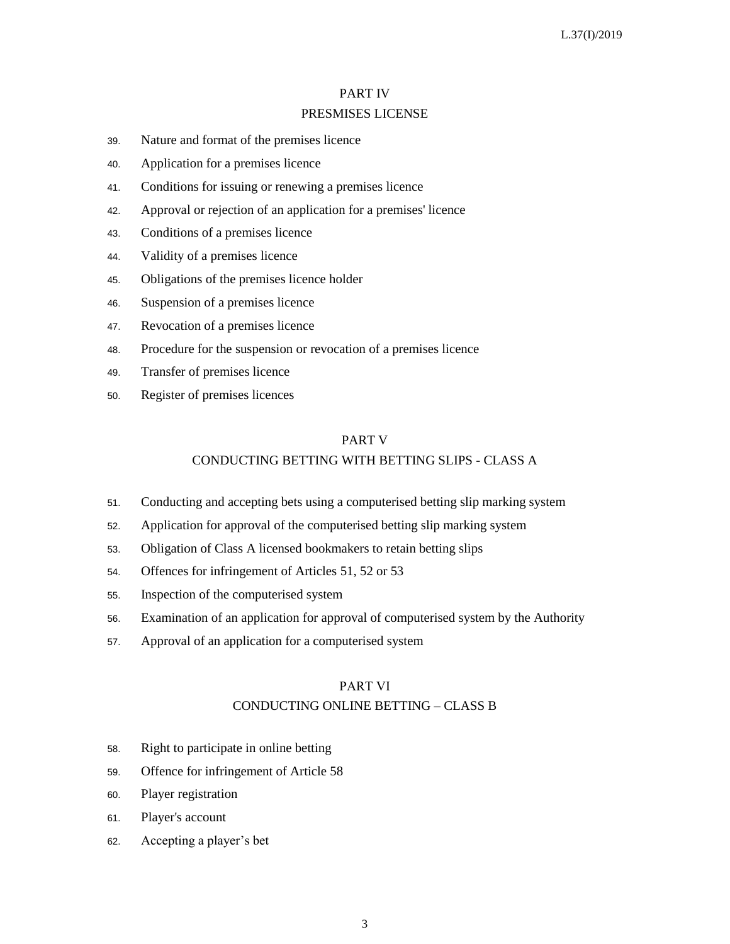## PART IV PRESMISES LICENSE

- 39. Nature and format of the premises licence
- 40. Application for a premises licence
- 41. Conditions for issuing or renewing a premises licence
- 42. Approval or rejection of an application for a premises' licence
- 43. Conditions of a premises licence
- 44. Validity of a premises licence
- 45. Obligations of the premises licence holder
- 46. Suspension of a premises licence
- 47. Revocation of a premises licence
- 48. Procedure for the suspension or revocation of a premises licence
- 49. Transfer of premises licence
- 50. Register of premises licences

## PART V CONDUCTING BETTING WITH BETTING SLIPS - CLASS A

- 51. Conducting and accepting bets using a computerised betting slip marking system
- 52. Application for approval of the computerised betting slip marking system
- 53. Obligation of Class A licensed bookmakers to retain betting slips
- 54. Offences for infringement of Articles 51, 52 or 53
- 55. Inspection of the computerised system
- 56. Examination of an application for approval of computerised system by the Authority
- 57. Approval of an application for a computerised system

#### PART VΙ

#### CONDUCTING ONLINE BETTING – CLASS B

- 58. Right to participate in online betting
- 59. Offence for infringement of Article 58
- 60. Player registration
- 61. Player's account
- 62. Accepting a player's bet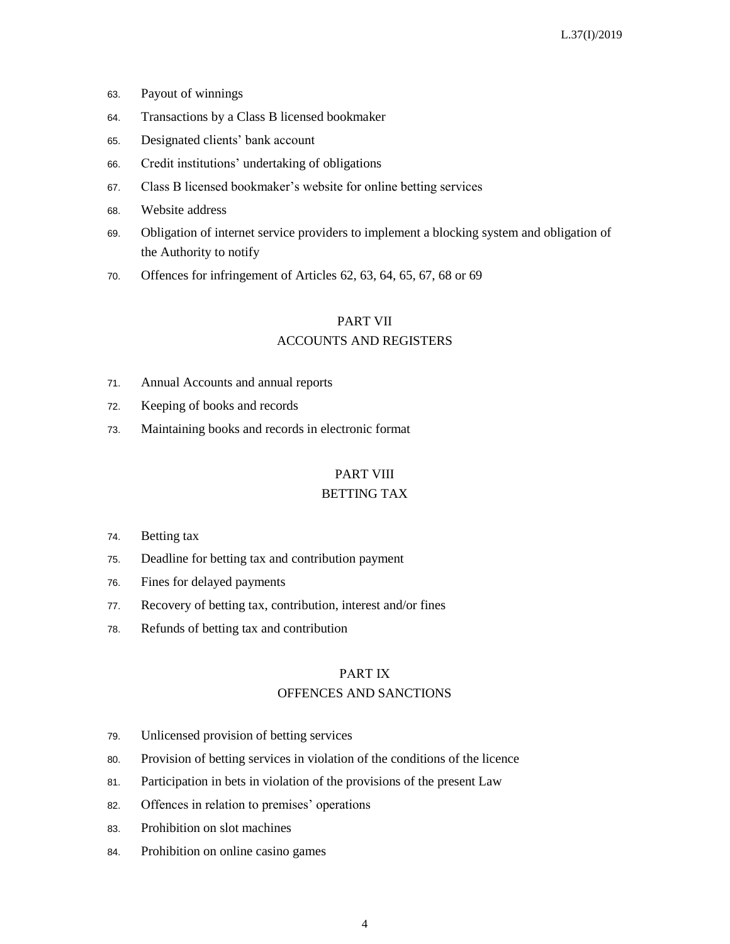- 63. Payout of winnings
- 64. Transactions by a Class B licensed bookmaker
- 65. Designated clients' bank account
- 66. Credit institutions' undertaking of obligations
- 67. Class B licensed bookmaker's website for online betting services
- 68. Website address
- 69. Obligation of internet service providers to implement a blocking system and obligation of the Authority to notify
- 70. Offences for infringement of Articles 62, 63, 64, 65, 67, 68 or 69

## PART VII ACCOUNTS AND REGISTERS

- 71. Annual Accounts and annual reports
- 72. Keeping of books and records
- 73. Maintaining books and records in electronic format

## PART VIII

## BETTING TAX

- 74. Betting tax
- 75. Deadline for betting tax and contribution payment
- 76. Fines for delayed payments
- 77. Recovery of betting tax, contribution, interest and/or fines
- 78. Refunds of betting tax and contribution

#### PART ΙX

#### OFFENCES AND SANCTIONS

- 79. Unlicensed provision of betting services
- 80. Provision of betting services in violation of the conditions of the licence
- 81. Participation in bets in violation of the provisions of the present Law
- 82. Offences in relation to premises' operations
- 83. Prohibition on slot machines
- 84. Prohibition on online casino games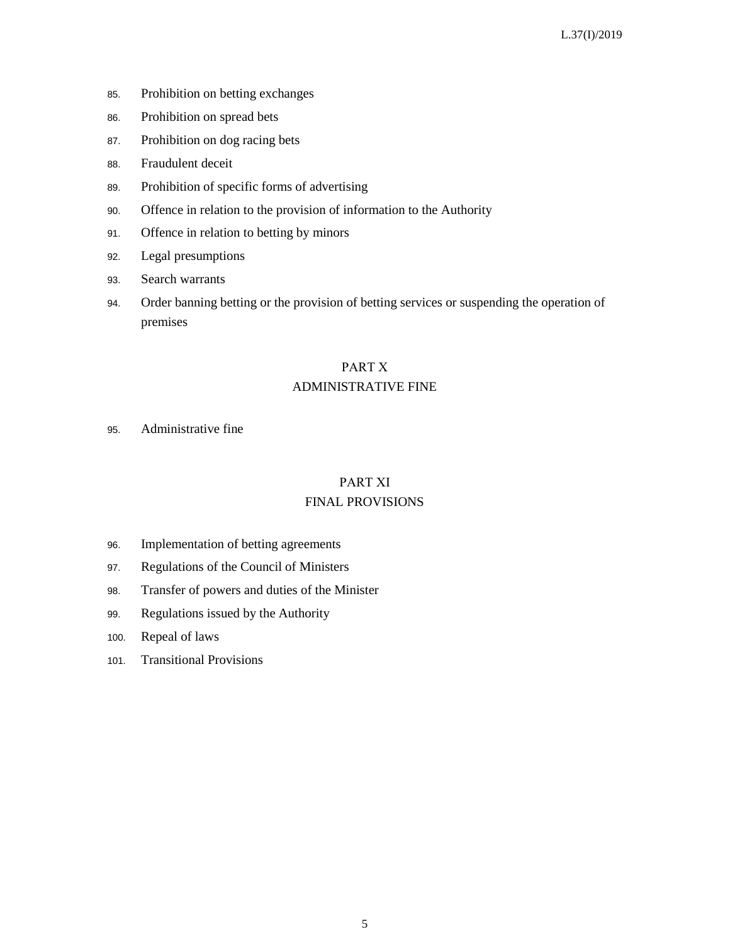- 85. Prohibition on betting exchanges
- 86. Prohibition on spread bets
- 87. Prohibition on dog racing bets
- 88. Fraudulent deceit
- 89. Prohibition of specific forms of advertising
- 90. Offence in relation to the provision of information to the Authority
- 91. Offence in relation to betting by minors
- 92. Legal presumptions
- 93. Search warrants
- 94. Order banning betting or the provision of betting services or suspending the operation of premises

# PART Χ ADMINISTRATIVE FINE

95. Administrative fine

# PART XΙ

## FINAL PROVISIONS

- 96. Implementation of betting agreements
- 97. Regulations of the Council of Ministers
- 98. Transfer of powers and duties of the Minister
- 99. Regulations issued by the Authority
- 100. Repeal of laws
- 101. Transitional Provisions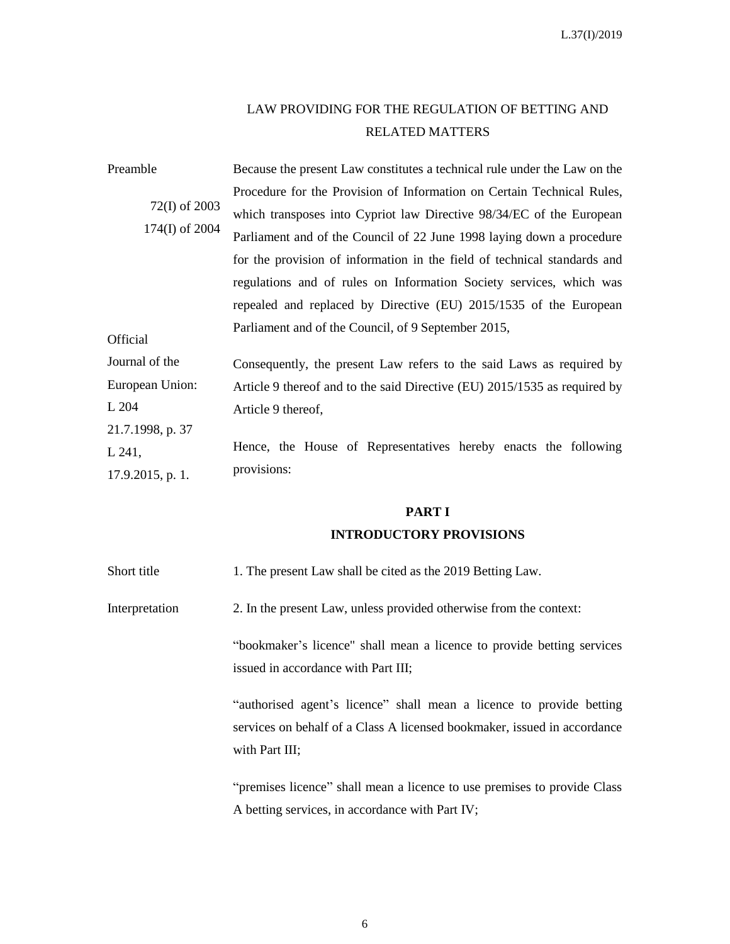# LAW PROVIDING FOR THE REGULATION OF BETTING AND RELATED MATTERS

| Preamble                        | Because the present Law constitutes a technical rule under the Law on the |
|---------------------------------|---------------------------------------------------------------------------|
|                                 | Procedure for the Provision of Information on Certain Technical Rules,    |
| 72(I) of 2003<br>174(I) of 2004 | which transposes into Cypriot law Directive 98/34/EC of the European      |
|                                 | Parliament and of the Council of 22 June 1998 laying down a procedure     |
|                                 | for the provision of information in the field of technical standards and  |
|                                 | regulations and of rules on Information Society services, which was       |
|                                 | repealed and replaced by Directive (EU) 2015/1535 of the European         |
| Official                        | Parliament and of the Council, of 9 September 2015,                       |
| Journal of the                  | Consequently, the present Law refers to the said Laws as required by      |
| European Union:                 | Article 9 thereof and to the said Directive (EU) 2015/1535 as required by |
| L 204                           | Article 9 thereof,                                                        |
| 21.7.1998, p. 37                |                                                                           |
| L 241,                          | Hence, the House of Representatives hereby enacts the following           |
| 17.9.2015, p. 1.                | provisions:                                                               |

## **PART I**

## **INTRODUCTORY PROVISIONS**

Short title 1. The present Law shall be cited as the 2019 Betting Law.

Interpretation 2. In the present Law, unless provided otherwise from the context:

"bookmaker's licence" shall mean a licence to provide betting services issued in accordance with Part III;

"authorised agent's licence" shall mean a licence to provide betting services on behalf of a Class A licensed bookmaker, issued in accordance with Part III;

"premises licence" shall mean a licence to use premises to provide Class A betting services, in accordance with Part IV;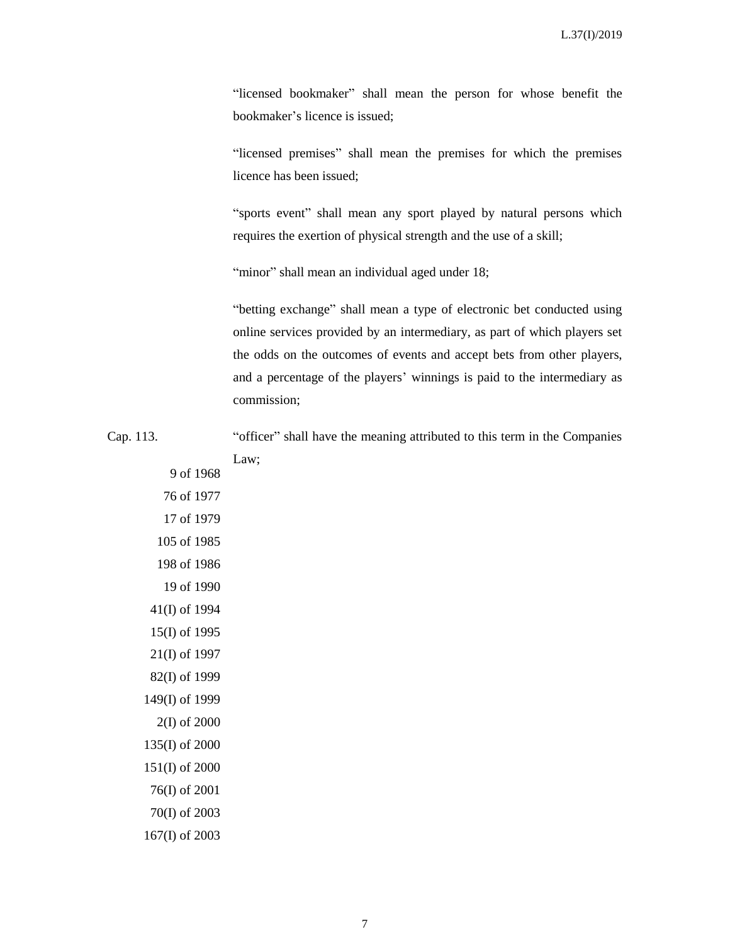"licensed bookmaker" shall mean the person for whose benefit the bookmaker's licence is issued;

"licensed premises" shall mean the premises for which the premises licence has been issued;

"sports event" shall mean any sport played by natural persons which requires the exertion of physical strength and the use of a skill;

"minor" shall mean an individual aged under 18;

"betting exchange" shall mean a type of electronic bet conducted using online services provided by an intermediary, as part of which players set the odds on the outcomes of events and accept bets from other players, and a percentage of the players' winnings is paid to the intermediary as commission;

Cap. 113. "officer" shall have the meaning attributed to this term in the Companies Law;

9 of 1968 76 of 1977 17 of 1979 105 of 1985 198 of 1986 19 of 1990 41(I) of 1994 15(I) of 1995 21(I) of 1997 82(I) of 1999 149(I) of 1999 2(I) of 2000 135(I) of 2000 151(I) of 2000 76(I) of 2001 70(I) of 2003 167(I) of 2003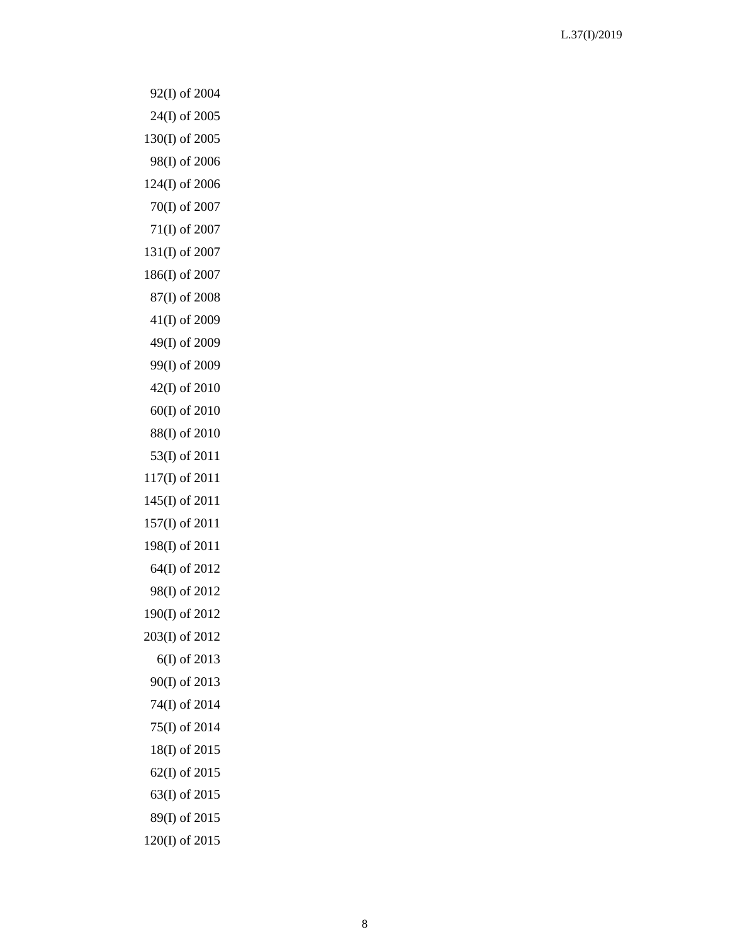92(I) of 2004 24(I) of 2005 130(I) of 2005 98(I) of 2006 124(I) of 2006 70(I) of 2007 71(I) of 2007 131(I) of 2007 186(I) of 2007 87(I) of 2008 41(I) of 2009 49(I) of 200 9 99(I) of 2009 42(I) of 2010 60(I) of 2010 88(I) of 2010 53(I) of 2011 117(I) of 2011 145(I) of 2011 157(I) of 2011 198(I) of 2011 64(I) of 2012 98(I) of 2012 190(I) of 2012 203(I) of 2012 6(I) of 2013 90(I) of 2013 74(I) of 2014 75(I) of 2014 18(I) of 2015 62(I) of 2015 63(I) of 2015 89(I) of 2015 120(I) of 2015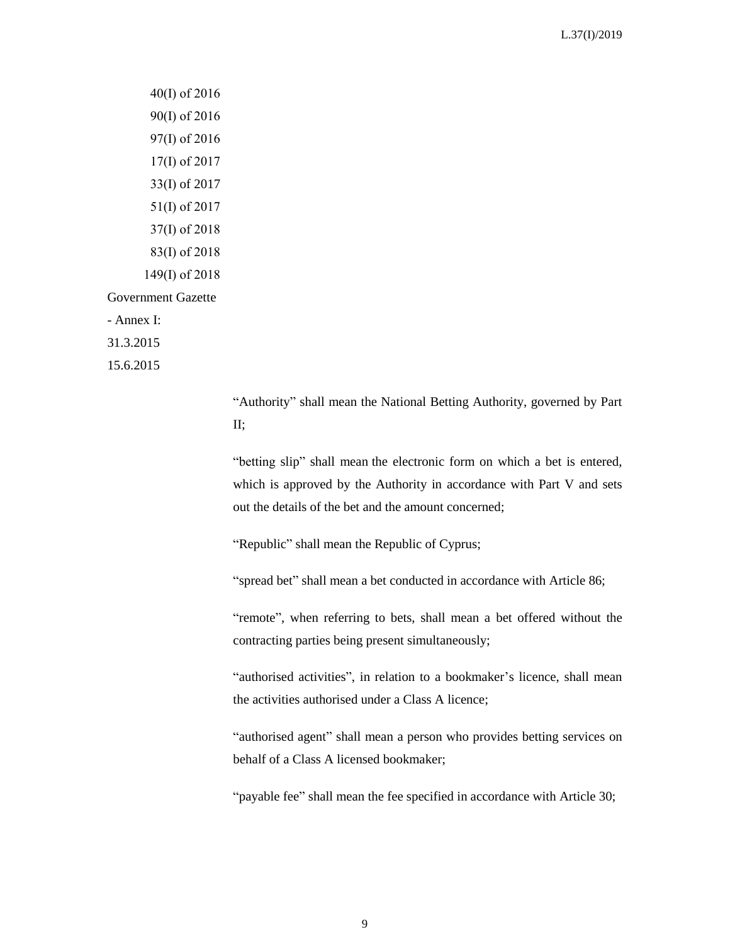40(Ι) of 2016 90(I) of 2016 97(I) of 2016 17(Ι) of 2017 33(I) of 2017 51(I) of 2017 37(I) of 2018 83(I) of 2018 149(I) of 2018 Government Gazette - Annex I: 31.3.2015

15.6.2015

"Authority" shall mean the National Betting Authority, governed by Part II;

"betting slip" shall mean the electronic form on which a bet is entered, which is approved by the Authority in accordance with Part V and sets out the details of the bet and the amount concerned;

"Republic" shall mean the Republic of Cyprus;

"spread bet" shall mean a bet conducted in accordance with Article 86;

"remote", when referring to bets, shall mean a bet offered without the contracting parties being present simultaneously;

"authorised activities", in relation to a bookmaker's licence, shall mean the activities authorised under a Class A licence;

"authorised agent" shall mean a person who provides betting services on behalf of a Class A licensed bookmaker;

"payable fee" shall mean the fee specified in accordance with Article 30;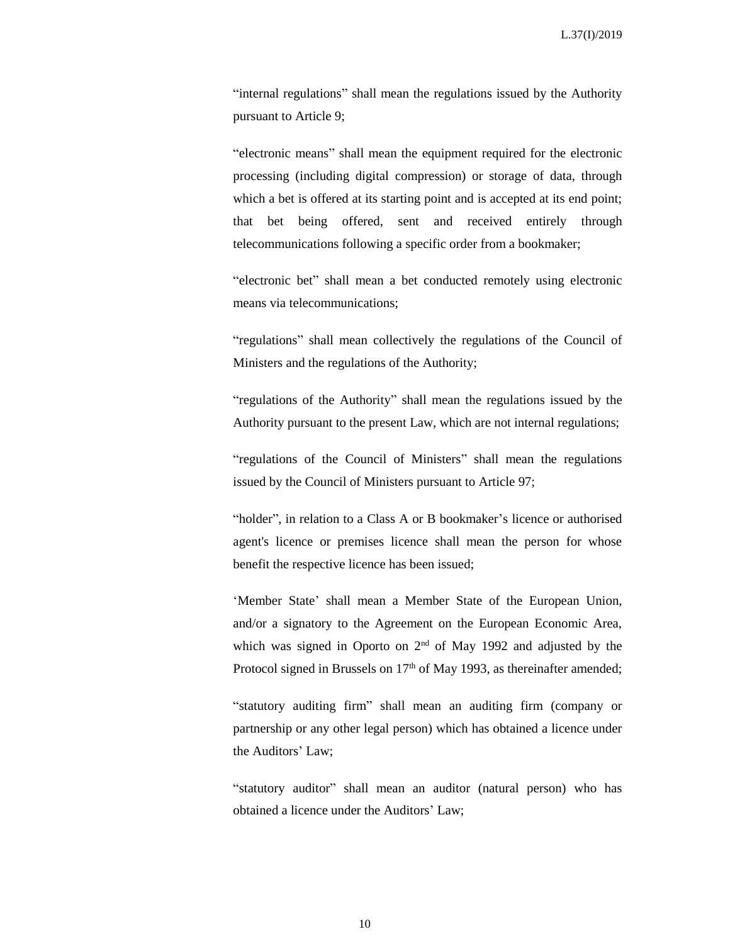"internal regulations" shall mean the regulations issued by the Authority pursuant to Article 9;

"electronic means" shall mean the equipment required for the electronic processing (including digital compression) or storage of data, through which a bet is offered at its starting point and is accepted at its end point; that bet being offered, sent and received entirely through telecommunications following a specific order from a bookmaker;

"electronic bet" shall mean a bet conducted remotely using electronic means via telecommunications;

"regulations" shall mean collectively the regulations of the Council of Ministers and the regulations of the Authority;

"regulations of the Authority" shall mean the regulations issued by the Authority pursuant to the present Law, which are not internal regulations;

"regulations of the Council of Ministers" shall mean the regulations issued by the Council of Ministers pursuant to Article 97;

"holder", in relation to a Class A or B bookmaker's licence or authorised agent's licence or premises licence shall mean the person for whose benefit the respective licence has been issued;

'Member State' shall mean a Member State of the European Union, and/or a signatory to the Agreement on the European Economic Area, which was signed in Oporto on  $2<sup>nd</sup>$  of May 1992 and adjusted by the Protocol signed in Brussels on 17<sup>th</sup> of May 1993, as thereinafter amended;

"statutory auditing firm" shall mean an auditing firm (company or partnership or any other legal person) which has obtained a licence under the Auditors' Law;

"statutory auditor" shall mean an auditor (natural person) who has obtained a licence under the Auditors' Law;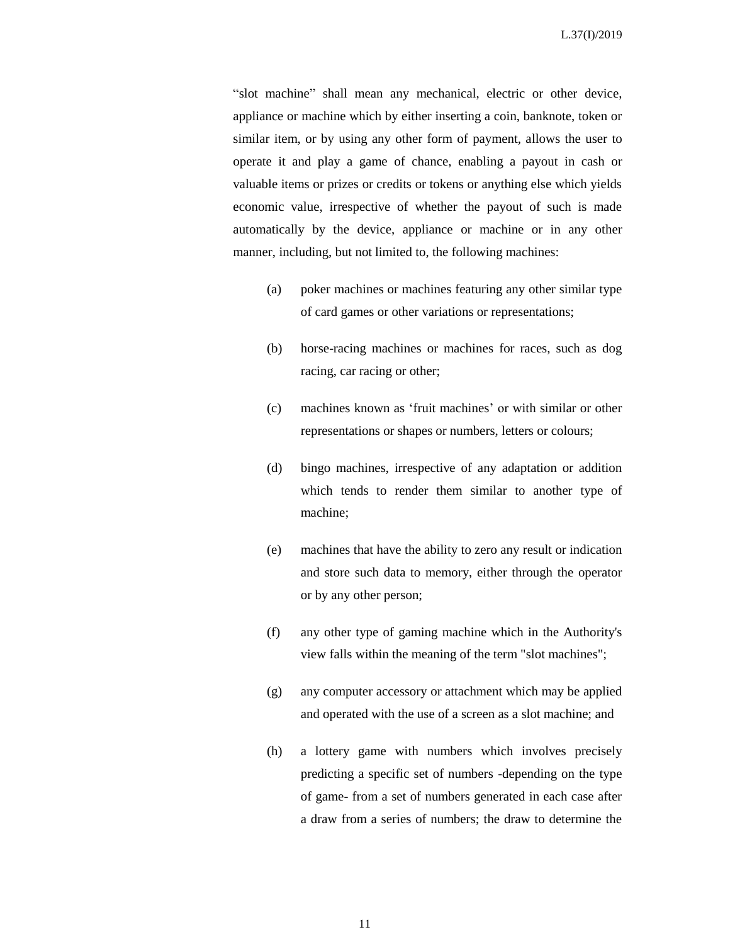"slot machine" shall mean any mechanical, electric or other device, appliance or machine which by either inserting a coin, banknote, token or similar item, or by using any other form of payment, allows the user to operate it and play a game of chance, enabling a payout in cash or valuable items or prizes or credits or tokens or anything else which yields economic value, irrespective of whether the payout of such is made automatically by the device, appliance or machine or in any other manner, including, but not limited to, the following machines:

- (a) poker machines or machines featuring any other similar type of card games or other variations or representations;
- (b) horse-racing machines or machines for races, such as dog racing, car racing or other;
- (c) machines known as 'fruit machines' or with similar or other representations or shapes or numbers, letters or colours;
- (d) bingo machines, irrespective of any adaptation or addition which tends to render them similar to another type of machine;
- (e) machines that have the ability to zero any result or indication and store such data to memory, either through the operator or by any other person;
- (f) any other type of gaming machine which in the Authority's view falls within the meaning of the term "slot machines";
- (g) any computer accessory or attachment which may be applied and operated with the use of a screen as a slot machine; and
- (h) a lottery game with numbers which involves precisely predicting a specific set of numbers -depending on the type of game- from a set of numbers generated in each case after a draw from a series of numbers; the draw to determine the

11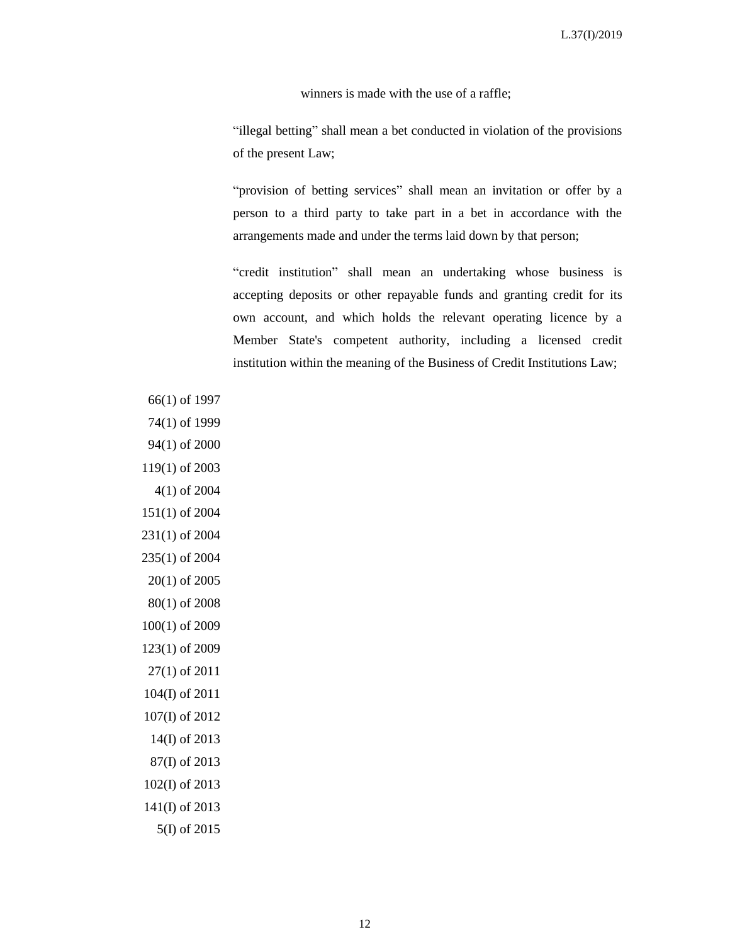winners is made with the use of a raffle;

"illegal betting" shall mean a bet conducted in violation of the provisions of the present Law;

"provision of betting services" shall mean an invitation or offer by a person to a third party to take part in a bet in accordance with the arrangements made and under the terms laid down by that person;

"credit institution" shall mean an undertaking whose business is accepting deposits or other repayable funds and granting credit for its own account, and which holds the relevant operating licence by a Member State's competent authority, including a licensed credit institution within the meaning of the Business of Credit Institutions Law;

66(1) of 1997 74(1) of 1999 94(1) of 2000 119(1) of 2003 4(1) of 2004 151(1) of 2004 231(1) of 2004 235(1) of 2004 20(1) of 2005 80(1) of 2008 100(1) of 2009 123(1) of 2009 27(1) of 2011 104(I) of 2011 107(I) of 2012 14(I) of 2013 87(I) of 2013 102(I) of 2013 141(I) of 2013 5(I) of 2015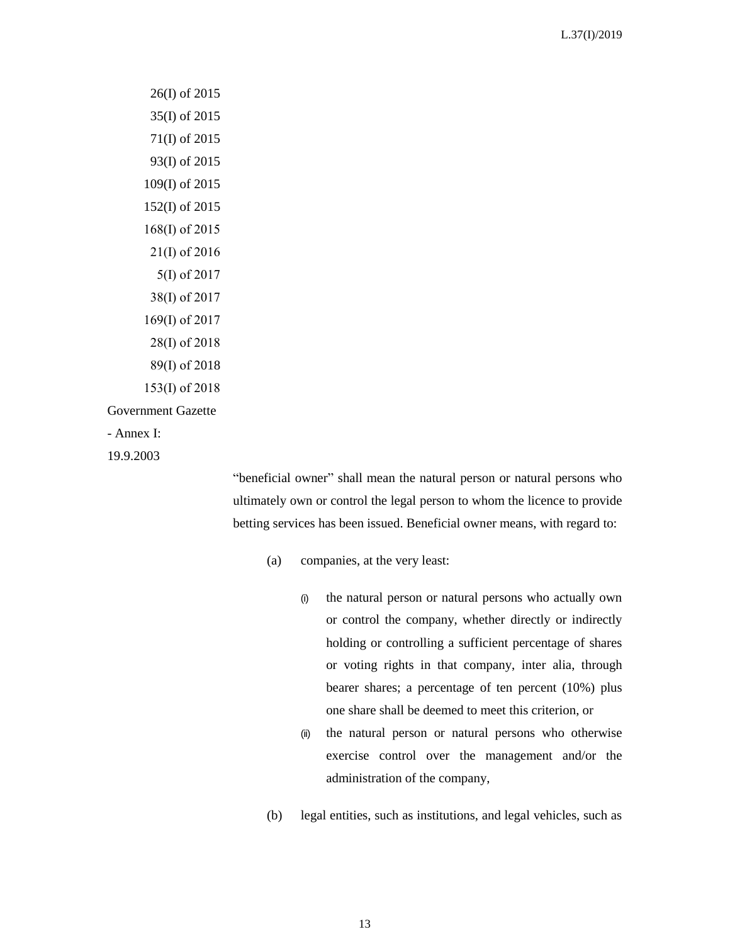26(I) of 2015 35(I) of 2015 71(I) of 2015 93(I) of 2015 109(I) of 2015 152(I) of 2015 168(I) of 2015 21(I) of 2016 5(Ι) of 2017 38(I) of 2017 169(Ι) of 2017 28(I) of 2018 89(Ι) of 2018 153(Ι) of 2018 Government Gazette - Annex I: 19.9.2003

"beneficial owner" shall mean the natural person or natural persons who ultimately own or control the legal person to whom the licence to provide betting services has been issued. Beneficial owner means, with regard to:

- (a) companies, at the very least:
	- (i) the natural person or natural persons who actually own or control the company, whether directly or indirectly holding or controlling a sufficient percentage of shares or voting rights in that company, inter alia, through bearer shares; a percentage of ten percent (10%) plus one share shall be deemed to meet this criterion, or
	- (ii) the natural person or natural persons who otherwise exercise control over the management and/or the administration of the company,
- (b) legal entities, such as institutions, and legal vehicles, such as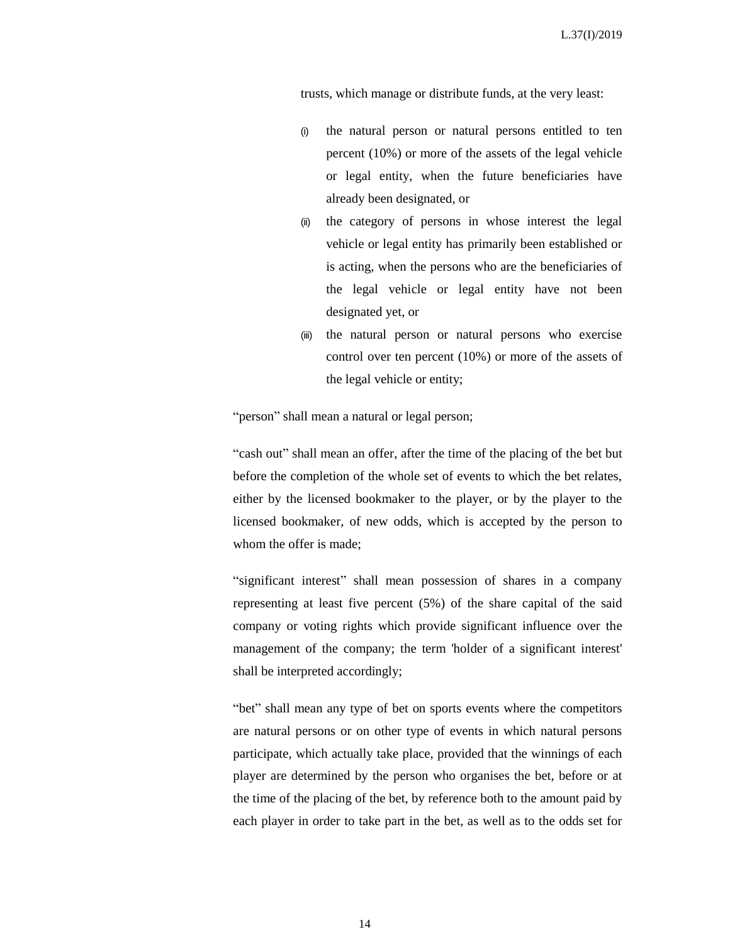trusts, which manage or distribute funds, at the very least:

- (i) the natural person or natural persons entitled to ten percent (10%) or more of the assets of the legal vehicle or legal entity, when the future beneficiaries have already been designated, or
- (ii) the category of persons in whose interest the legal vehicle or legal entity has primarily been established or is acting, when the persons who are the beneficiaries of the legal vehicle or legal entity have not been designated yet, or
- (iii) the natural person or natural persons who exercise control over ten percent (10%) or more of the assets of the legal vehicle or entity;

"person" shall mean a natural or legal person;

"cash out" shall mean an offer, after the time of the placing of the bet but before the completion of the whole set of events to which the bet relates, either by the licensed bookmaker to the player, or by the player to the licensed bookmaker, of new odds, which is accepted by the person to whom the offer is made;

"significant interest" shall mean possession of shares in a company representing at least five percent (5%) of the share capital of the said company or voting rights which provide significant influence over the management of the company; the term 'holder of a significant interest' shall be interpreted accordingly;

"bet" shall mean any type of bet on sports events where the competitors are natural persons or on other type of events in which natural persons participate, which actually take place, provided that the winnings of each player are determined by the person who organises the bet, before or at the time of the placing of the bet, by reference both to the amount paid by each player in order to take part in the bet, as well as to the odds set for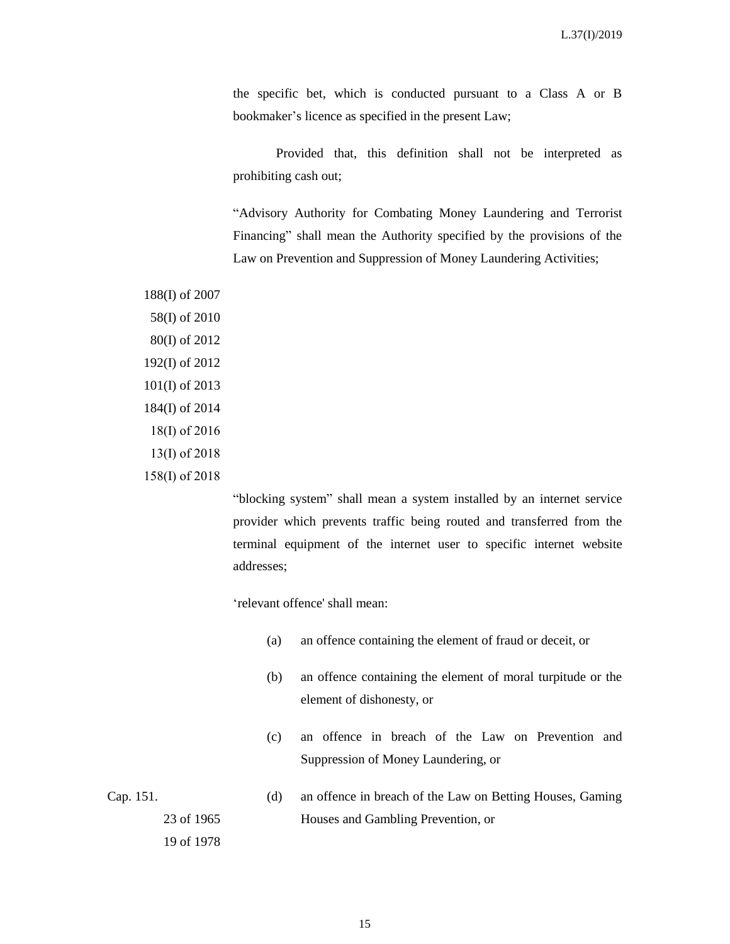the specific bet, which is conducted pursuant to a Class A or B bookmaker's licence as specified in the present Law;

Provided that, this definition shall not be interpreted as prohibiting cash out;

"Advisory Authority for Combating Money Laundering and Terrorist Financing" shall mean the Authority specified by the provisions of the Law on Prevention and Suppression of Money Laundering Activities;

188(I) of 2007 58(I) of 2010 80(I) of 2012 192(I) of 2012 101(I) of 2013 184(I) of 2014 18(I) of 2016 13(I) of 2018 158(Ι) of 2018

> "blocking system" shall mean a system installed by an internet service provider which prevents traffic being routed and transferred from the terminal equipment of the internet user to specific internet website addresses;

'relevant offence' shall mean:

- (a) an offence containing the element of fraud or deceit, or
- (b) an offence containing the element of moral turpitude or the element of dishonesty, or
- (c) an offence in breach of the Law on Prevention and Suppression of Money Laundering, or

Cap. 151. 23 of 1965 19 of 1978 (d) an offence in breach of the Law on Betting Houses, Gaming Houses and Gambling Prevention, or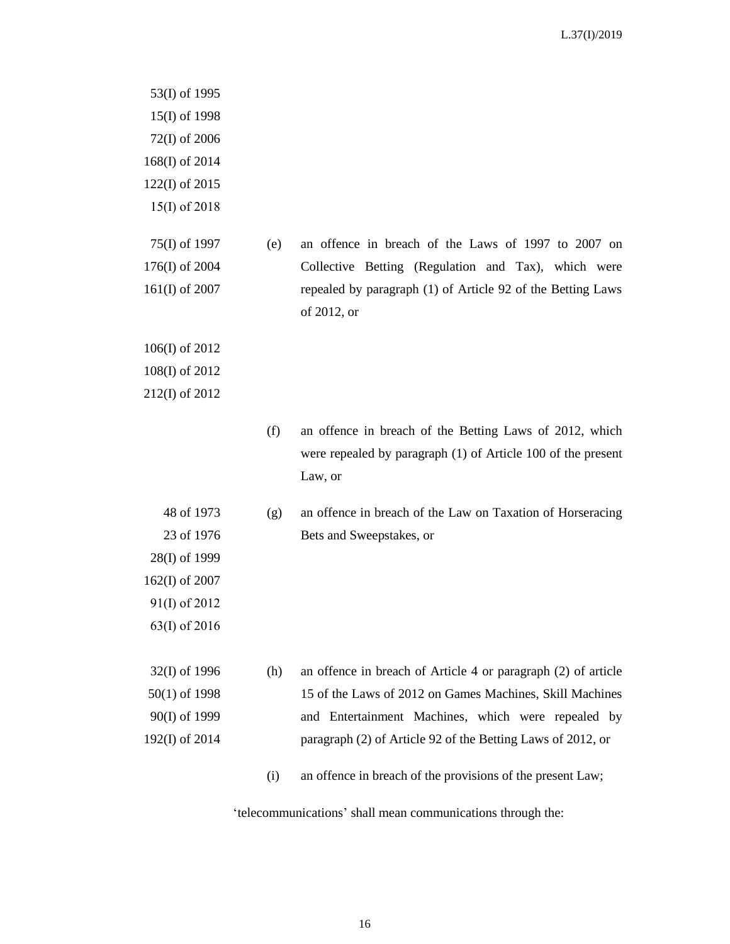53(I) of 1995 15(I) of 1998 72(I) of 2006 168(I) of 2014 122(I) of 2015 15(Ι) of 2018 75(I) of 1997 176(I) of 2004 161(I) of 2007 (e) an offence in breach of the Laws of 1997 to 2007 on Collective Betting (Regulation and Tax), which were repealed by paragraph (1) of Article 92 of the Betting Laws of 2012, or 106(I) of 2012 108(I) of 2012 212(I) of 2012 (f) an offence in breach of the Betting Laws of 2012, which were repealed by paragraph (1) of Article 100 of the present Law, or 48 of 1973 23 of 1976 28(I) of 1999 162(I) of 2007 91(I) of 2012 63(Ι) of 2016 (g) an offence in breach of the Law on Taxation of Horseracing Bets and Sweepstakes, or 32(I) of 1996 50(1) of 1998 90(I) of 1999 192(I) of 2014 (h) an offence in breach of Article 4 or paragraph (2) of article 15 of the Laws of 2012 on Games Machines, Skill Machines and Entertainment Machines, which were repealed by paragraph (2) of Article 92 of the Betting Laws of 2012, or (i) an offence in breach of the provisions of the present Law;

'telecommunications' shall mean communications through the: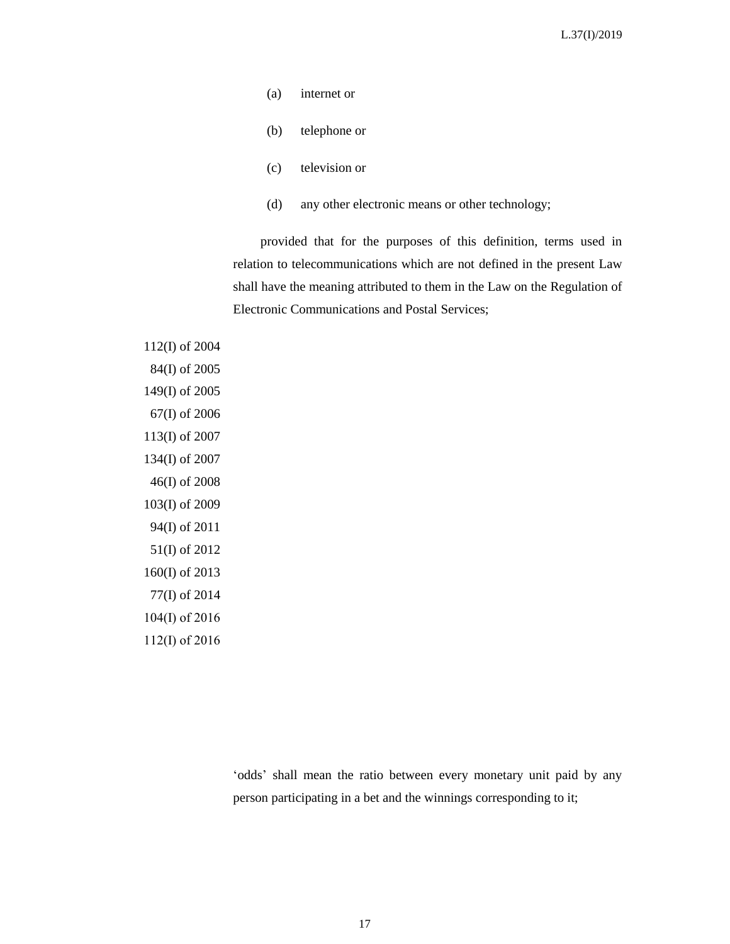- (a) internet or
- (b) telephone or
- (c) television or
- (d) any other electronic means or other technology;

provided that for the purposes of this definition, terms used in relation to telecommunications which are not defined in the present Law shall have the meaning attributed to them in the Law on the Regulation of Electronic Communications and Postal Services;

112(I) of 2004 84(I) of 2005 149(I) of 2005 67(I) of 2006 113(I) of 2007 134(I) of 2007 46(I) of 2008 103(I) of 2009 94(I) of 2011 51(I) of 2012 160(I) of 2013 77(I) of 2014 104(Ι) of 2016 112(I) of 2016

> 'odds' shall mean the ratio between every monetary unit paid by any person participating in a bet and the winnings corresponding to it;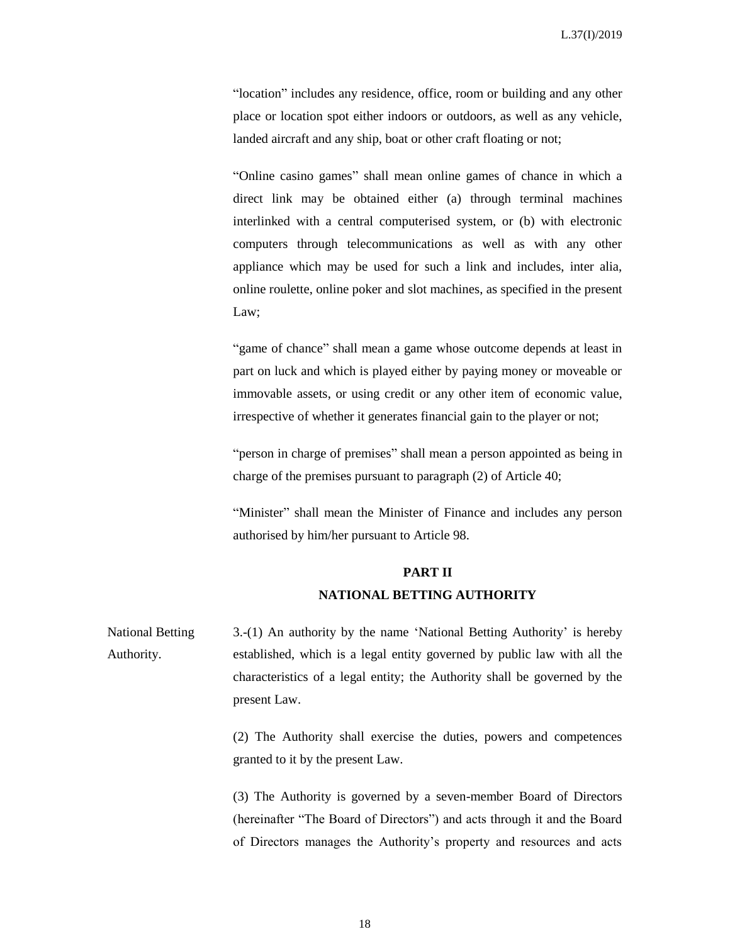"location" includes any residence, office, room or building and any other place or location spot either indoors or outdoors, as well as any vehicle, landed aircraft and any ship, boat or other craft floating or not;

"Online casino games" shall mean online games of chance in which a direct link may be obtained either (a) through terminal machines interlinked with a central computerised system, or (b) with electronic computers through telecommunications as well as with any other appliance which may be used for such a link and includes, inter alia, online roulette, online poker and slot machines, as specified in the present Law;

"game of chance" shall mean a game whose outcome depends at least in part on luck and which is played either by paying money or moveable or immovable assets, or using credit or any other item of economic value, irrespective of whether it generates financial gain to the player or not;

"person in charge of premises" shall mean a person appointed as being in charge of the premises pursuant to paragraph (2) of Article 40;

"Minister" shall mean the Minister of Finance and includes any person authorised by him/her pursuant to Article 98.

#### **PART II**

#### **NATIONAL BETTING AUTHORITY**

National Betting Authority. 3.-(1) An authority by the name 'National Betting Authority' is hereby established, which is a legal entity governed by public law with all the characteristics of a legal entity; the Authority shall be governed by the present Law.

> (2) The Authority shall exercise the duties, powers and competences granted to it by the present Law.

> (3) The Authority is governed by a seven-member Board of Directors (hereinafter "The Board of Directors") and acts through it and the Board of Directors manages the Authority's property and resources and acts

> > 18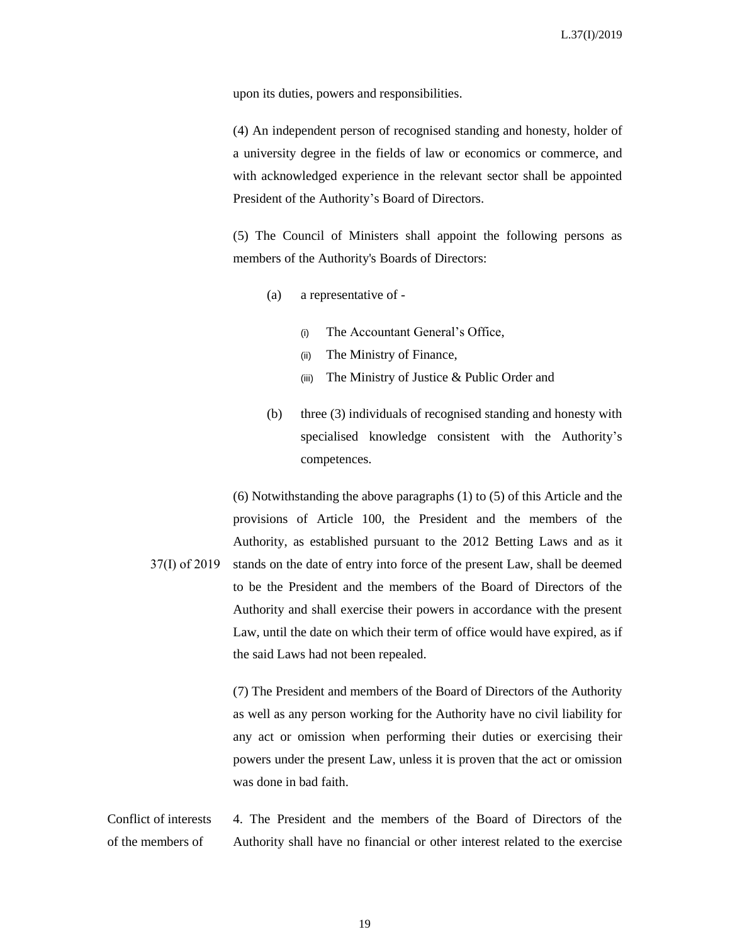upon its duties, powers and responsibilities.

(4) An independent person of recognised standing and honesty, holder of a university degree in the fields of law or economics or commerce, and with acknowledged experience in the relevant sector shall be appointed President of the Authority's Board of Directors.

(5) The Council of Ministers shall appoint the following persons as members of the Authority's Boards of Directors:

- (a) a representative of
	- (i) The Accountant General's Office,
	- (ii) The Ministry of Finance,
	- (iii) The Ministry of Justice & Public Order and
- (b) three (3) individuals of recognised standing and honesty with specialised knowledge consistent with the Authority's competences.

37(I) of 2019 (6) Notwithstanding the above paragraphs (1) to (5) of this Article and the provisions of Article 100, the President and the members of the Authority, as established pursuant to the 2012 Betting Laws and as it stands on the date of entry into force of the present Law, shall be deemed to be the President and the members of the Board of Directors of the Authority and shall exercise their powers in accordance with the present Law, until the date on which their term of office would have expired, as if the said Laws had not been repealed.

> (7) The President and members of the Board of Directors of the Authority as well as any person working for the Authority have no civil liability for any act or omission when performing their duties or exercising their powers under the present Law, unless it is proven that the act or omission was done in bad faith.

Conflict of interests of the members of 4. The President and the members of the Board of Directors of the Authority shall have no financial or other interest related to the exercise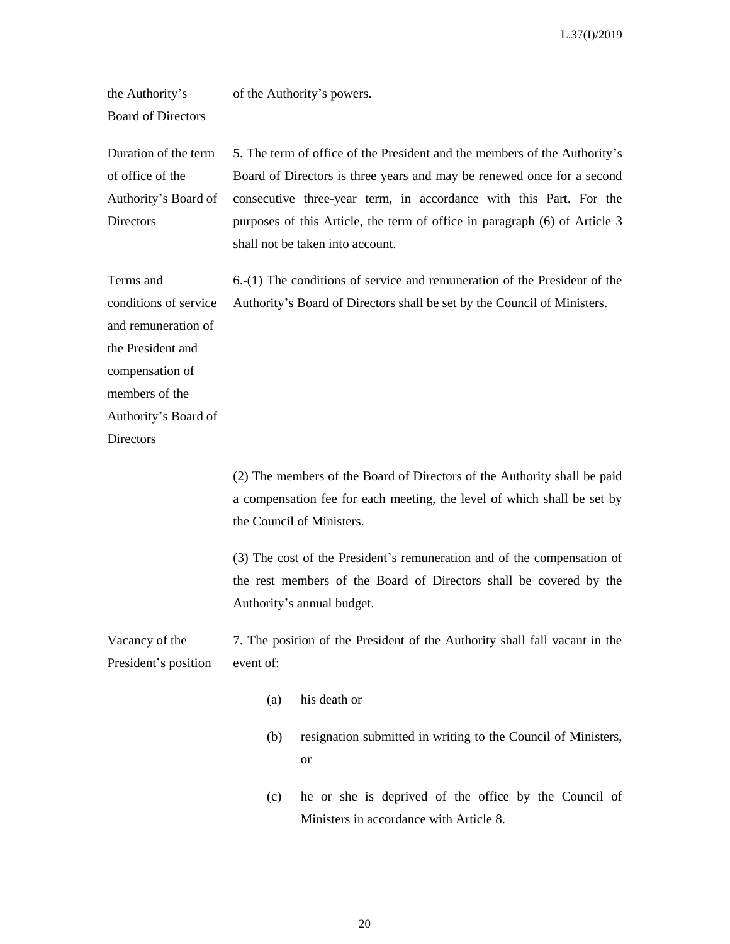the Authority's of the Authority's powers.

Board of Directors

Duration of the term of office of the Authority's Board of **Directors** 5. The term of office of the President and the members of the Authority's Board of Directors is three years and may be renewed once for a second consecutive three-year term, in accordance with this Part. For the purposes of this Article, the term of office in paragraph (6) of Article 3 shall not be taken into account.

Terms and conditions of service and remuneration of the President and compensation of members of the Authority's Board of **Directors** 6.-(1) The conditions of service and remuneration of the President of the Authority's Board of Directors shall be set by the Council of Ministers.

> (2) The members of the Board of Directors of the Authority shall be paid a compensation fee for each meeting, the level of which shall be set by the Council of Ministers.

> (3) The cost of the President's remuneration and of the compensation of the rest members of the Board of Directors shall be covered by the Authority's annual budget.

Vacancy of the President's position 7. The position of the President of the Authority shall fall vacant in the event of:

- (a) his death or
- (b) resignation submitted in writing to the Council of Ministers, or
- (c) he or she is deprived of the office by the Council of Ministers in accordance with Article 8.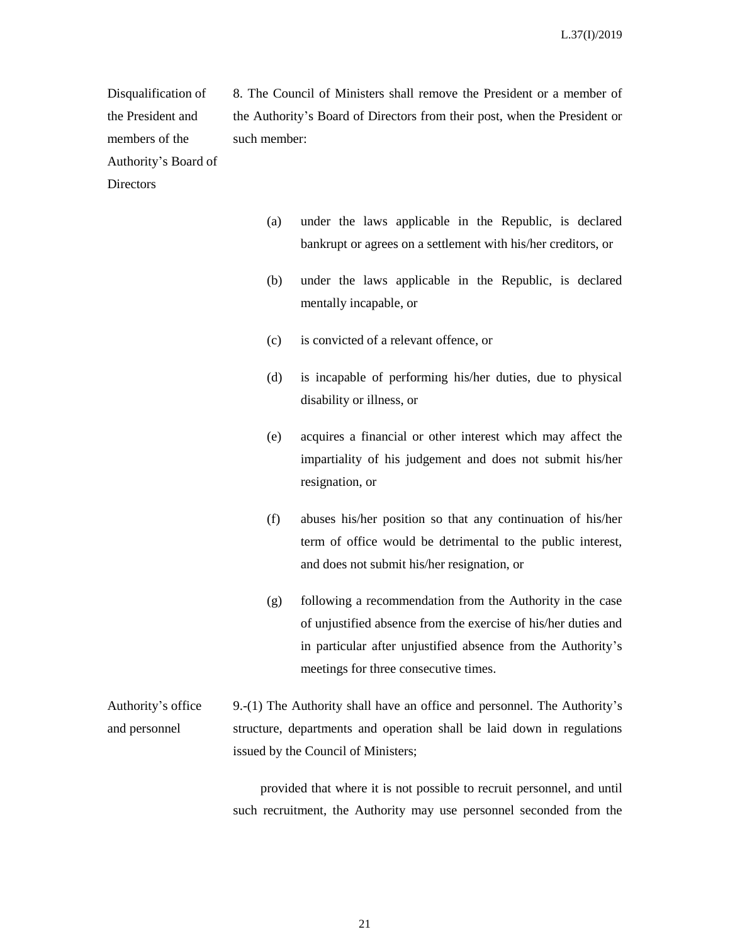Disqualification of the President and members of the Authority's Board of 8. The Council of Ministers shall remove the President or a member of the Authority's Board of Directors from their post, when the President or such member:

**Directors** 

- (a) under the laws applicable in the Republic, is declared bankrupt or agrees on a settlement with his/her creditors, or
- (b) under the laws applicable in the Republic, is declared mentally incapable, or
- (c) is convicted of a relevant offence, or
- (d) is incapable of performing his/her duties, due to physical disability or illness, or
- (e) acquires a financial or other interest which may affect the impartiality of his judgement and does not submit his/her resignation, or
- (f) abuses his/her position so that any continuation of his/her term of office would be detrimental to the public interest, and does not submit his/her resignation, or
- (g) following a recommendation from the Authority in the case of unjustified absence from the exercise of his/her duties and in particular after unjustified absence from the Authority's meetings for three consecutive times.

Authority's office and personnel 9.-(1) The Authority shall have an office and personnel. The Authority's structure, departments and operation shall be laid down in regulations issued by the Council of Ministers;

> provided that where it is not possible to recruit personnel, and until such recruitment, the Authority may use personnel seconded from the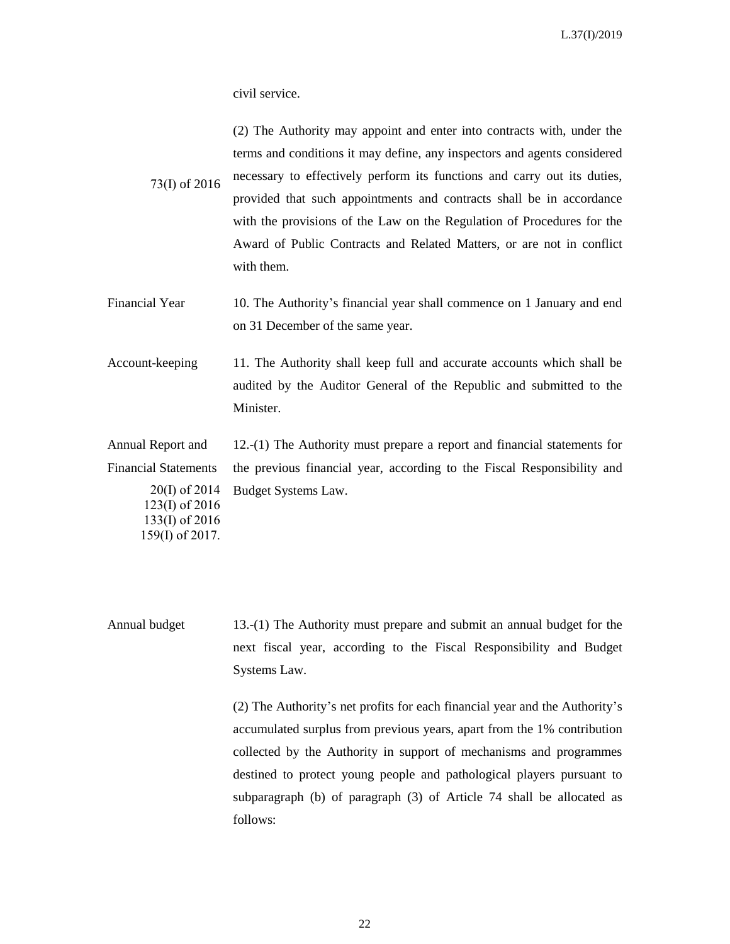civil service.

with them.

159(I) of 2017.

73(Ι) of 2016 (2) The Authority may appoint and enter into contracts with, under the terms and conditions it may define, any inspectors and agents considered necessary to effectively perform its functions and carry out its duties, provided that such appointments and contracts shall be in accordance with the provisions of the Law on the Regulation of Procedures for the Award of Public Contracts and Related Matters, or are not in conflict

- Financial Year 10. The Authority's financial year shall commence on 1 January and end on 31 December of the same year.
- Account-keeping 11. The Authority shall keep full and accurate accounts which shall be audited by the Auditor General of the Republic and submitted to the Minister.

Annual Report and Financial Statements 20(I) of 2014 123(I) of 2016 133(I) of 2016 12.-(1) The Authority must prepare a report and financial statements for the previous financial year, according to the Fiscal Responsibility and Budget Systems Law.

Annual budget 13.-(1) The Authority must prepare and submit an annual budget for the next fiscal year, according to the Fiscal Responsibility and Budget Systems Law.

> (2) The Authority's net profits for each financial year and the Authority's accumulated surplus from previous years, apart from the 1% contribution collected by the Authority in support of mechanisms and programmes destined to protect young people and pathological players pursuant to subparagraph (b) of paragraph (3) of Article 74 shall be allocated as follows:

> > 22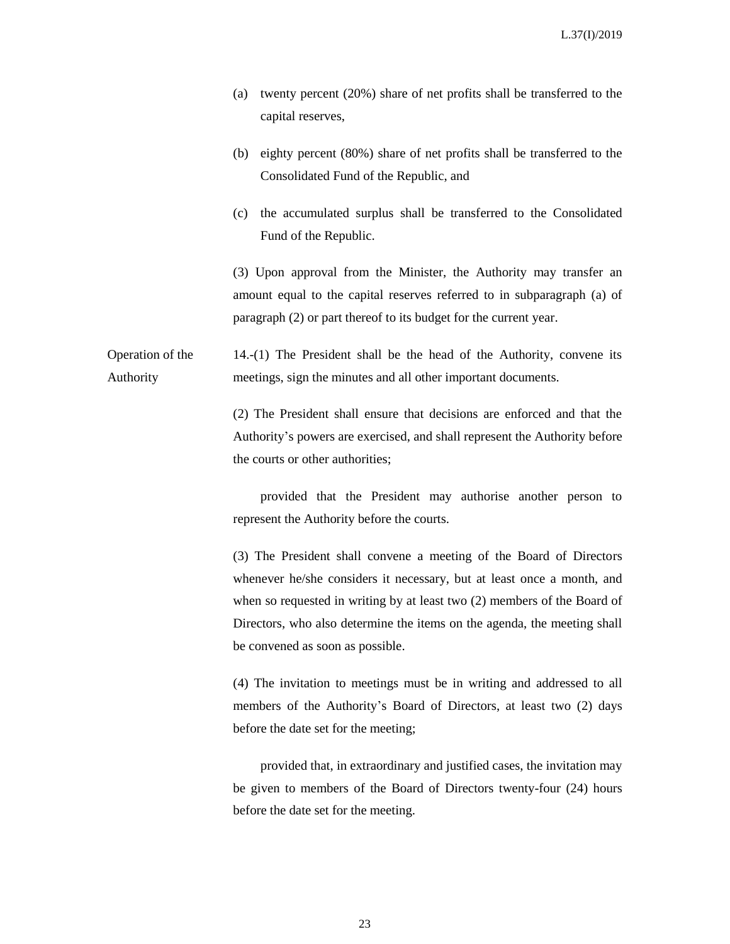- (a) twenty percent (20%) share of net profits shall be transferred to the capital reserves,
- (b) eighty percent (80%) share of net profits shall be transferred to the Consolidated Fund of the Republic, and
- (c) the accumulated surplus shall be transferred to the Consolidated Fund of the Republic.

(3) Upon approval from the Minister, the Authority may transfer an amount equal to the capital reserves referred to in subparagraph (a) of paragraph (2) or part thereof to its budget for the current year.

Operation of the Authority 14.-(1) The President shall be the head of the Authority, convene its meetings, sign the minutes and all other important documents.

> (2) The President shall ensure that decisions are enforced and that the Authority's powers are exercised, and shall represent the Authority before the courts or other authorities;

> provided that the President may authorise another person to represent the Authority before the courts.

> (3) The President shall convene a meeting of the Board of Directors whenever he/she considers it necessary, but at least once a month, and when so requested in writing by at least two (2) members of the Board of Directors, who also determine the items on the agenda, the meeting shall be convened as soon as possible.

> (4) The invitation to meetings must be in writing and addressed to all members of the Authority's Board of Directors, at least two (2) days before the date set for the meeting;

> provided that, in extraordinary and justified cases, the invitation may be given to members of the Board of Directors twenty-four (24) hours before the date set for the meeting.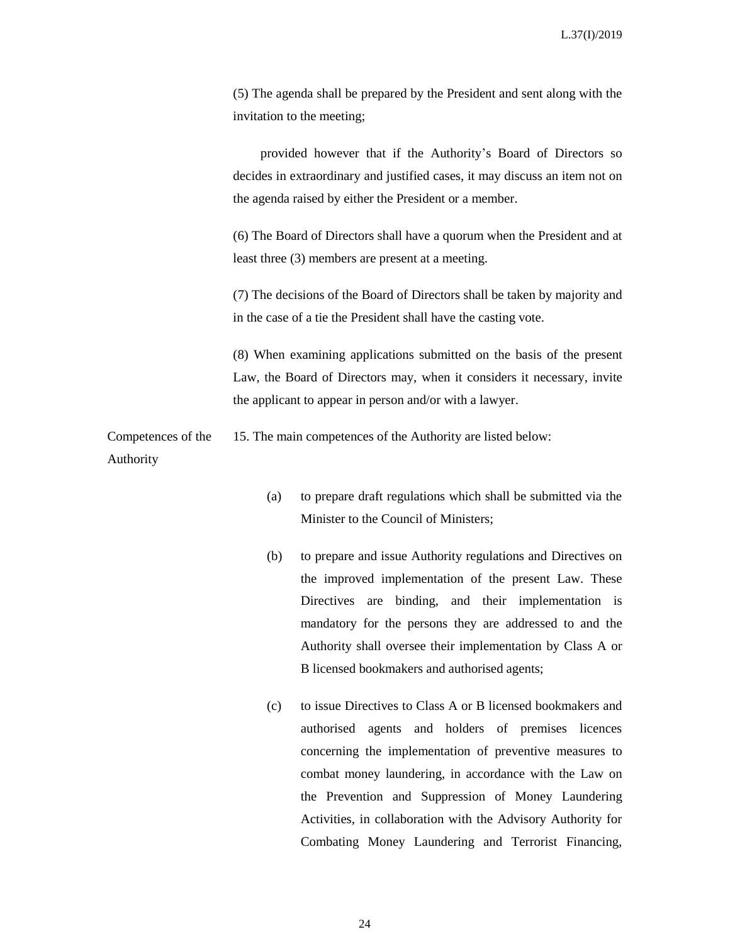(5) The agenda shall be prepared by the President and sent along with the invitation to the meeting;

provided however that if the Authority's Board of Directors so decides in extraordinary and justified cases, it may discuss an item not on the agenda raised by either the President or a member.

(6) The Board of Directors shall have a quorum when the President and at least three (3) members are present at a meeting.

(7) The decisions of the Board of Directors shall be taken by majority and in the case of a tie the President shall have the casting vote.

(8) When examining applications submitted on the basis of the present Law, the Board of Directors may, when it considers it necessary, invite the applicant to appear in person and/or with a lawyer.

Competences of the 15. The main competences of the Authority are listed below:

#### Authority

- (a) to prepare draft regulations which shall be submitted via the Minister to the Council of Ministers;
- (b) to prepare and issue Authority regulations and Directives on the improved implementation of the present Law. These Directives are binding, and their implementation is mandatory for the persons they are addressed to and the Authority shall oversee their implementation by Class A or B licensed bookmakers and authorised agents;
- (c) to issue Directives to Class A or B licensed bookmakers and authorised agents and holders of premises licences concerning the implementation of preventive measures to combat money laundering, in accordance with the Law on the Prevention and Suppression of Money Laundering Activities, in collaboration with the Advisory Authority for Combating Money Laundering and Terrorist Financing,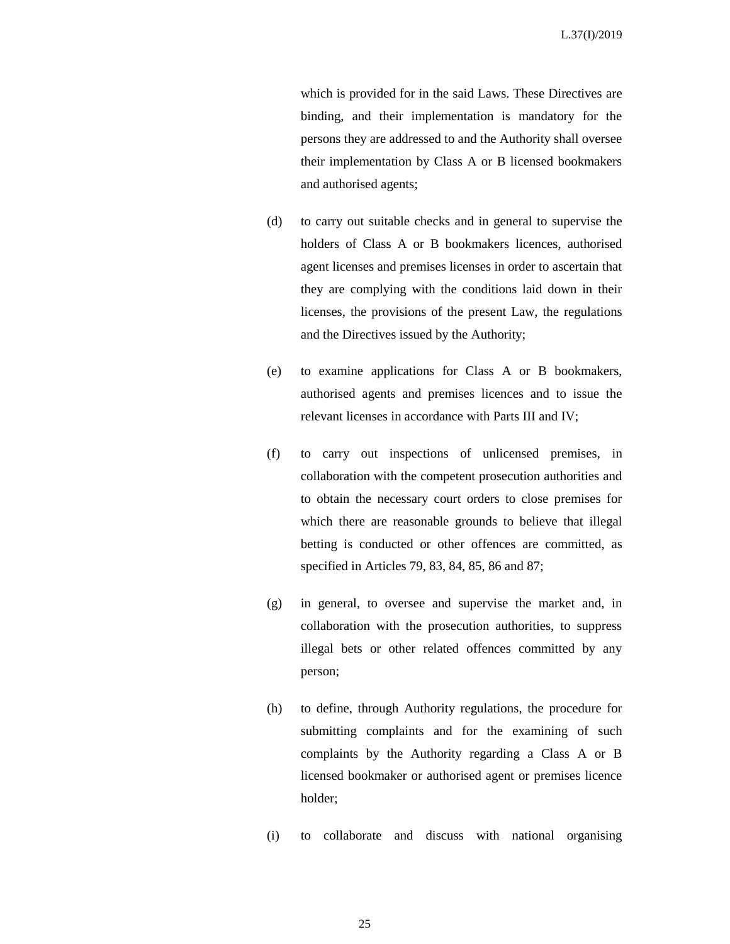which is provided for in the said Laws. These Directives are binding, and their implementation is mandatory for the persons they are addressed to and the Authority shall oversee their implementation by Class A or B licensed bookmakers and authorised agents;

- (d) to carry out suitable checks and in general to supervise the holders of Class A or B bookmakers licences, authorised agent licenses and premises licenses in order to ascertain that they are complying with the conditions laid down in their licenses, the provisions of the present Law, the regulations and the Directives issued by the Authority;
- (e) to examine applications for Class A or B bookmakers, authorised agents and premises licences and to issue the relevant licenses in accordance with Parts III and IV;
- (f) to carry out inspections of unlicensed premises, in collaboration with the competent prosecution authorities and to obtain the necessary court orders to close premises for which there are reasonable grounds to believe that illegal betting is conducted or other offences are committed, as specified in Articles 79, 83, 84, 85, 86 and 87;
- (g) in general, to oversee and supervise the market and, in collaboration with the prosecution authorities, to suppress illegal bets or other related offences committed by any person;
- (h) to define, through Authority regulations, the procedure for submitting complaints and for the examining of such complaints by the Authority regarding a Class A or B licensed bookmaker or authorised agent or premises licence holder;
- (i) to collaborate and discuss with national organising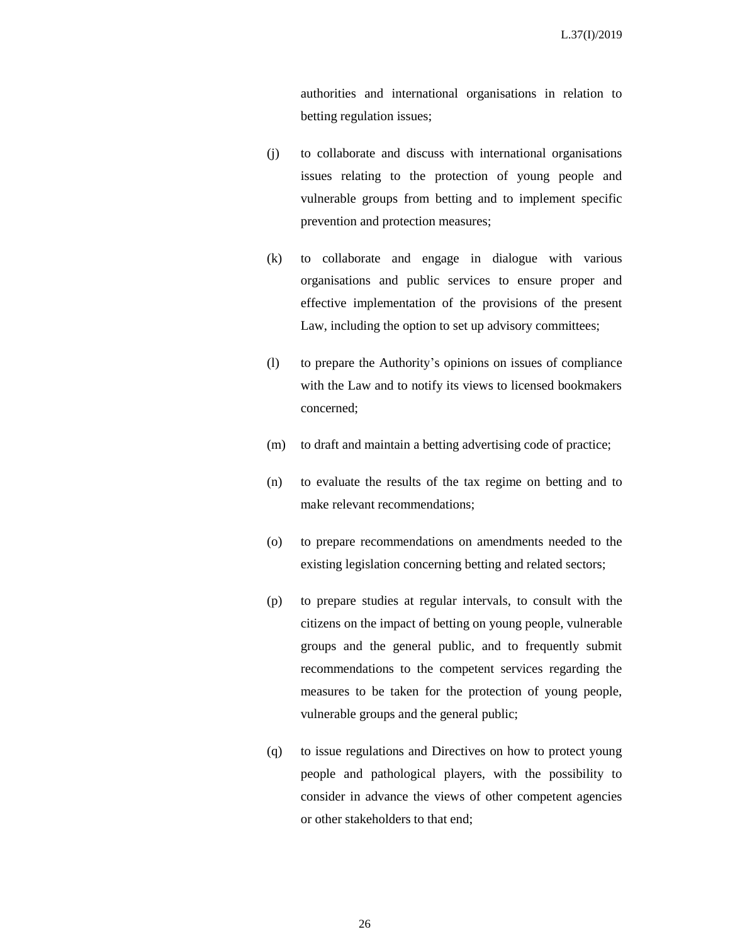authorities and international organisations in relation to betting regulation issues;

- (j) to collaborate and discuss with international organisations issues relating to the protection of young people and vulnerable groups from betting and to implement specific prevention and protection measures;
- (k) to collaborate and engage in dialogue with various organisations and public services to ensure proper and effective implementation of the provisions of the present Law, including the option to set up advisory committees;
- (l) to prepare the Authority's opinions on issues of compliance with the Law and to notify its views to licensed bookmakers concerned;
- (m) to draft and maintain a betting advertising code of practice;
- (n) to evaluate the results of the tax regime on betting and to make relevant recommendations;
- (o) to prepare recommendations on amendments needed to the existing legislation concerning betting and related sectors;
- (p) to prepare studies at regular intervals, to consult with the citizens on the impact of betting on young people, vulnerable groups and the general public, and to frequently submit recommendations to the competent services regarding the measures to be taken for the protection of young people, vulnerable groups and the general public;
- (q) to issue regulations and Directives on how to protect young people and pathological players, with the possibility to consider in advance the views of other competent agencies or other stakeholders to that end;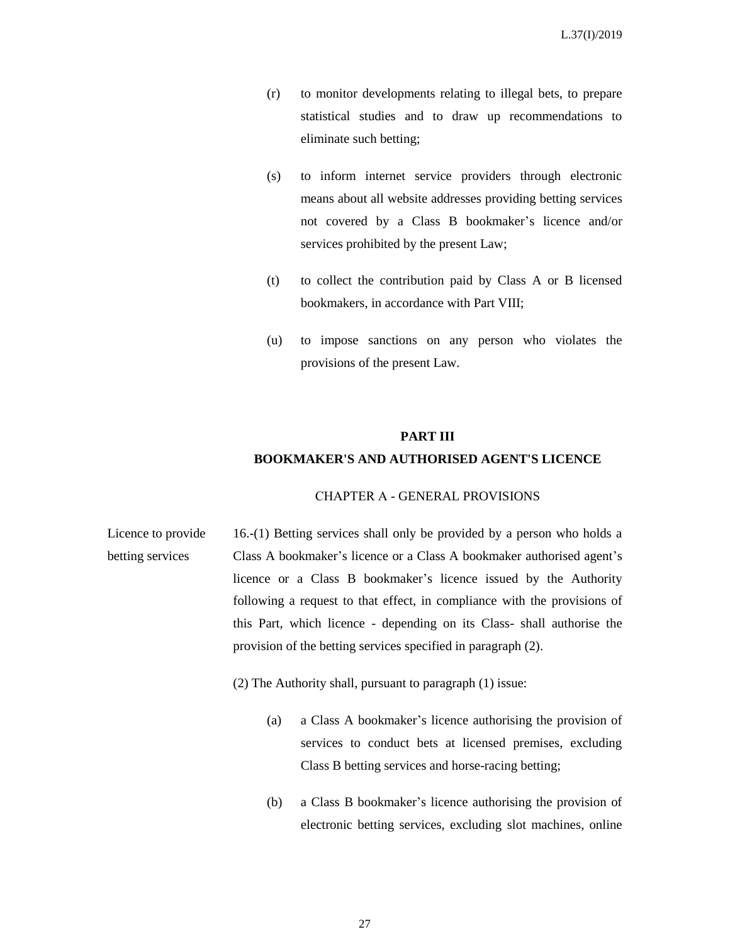- (r) to monitor developments relating to illegal bets, to prepare statistical studies and to draw up recommendations to eliminate such betting;
- (s) to inform internet service providers through electronic means about all website addresses providing betting services not covered by a Class B bookmaker's licence and/or services prohibited by the present Law;
- (t) to collect the contribution paid by Class A or B licensed bookmakers, in accordance with Part VIII;
- (u) to impose sanctions on any person who violates the provisions of the present Law.

#### **PART IΙΙ**

#### **BOOKMAKER'S AND AUTHORISED AGENT'S LICENCE**

#### CHAPTER Α - GENERAL PROVISIONS

Licence to provide betting services 16.-(1) Betting services shall only be provided by a person who holds a Class A bookmaker's licence or a Class A bookmaker authorised agent's licence or a Class B bookmaker's licence issued by the Authority following a request to that effect, in compliance with the provisions of this Part, which licence - depending on its Class- shall authorise the provision of the betting services specified in paragraph (2).

(2) The Authority shall, pursuant to paragraph (1) issue:

- (a) a Class A bookmaker's licence authorising the provision of services to conduct bets at licensed premises, excluding Class B betting services and horse-racing betting;
- (b) a Class B bookmaker's licence authorising the provision of electronic betting services, excluding slot machines, online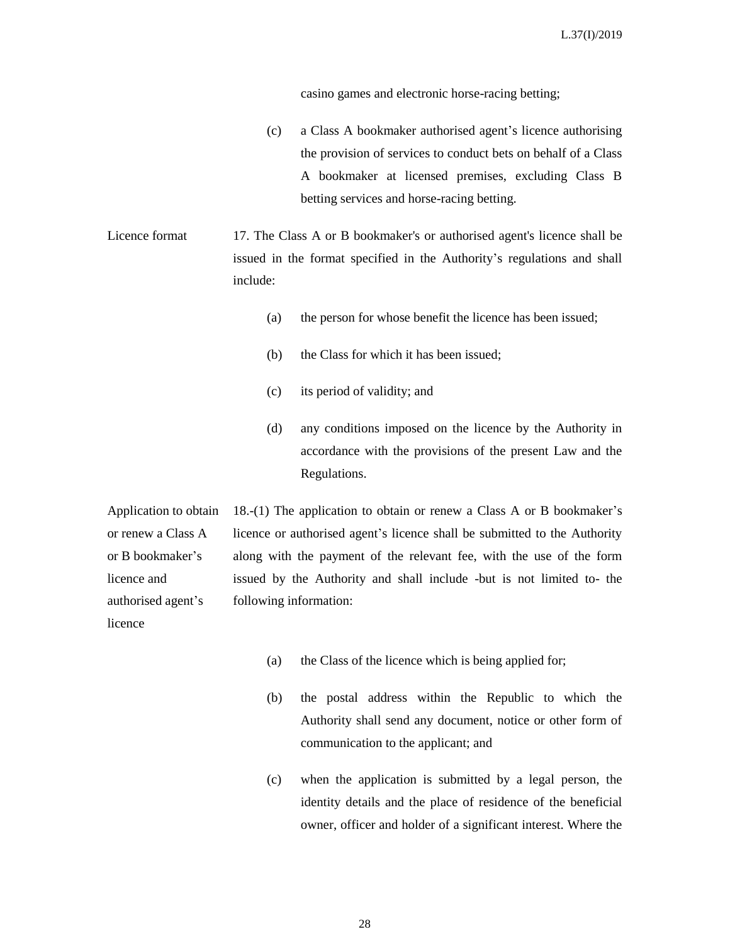casino games and electronic horse-racing betting;

(c) a Class A bookmaker authorised agent's licence authorising the provision of services to conduct bets on behalf of a Class A bookmaker at licensed premises, excluding Class B betting services and horse-racing betting.

Licence format 17. The Class A or B bookmaker's or authorised agent's licence shall be issued in the format specified in the Authority's regulations and shall include:

- (a) the person for whose benefit the licence has been issued;
- (b) the Class for which it has been issued;
- (c) its period of validity; and
- (d) any conditions imposed on the licence by the Authority in accordance with the provisions of the present Law and the Regulations.

Application to obtain or renew a Class A or B bookmaker's licence and authorised agent's licence

18.-(1) The application to obtain or renew a Class A or B bookmaker's licence or authorised agent's licence shall be submitted to the Authority along with the payment of the relevant fee, with the use of the form issued by the Authority and shall include -but is not limited to- the following information:

- (a) the Class of the licence which is being applied for;
- (b) the postal address within the Republic to which the Authority shall send any document, notice or other form of communication to the applicant; and
- (c) when the application is submitted by a legal person, the identity details and the place of residence of the beneficial owner, officer and holder of a significant interest. Where the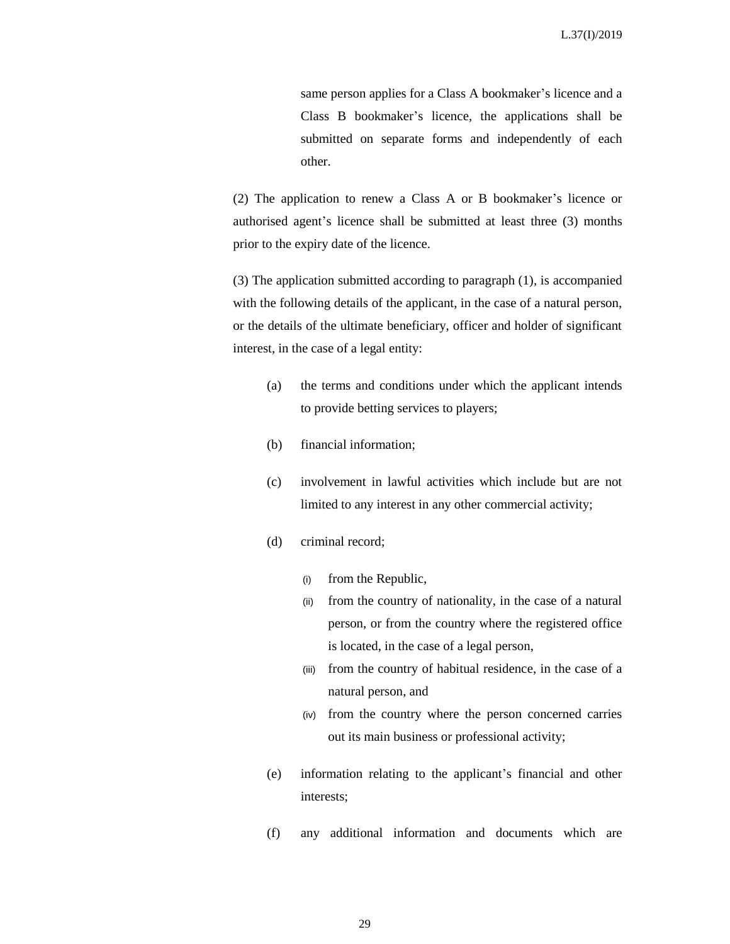same person applies for a Class A bookmaker's licence and a Class B bookmaker's licence, the applications shall be submitted on separate forms and independently of each other.

(2) The application to renew a Class A or B bookmaker's licence or authorised agent's licence shall be submitted at least three (3) months prior to the expiry date of the licence.

(3) The application submitted according to paragraph (1), is accompanied with the following details of the applicant, in the case of a natural person, or the details of the ultimate beneficiary, officer and holder of significant interest, in the case of a legal entity:

- (a) the terms and conditions under which the applicant intends to provide betting services to players;
- (b) financial information;
- (c) involvement in lawful activities which include but are not limited to any interest in any other commercial activity;
- (d) criminal record;
	- (i) from the Republic,
	- (ii) from the country of nationality, in the case of a natural person, or from the country where the registered office is located, in the case of a legal person,
	- (iii) from the country of habitual residence, in the case of a natural person, and
	- (iv) from the country where the person concerned carries out its main business or professional activity;
- (e) information relating to the applicant's financial and other interests;
- (f) any additional information and documents which are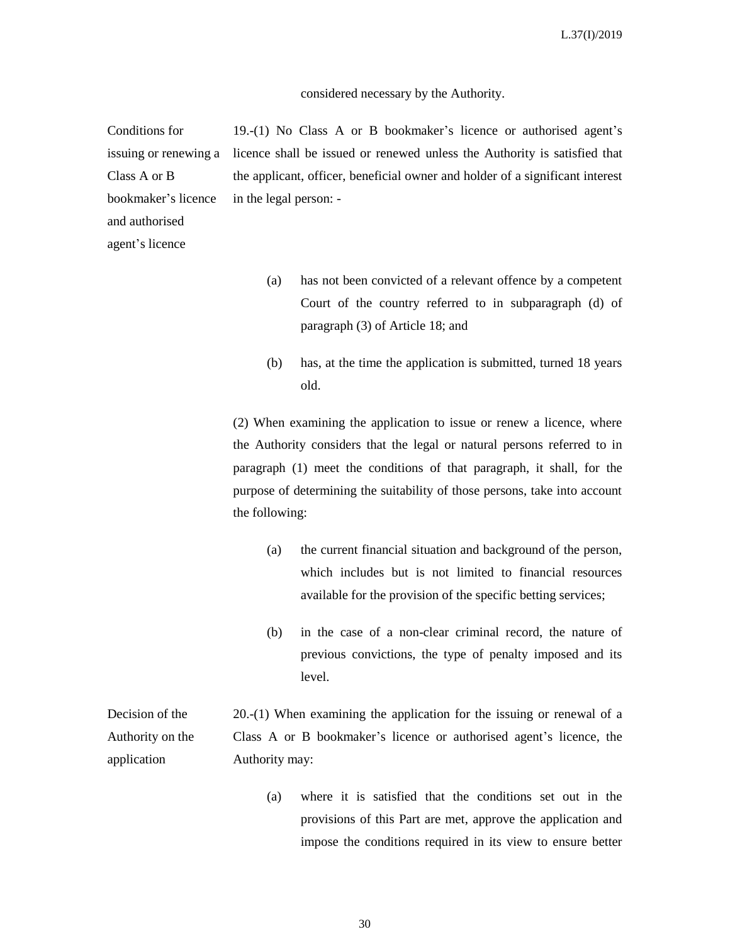#### considered necessary by the Authority.

Conditions for issuing or renewing a Class A or B bookmaker's licence and authorised 19.-(1) No Class A or B bookmaker's licence or authorised agent's licence shall be issued or renewed unless the Authority is satisfied that the applicant, officer, beneficial owner and holder of a significant interest in the legal person: -

agent's licence

- (a) has not been convicted of a relevant offence by a competent Court of the country referred to in subparagraph (d) of paragraph (3) of Article 18; and
- (b) has, at the time the application is submitted, turned 18 years old.

(2) When examining the application to issue or renew a licence, where the Authority considers that the legal or natural persons referred to in paragraph (1) meet the conditions of that paragraph, it shall, for the purpose of determining the suitability of those persons, take into account the following:

- (a) the current financial situation and background of the person, which includes but is not limited to financial resources available for the provision of the specific betting services;
- (b) in the case of a non-clear criminal record, the nature of previous convictions, the type of penalty imposed and its level.

Decision of the Authority on the application 20.-(1) When examining the application for the issuing or renewal of a Class A or B bookmaker's licence or authorised agent's licence, the Authority may:

> (a) where it is satisfied that the conditions set out in the provisions of this Part are met, approve the application and impose the conditions required in its view to ensure better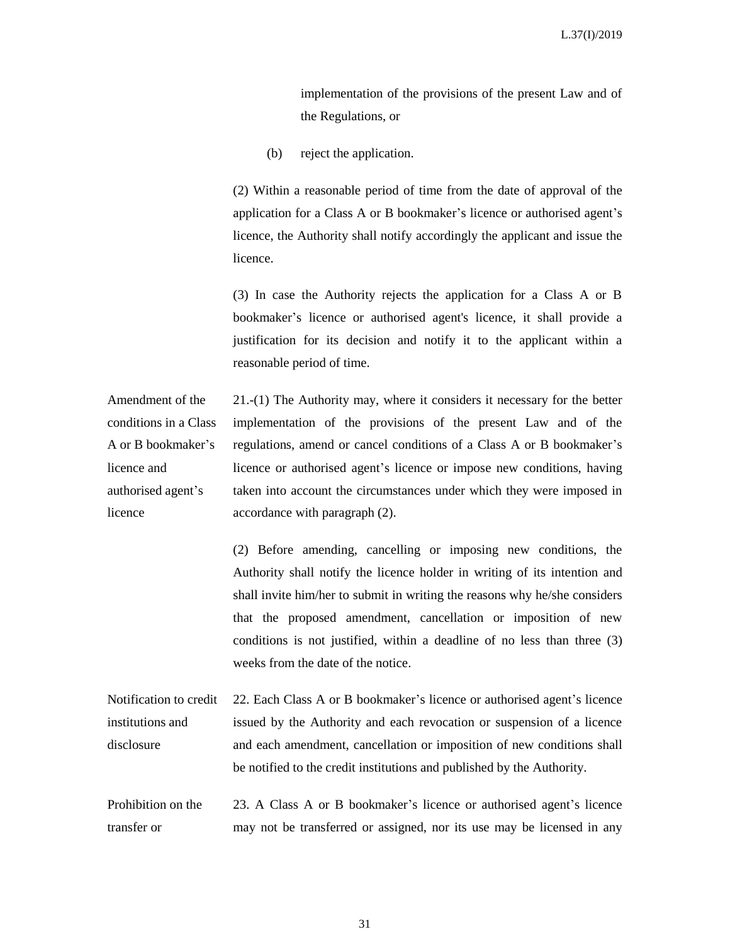implementation of the provisions of the present Law and of the Regulations, or

(b) reject the application.

(2) Within a reasonable period of time from the date of approval of the application for a Class A or B bookmaker's licence or authorised agent's licence, the Authority shall notify accordingly the applicant and issue the licence.

(3) In case the Authority rejects the application for a Class A or B bookmaker's licence or authorised agent's licence, it shall provide a justification for its decision and notify it to the applicant within a reasonable period of time.

Amendment of the conditions in a Class A or B bookmaker's licence and authorised agent's licence 21.-(1) The Authority may, where it considers it necessary for the better implementation of the provisions of the present Law and of the regulations, amend or cancel conditions of a Class A or B bookmaker's licence or authorised agent's licence or impose new conditions, having taken into account the circumstances under which they were imposed in accordance with paragraph (2).

> (2) Before amending, cancelling or imposing new conditions, the Authority shall notify the licence holder in writing of its intention and shall invite him/her to submit in writing the reasons why he/she considers that the proposed amendment, cancellation or imposition of new conditions is not justified, within a deadline of no less than three (3) weeks from the date of the notice.

Notification to credit institutions and disclosure 22. Each Class A or B bookmaker's licence or authorised agent's licence issued by the Authority and each revocation or suspension of a licence and each amendment, cancellation or imposition of new conditions shall be notified to the credit institutions and published by the Authority.

Prohibition on the transfer or 23. A Class A or B bookmaker's licence or authorised agent's licence may not be transferred or assigned, nor its use may be licensed in any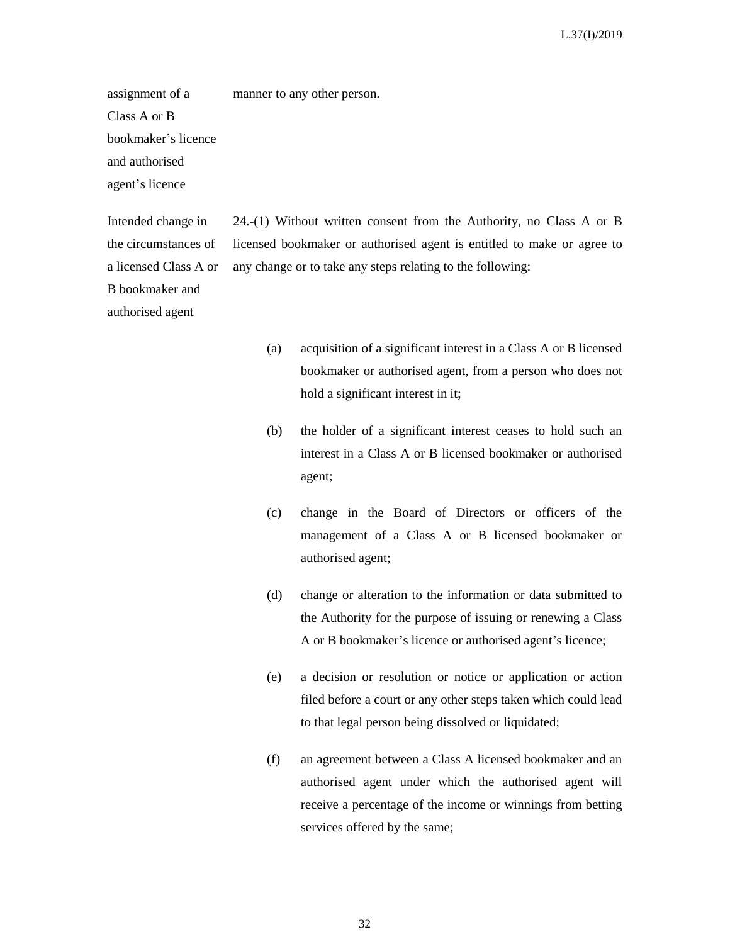assignment of a Class A or B bookmaker's licence and authorised agent's licence manner to any other person.

Intended change in the circumstances of a licensed Class A or B bookmaker and authorised agent

24.-(1) Without written consent from the Authority, no Class A or B licensed bookmaker or authorised agent is entitled to make or agree to any change or to take any steps relating to the following:

- (a) acquisition of a significant interest in a Class A or B licensed bookmaker or authorised agent, from a person who does not hold a significant interest in it;
- (b) the holder of a significant interest ceases to hold such an interest in a Class A or B licensed bookmaker or authorised agent;
- (c) change in the Board of Directors or officers of the management of a Class A or B licensed bookmaker or authorised agent;
- (d) change or alteration to the information or data submitted to the Authority for the purpose of issuing or renewing a Class A or B bookmaker's licence or authorised agent's licence;
- (e) a decision or resolution or notice or application or action filed before a court or any other steps taken which could lead to that legal person being dissolved or liquidated;
- (f) an agreement between a Class A licensed bookmaker and an authorised agent under which the authorised agent will receive a percentage of the income or winnings from betting services offered by the same;

32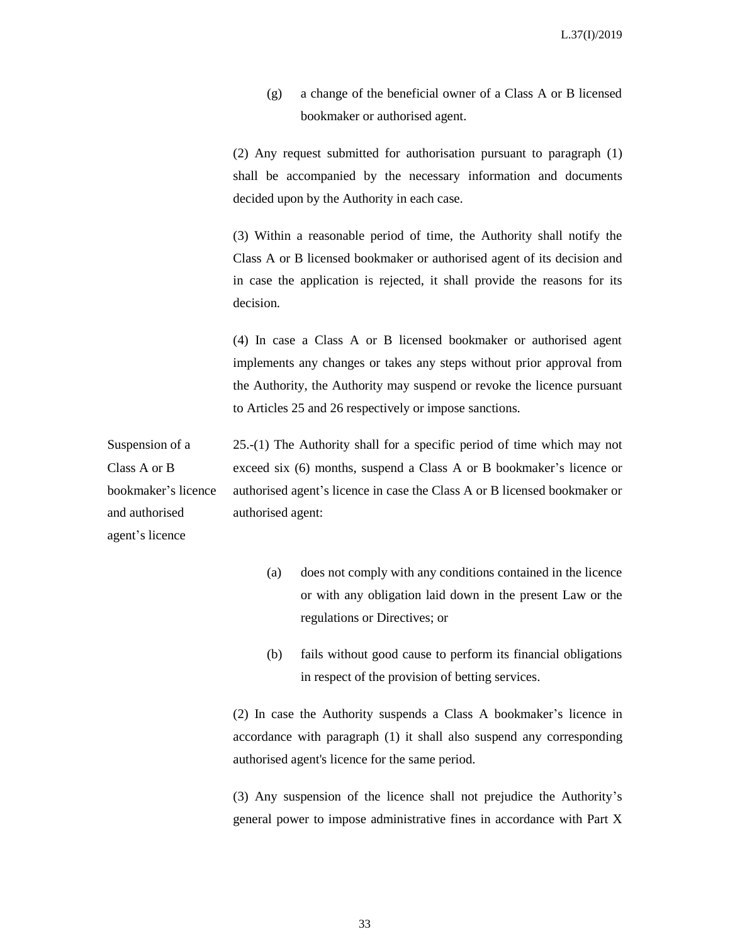(g) a change of the beneficial owner of a Class A or B licensed bookmaker or authorised agent.

(2) Any request submitted for authorisation pursuant to paragraph (1) shall be accompanied by the necessary information and documents decided upon by the Authority in each case.

(3) Within a reasonable period of time, the Authority shall notify the Class A or B licensed bookmaker or authorised agent of its decision and in case the application is rejected, it shall provide the reasons for its decision.

(4) In case a Class A or B licensed bookmaker or authorised agent implements any changes or takes any steps without prior approval from the Authority, the Authority may suspend or revoke the licence pursuant to Articles 25 and 26 respectively or impose sanctions.

Suspension of a Class A or B bookmaker's licence and authorised agent's licence 25.-(1) The Authority shall for a specific period of time which may not exceed six (6) months, suspend a Class A or B bookmaker's licence or authorised agent's licence in case the Class A or B licensed bookmaker or authorised agent:

- (a) does not comply with any conditions contained in the licence or with any obligation laid down in the present Law or the regulations or Directives; or
- (b) fails without good cause to perform its financial obligations in respect of the provision of betting services.

(2) In case the Authority suspends a Class A bookmaker's licence in accordance with paragraph (1) it shall also suspend any corresponding authorised agent's licence for the same period.

(3) Any suspension of the licence shall not prejudice the Authority's general power to impose administrative fines in accordance with Part X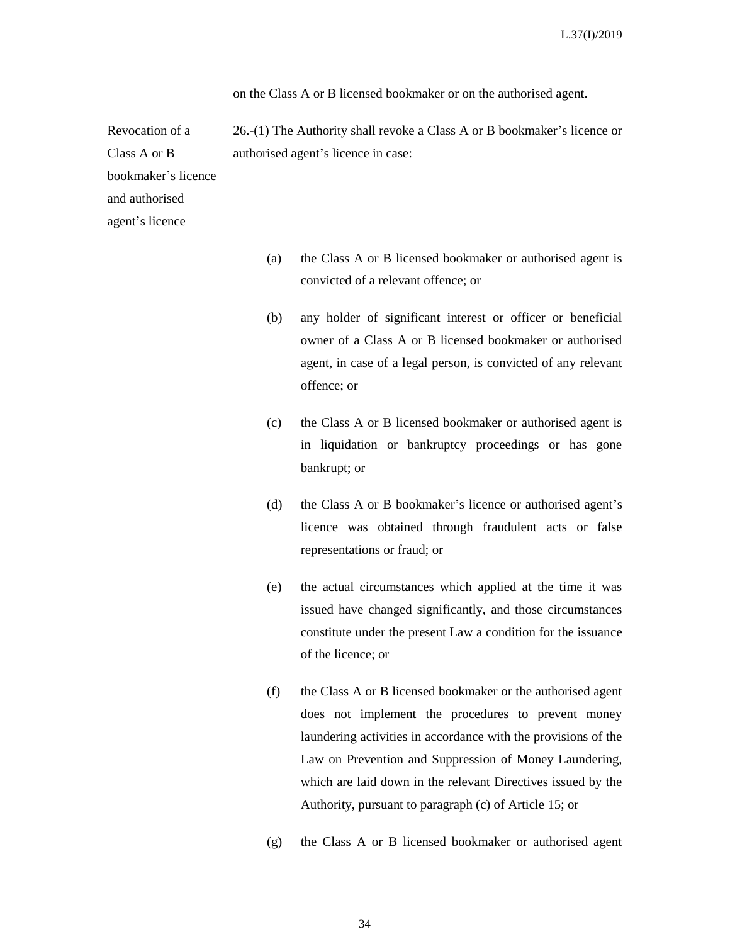on the Class A or B licensed bookmaker or on the authorised agent.

26.-(1) The Authority shall revoke a Class A or B bookmaker's licence or authorised agent's licence in case:

bookmaker's licence and authorised agent's licence

Revocation of a

Class A or B

- (a) the Class A or B licensed bookmaker or authorised agent is convicted of a relevant offence; or
- (b) any holder of significant interest or officer or beneficial owner of a Class A or B licensed bookmaker or authorised agent, in case of a legal person, is convicted of any relevant offence; or
- (c) the Class A or B licensed bookmaker or authorised agent is in liquidation or bankruptcy proceedings or has gone bankrupt; or
- (d) the Class A or B bookmaker's licence or authorised agent's licence was obtained through fraudulent acts or false representations or fraud; or
- (e) the actual circumstances which applied at the time it was issued have changed significantly, and those circumstances constitute under the present Law a condition for the issuance of the licence; or
- (f) the Class A or B licensed bookmaker or the authorised agent does not implement the procedures to prevent money laundering activities in accordance with the provisions of the Law on Prevention and Suppression of Money Laundering, which are laid down in the relevant Directives issued by the Authority, pursuant to paragraph (c) of Article 15; or
- (g) the Class A or B licensed bookmaker or authorised agent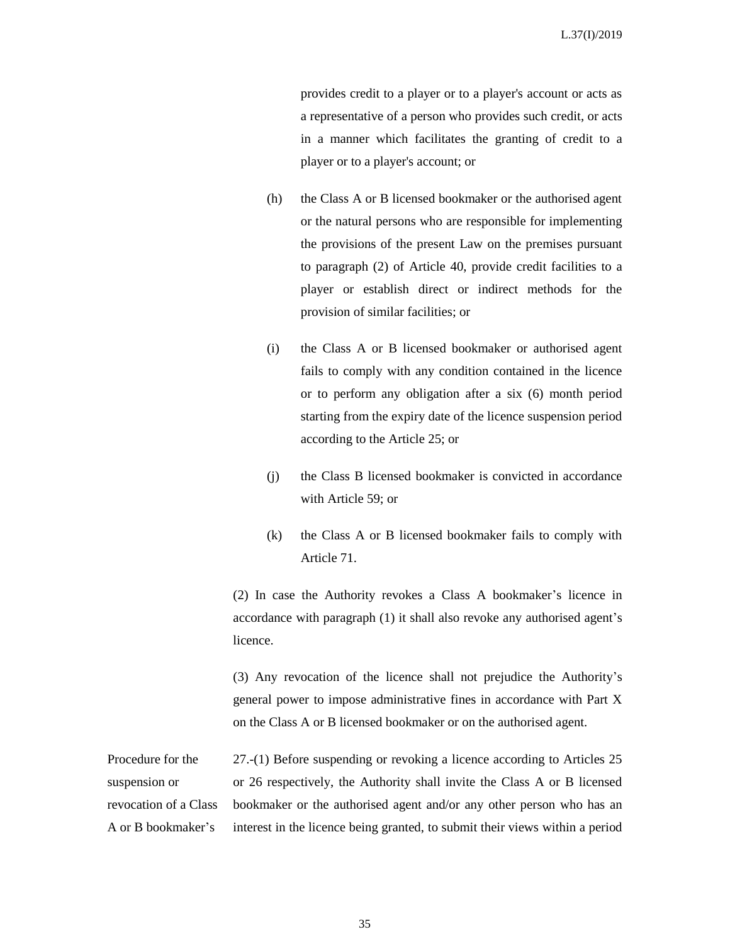provides credit to a player or to a player's account or acts as a representative of a person who provides such credit, or acts in a manner which facilitates the granting of credit to a player or to a player's account; or

- (h) the Class A or B licensed bookmaker or the authorised agent or the natural persons who are responsible for implementing the provisions of the present Law on the premises pursuant to paragraph (2) of Article 40, provide credit facilities to a player or establish direct or indirect methods for the provision of similar facilities; or
- (i) the Class A or B licensed bookmaker or authorised agent fails to comply with any condition contained in the licence or to perform any obligation after a six (6) month period starting from the expiry date of the licence suspension period according to the Article 25; or
- (j) the Class B licensed bookmaker is convicted in accordance with Article 59; or
- (k) the Class A or B licensed bookmaker fails to comply with Article 71.

(2) In case the Authority revokes a Class A bookmaker's licence in accordance with paragraph (1) it shall also revoke any authorised agent's licence.

(3) Any revocation of the licence shall not prejudice the Authority's general power to impose administrative fines in accordance with Part X on the Class A or B licensed bookmaker or on the authorised agent.

Procedure for the suspension or revocation of a Class A or B bookmaker's 27.-(1) Before suspending or revoking a licence according to Articles 25 or 26 respectively, the Authority shall invite the Class A or B licensed bookmaker or the authorised agent and/or any other person who has an interest in the licence being granted, to submit their views within a period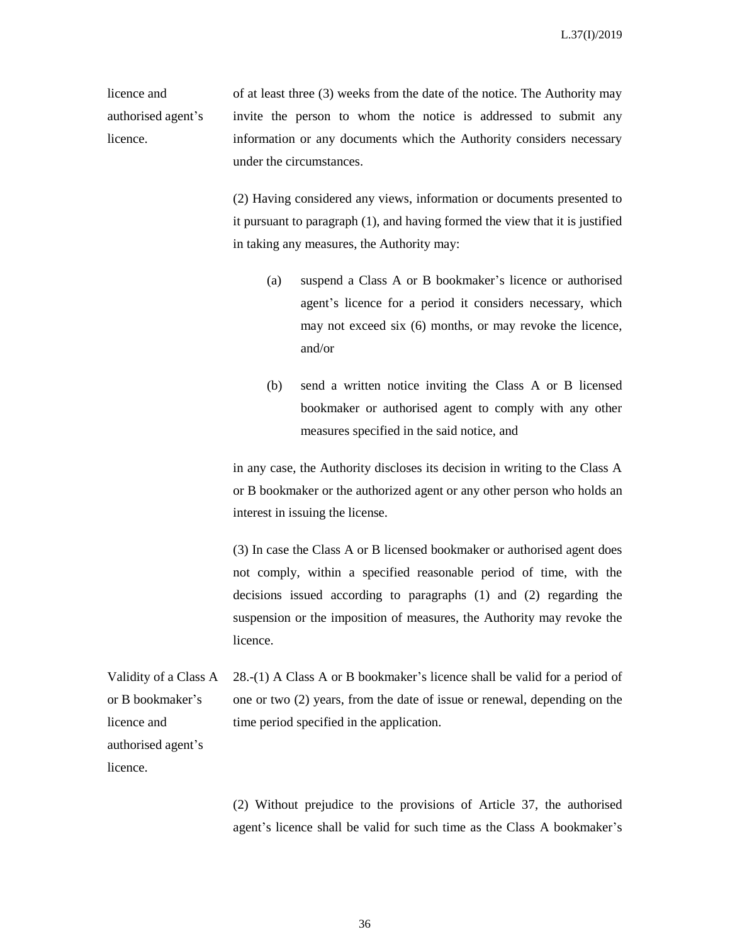licence and authorised agent's licence.

of at least three (3) weeks from the date of the notice. The Authority may invite the person to whom the notice is addressed to submit any information or any documents which the Authority considers necessary under the circumstances.

(2) Having considered any views, information or documents presented to it pursuant to paragraph (1), and having formed the view that it is justified in taking any measures, the Authority may:

- (a) suspend a Class A or B bookmaker's licence or authorised agent's licence for a period it considers necessary, which may not exceed six (6) months, or may revoke the licence, and/or
- (b) send a written notice inviting the Class A or B licensed bookmaker or authorised agent to comply with any other measures specified in the said notice, and

in any case, the Authority discloses its decision in writing to the Class A or B bookmaker or the authorized agent or any other person who holds an interest in issuing the license.

(3) In case the Class A or B licensed bookmaker or authorised agent does not comply, within a specified reasonable period of time, with the decisions issued according to paragraphs (1) and (2) regarding the suspension or the imposition of measures, the Authority may revoke the licence.

Validity of a Class A or B bookmaker's 28.-(1) A Class A or B bookmaker's licence shall be valid for a period of one or two (2) years, from the date of issue or renewal, depending on the time period specified in the application.

licence and authorised agent's licence.

> (2) Without prejudice to the provisions of Article 37, the authorised agent's licence shall be valid for such time as the Class A bookmaker's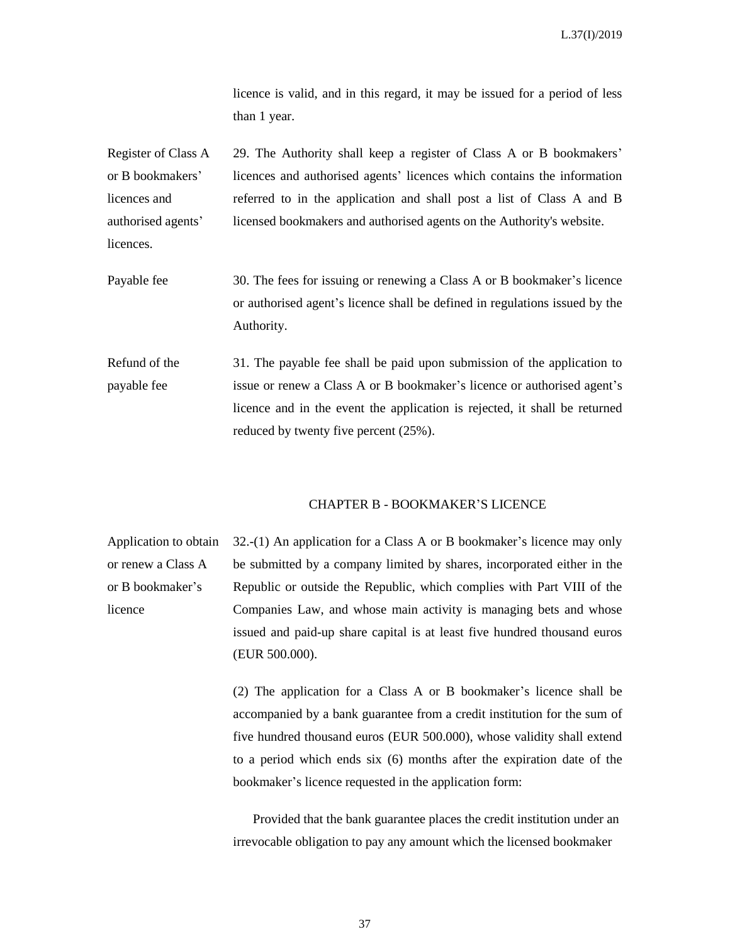licence is valid, and in this regard, it may be issued for a period of less than 1 year.

Register of Class A or B bookmakers' licences and authorised agents' licences. 29. The Authority shall keep a register of Class A or B bookmakers' licences and authorised agents' licences which contains the information referred to in the application and shall post a list of Class A and B licensed bookmakers and authorised agents on the Authority's website.

Payable fee 30. The fees for issuing or renewing a Class A or B bookmaker's licence or authorised agent's licence shall be defined in regulations issued by the Authority.

Refund of the payable fee 31. The payable fee shall be paid upon submission of the application to issue or renew a Class A or B bookmaker's licence or authorised agent's licence and in the event the application is rejected, it shall be returned reduced by twenty five percent (25%).

### CHAPTER B - BOOKMAKER'S LICENCE

Application to obtain or renew a Class A or B bookmaker's licence 32.-(1) An application for a Class A or B bookmaker's licence may only be submitted by a company limited by shares, incorporated either in the Republic or outside the Republic, which complies with Part VIII of the Companies Law, and whose main activity is managing bets and whose issued and paid-up share capital is at least five hundred thousand euros (EUR 500.000).

> (2) The application for a Class A or B bookmaker's licence shall be accompanied by a bank guarantee from a credit institution for the sum of five hundred thousand euros (EUR 500.000), whose validity shall extend to a period which ends six (6) months after the expiration date of the bookmaker's licence requested in the application form:

> Provided that the bank guarantee places the credit institution under an irrevocable obligation to pay any amount which the licensed bookmaker

> > 37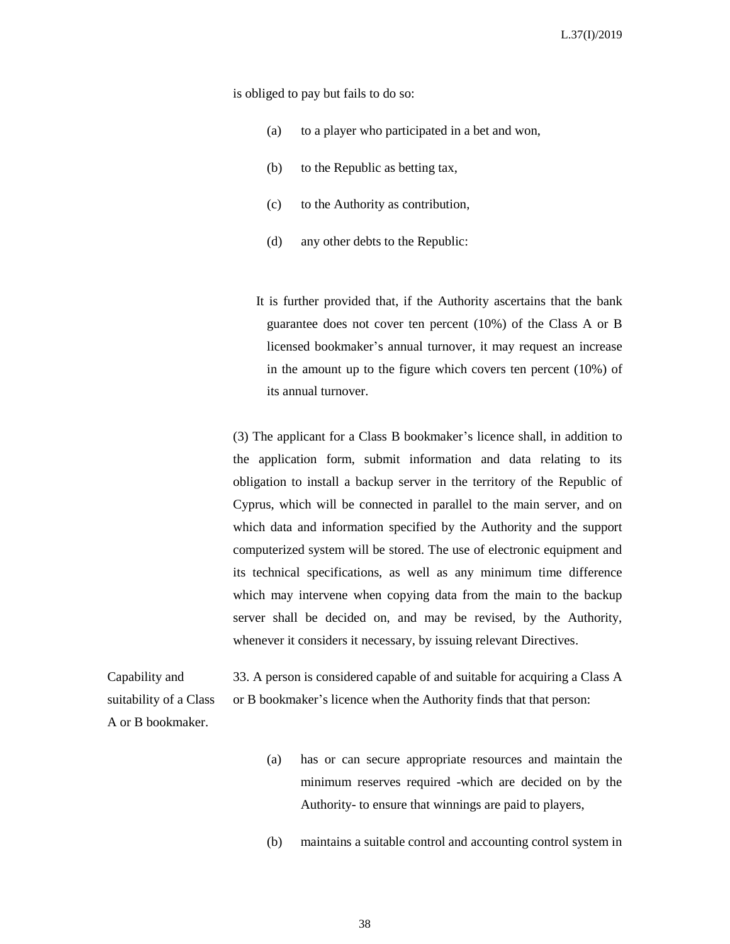is obliged to pay but fails to do so:

- (a) to a player who participated in a bet and won,
- (b) to the Republic as betting tax,
- (c) to the Authority as contribution,
- (d) any other debts to the Republic:

 It is further provided that, if the Authority ascertains that the bank guarantee does not cover ten percent (10%) of the Class A or B licensed bookmaker's annual turnover, it may request an increase in the amount up to the figure which covers ten percent (10%) of its annual turnover.

(3) The applicant for a Class B bookmaker's licence shall, in addition to the application form, submit information and data relating to its obligation to install a backup server in the territory of the Republic of Cyprus, which will be connected in parallel to the main server, and on which data and information specified by the Authority and the support computerized system will be stored. The use of electronic equipment and its technical specifications, as well as any minimum time difference which may intervene when copying data from the main to the backup server shall be decided on, and may be revised, by the Authority, whenever it considers it necessary, by issuing relevant Directives.

Capability and suitability of a Class A or B bookmaker. 33. A person is considered capable of and suitable for acquiring a Class A or B bookmaker's licence when the Authority finds that that person:

- (a) has or can secure appropriate resources and maintain the minimum reserves required -which are decided on by the Authority- to ensure that winnings are paid to players,
- (b) maintains a suitable control and accounting control system in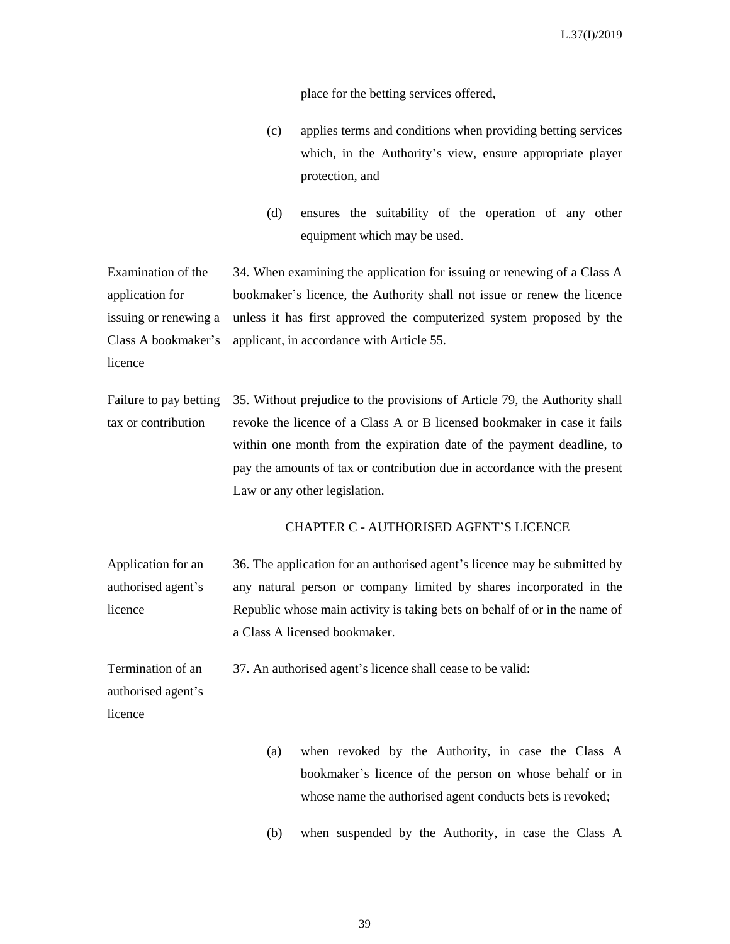place for the betting services offered,

- (c) applies terms and conditions when providing betting services which, in the Authority's view, ensure appropriate player protection, and
- (d) ensures the suitability of the operation of any other equipment which may be used.

Examination of the application for issuing or renewing a Class A bookmaker's licence 34. When examining the application for issuing or renewing of a Class A bookmaker's licence, the Authority shall not issue or renew the licence unless it has first approved the computerized system proposed by the applicant, in accordance with Article 55.

Failure to pay betting tax or contribution 35. Without prejudice to the provisions of Article 79, the Authority shall revoke the licence of a Class A or B licensed bookmaker in case it fails within one month from the expiration date of the payment deadline, to pay the amounts of tax or contribution due in accordance with the present Law or any other legislation.

### CHAPTER C - AUTHORISED AGENT'S LICENCE

Application for an authorised agent's licence 36. The application for an authorised agent's licence may be submitted by any natural person or company limited by shares incorporated in the Republic whose main activity is taking bets on behalf of or in the name of a Class A licensed bookmaker.

37. An authorised agent's licence shall cease to be valid:

Termination of an authorised agent's licence

- (a) when revoked by the Authority, in case the Class A bookmaker's licence of the person on whose behalf or in whose name the authorised agent conducts bets is revoked;
- (b) when suspended by the Authority, in case the Class A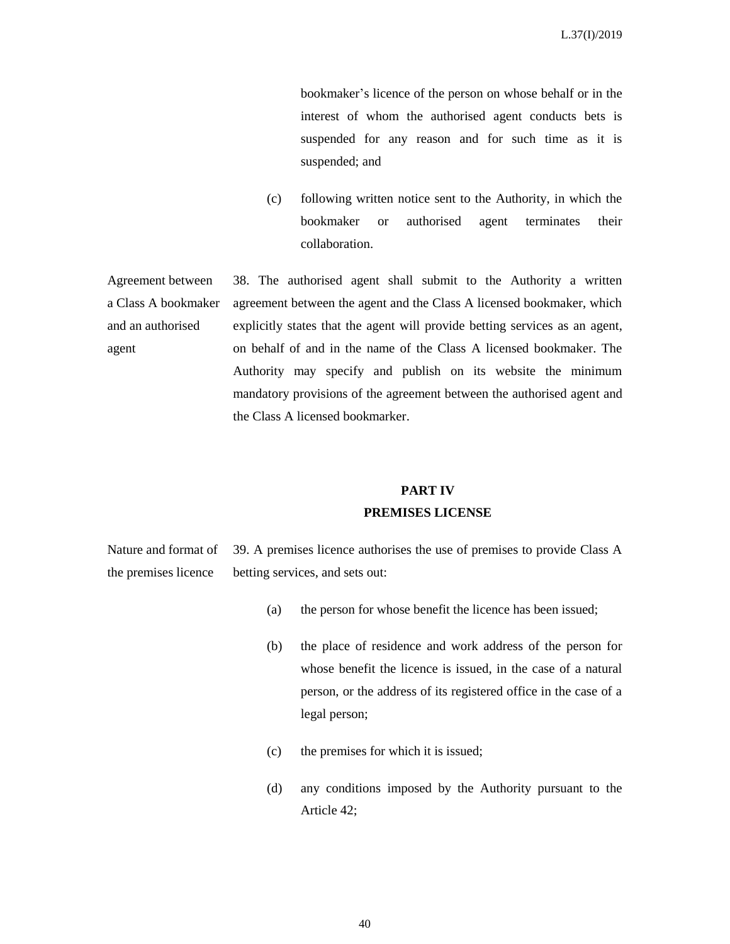bookmaker's licence of the person on whose behalf or in the interest of whom the authorised agent conducts bets is suspended for any reason and for such time as it is suspended; and

(c) following written notice sent to the Authority, in which the bookmaker or authorised agent terminates their collaboration.

Agreement between a Class A bookmaker and an authorised agent 38. The authorised agent shall submit to the Authority a written agreement between the agent and the Class A licensed bookmaker, which explicitly states that the agent will provide betting services as an agent, on behalf of and in the name of the Class A licensed bookmaker. The Authority may specify and publish on its website the minimum mandatory provisions of the agreement between the authorised agent and the Class A licensed bookmarker.

#### **PART IV**

#### **PREMISES LICENSE**

Nature and format of the premises licence 39. A premises licence authorises the use of premises to provide Class A betting services, and sets out:

- (a) the person for whose benefit the licence has been issued;
- (b) the place of residence and work address of the person for whose benefit the licence is issued, in the case of a natural person, or the address of its registered office in the case of a legal person;
- (c) the premises for which it is issued;
- (d) any conditions imposed by the Authority pursuant to the Article 42;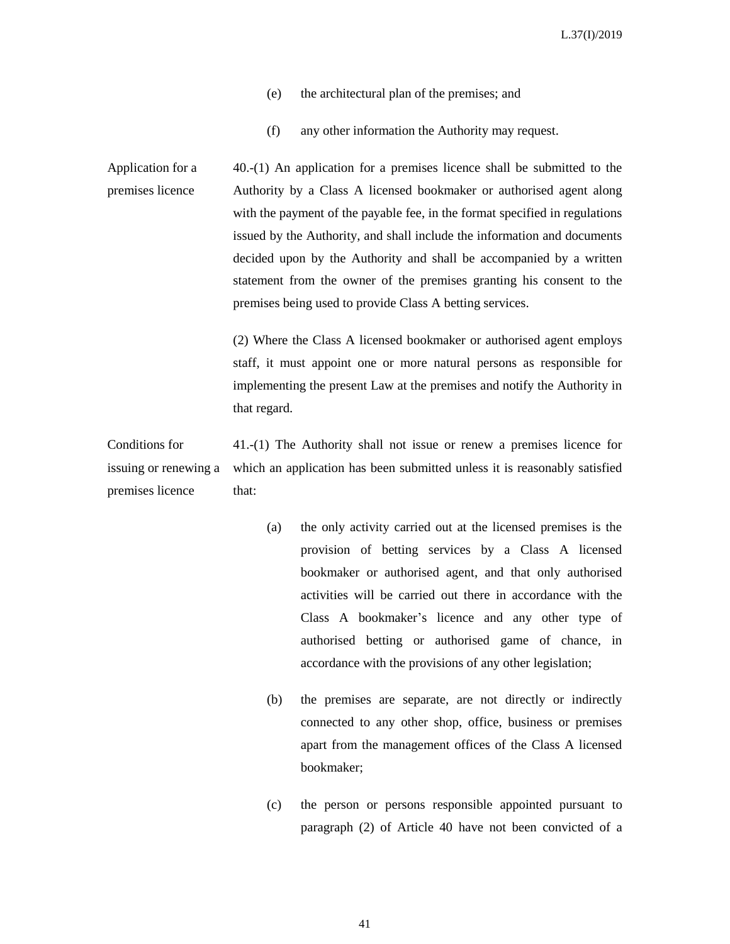- (e) the architectural plan of the premises; and
- (f) any other information the Authority may request.

Application for a premises licence 40.-(1) An application for a premises licence shall be submitted to the Authority by a Class A licensed bookmaker or authorised agent along with the payment of the payable fee, in the format specified in regulations issued by the Authority, and shall include the information and documents decided upon by the Authority and shall be accompanied by a written statement from the owner of the premises granting his consent to the premises being used to provide Class A betting services.

> (2) Where the Class A licensed bookmaker or authorised agent employs staff, it must appoint one or more natural persons as responsible for implementing the present Law at the premises and notify the Authority in that regard.

Conditions for issuing or renewing a premises licence 41.-(1) The Authority shall not issue or renew a premises licence for which an application has been submitted unless it is reasonably satisfied that:

- (a) the only activity carried out at the licensed premises is the provision of betting services by a Class A licensed bookmaker or authorised agent, and that only authorised activities will be carried out there in accordance with the Class A bookmaker's licence and any other type of authorised betting or authorised game of chance, in accordance with the provisions of any other legislation;
- (b) the premises are separate, are not directly or indirectly connected to any other shop, office, business or premises apart from the management offices of the Class A licensed bookmaker;
- (c) the person or persons responsible appointed pursuant to paragraph (2) of Article 40 have not been convicted of a

41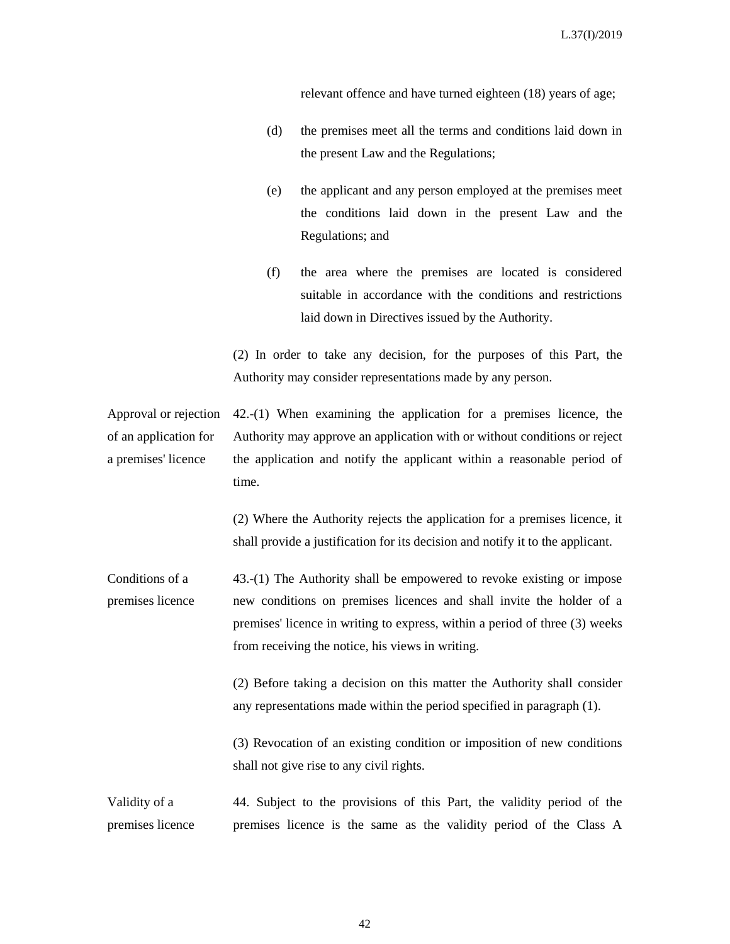relevant offence and have turned eighteen (18) years of age;

- (d) the premises meet all the terms and conditions laid down in the present Law and the Regulations;
- (e) the applicant and any person employed at the premises meet the conditions laid down in the present Law and the Regulations; and
- (f) the area where the premises are located is considered suitable in accordance with the conditions and restrictions laid down in Directives issued by the Authority.

(2) In order to take any decision, for the purposes of this Part, the Authority may consider representations made by any person.

Approval or rejection of an application for a premises' licence 42.-(1) When examining the application for a premises licence, the Authority may approve an application with or without conditions or reject the application and notify the applicant within a reasonable period of time.

> (2) Where the Authority rejects the application for a premises licence, it shall provide a justification for its decision and notify it to the applicant.

Conditions of a premises licence 43.-(1) The Authority shall be empowered to revoke existing or impose new conditions on premises licences and shall invite the holder of a premises' licence in writing to express, within a period of three (3) weeks from receiving the notice, his views in writing.

> (2) Before taking a decision on this matter the Authority shall consider any representations made within the period specified in paragraph (1).

> (3) Revocation of an existing condition or imposition of new conditions shall not give rise to any civil rights.

Validity of a premises licence 44. Subject to the provisions of this Part, the validity period of the premises licence is the same as the validity period of the Class A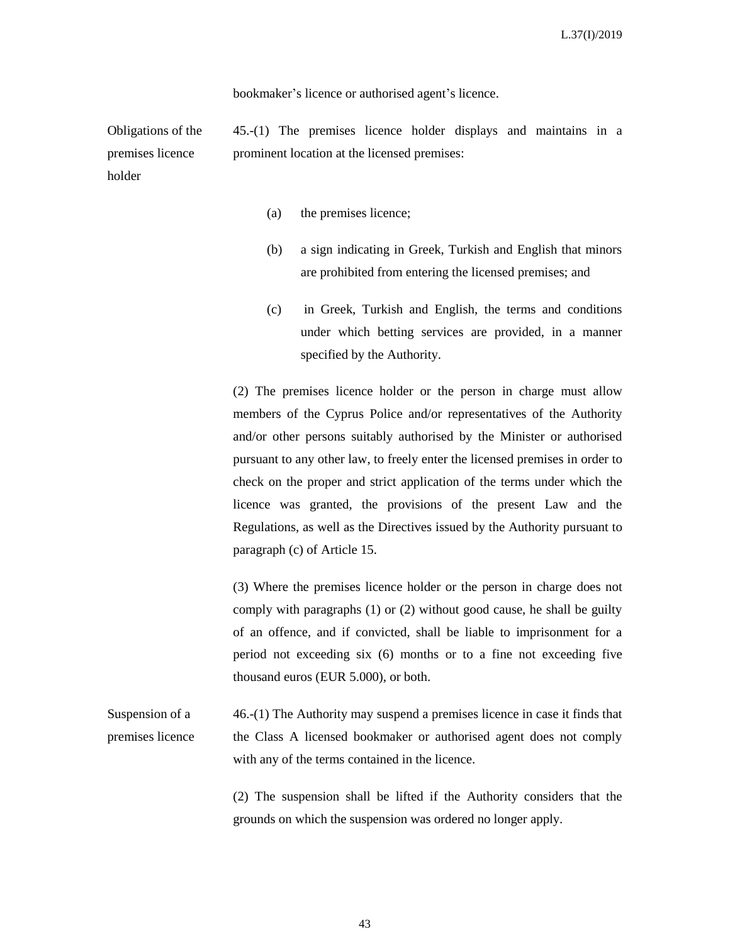bookmaker's licence or authorised agent's licence.

Obligations of the premises licence holder 45.-(1) The premises licence holder displays and maintains in a prominent location at the licensed premises:

- (a) the premises licence;
- (b) a sign indicating in Greek, Turkish and English that minors are prohibited from entering the licensed premises; and
- (c) in Greek, Turkish and English, the terms and conditions under which betting services are provided, in a manner specified by the Authority.

(2) The premises licence holder or the person in charge must allow members of the Cyprus Police and/or representatives of the Authority and/or other persons suitably authorised by the Minister or authorised pursuant to any other law, to freely enter the licensed premises in order to check on the proper and strict application of the terms under which the licence was granted, the provisions of the present Law and the Regulations, as well as the Directives issued by the Authority pursuant to paragraph (c) of Article 15.

(3) Where the premises licence holder or the person in charge does not comply with paragraphs (1) or (2) without good cause, he shall be guilty of an offence, and if convicted, shall be liable to imprisonment for a period not exceeding six (6) months or to a fine not exceeding five thousand euros (EUR 5.000), or both.

Suspension of a premises licence 46.-(1) The Authority may suspend a premises licence in case it finds that the Class A licensed bookmaker or authorised agent does not comply with any of the terms contained in the licence.

> (2) The suspension shall be lifted if the Authority considers that the grounds on which the suspension was ordered no longer apply.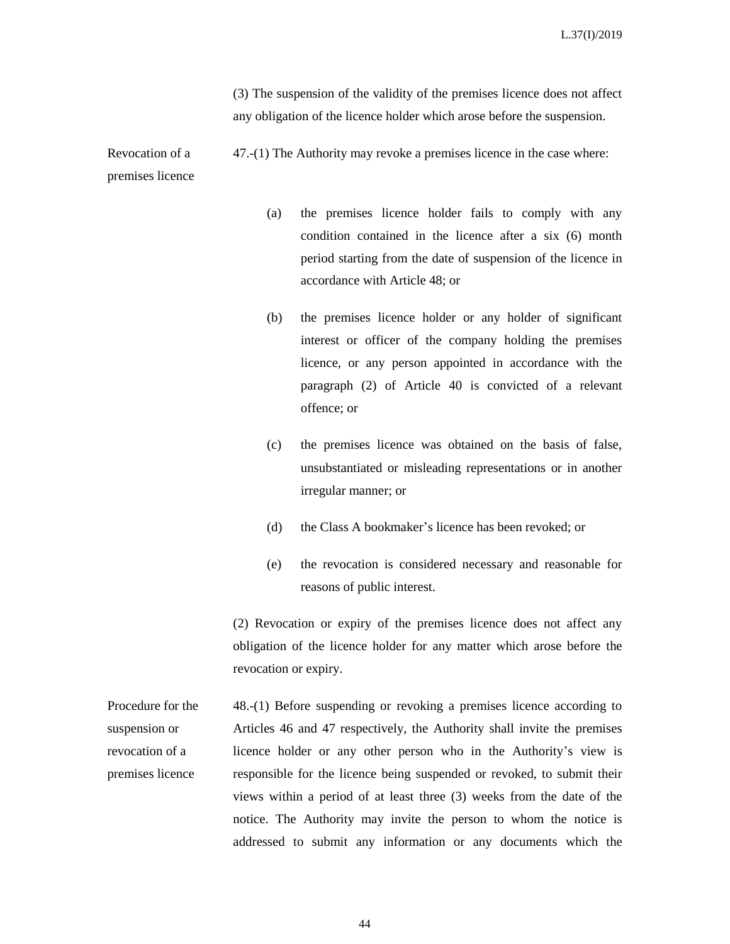(3) The suspension of the validity of the premises licence does not affect any obligation of the licence holder which arose before the suspension.

Revocation of a premises licence 47.-(1) The Authority may revoke a premises licence in the case where:

- (a) the premises licence holder fails to comply with any condition contained in the licence after a six (6) month period starting from the date of suspension of the licence in accordance with Article 48; or
- (b) the premises licence holder or any holder of significant interest or officer of the company holding the premises licence, or any person appointed in accordance with the paragraph (2) of Article 40 is convicted of a relevant offence; or
- (c) the premises licence was obtained on the basis of false, unsubstantiated or misleading representations or in another irregular manner; or
- (d) the Class A bookmaker's licence has been revoked; or
- (e) the revocation is considered necessary and reasonable for reasons of public interest.

(2) Revocation or expiry of the premises licence does not affect any obligation of the licence holder for any matter which arose before the revocation or expiry.

Procedure for the suspension or revocation of a premises licence 48.-(1) Before suspending or revoking a premises licence according to Articles 46 and 47 respectively, the Authority shall invite the premises licence holder or any other person who in the Authority's view is responsible for the licence being suspended or revoked, to submit their views within a period of at least three (3) weeks from the date of the notice. The Authority may invite the person to whom the notice is addressed to submit any information or any documents which the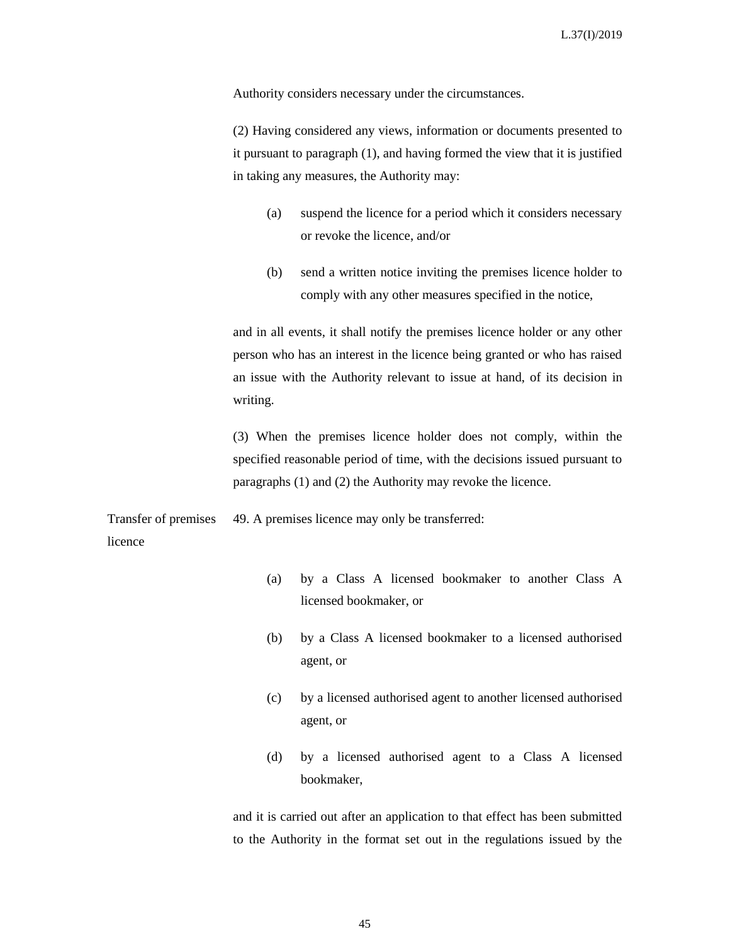Authority considers necessary under the circumstances.

(2) Having considered any views, information or documents presented to it pursuant to paragraph (1), and having formed the view that it is justified in taking any measures, the Authority may:

- (a) suspend the licence for a period which it considers necessary or revoke the licence, and/or
- (b) send a written notice inviting the premises licence holder to comply with any other measures specified in the notice,

and in all events, it shall notify the premises licence holder or any other person who has an interest in the licence being granted or who has raised an issue with the Authority relevant to issue at hand, of its decision in writing.

(3) When the premises licence holder does not comply, within the specified reasonable period of time, with the decisions issued pursuant to paragraphs (1) and (2) the Authority may revoke the licence.

Transfer of premises licence 49. A premises licence may only be transferred:

- (a) by a Class A licensed bookmaker to another Class A licensed bookmaker, or
- (b) by a Class A licensed bookmaker to a licensed authorised agent, or
- (c) by a licensed authorised agent to another licensed authorised agent, or
- (d) by a licensed authorised agent to a Class A licensed bookmaker,

and it is carried out after an application to that effect has been submitted to the Authority in the format set out in the regulations issued by the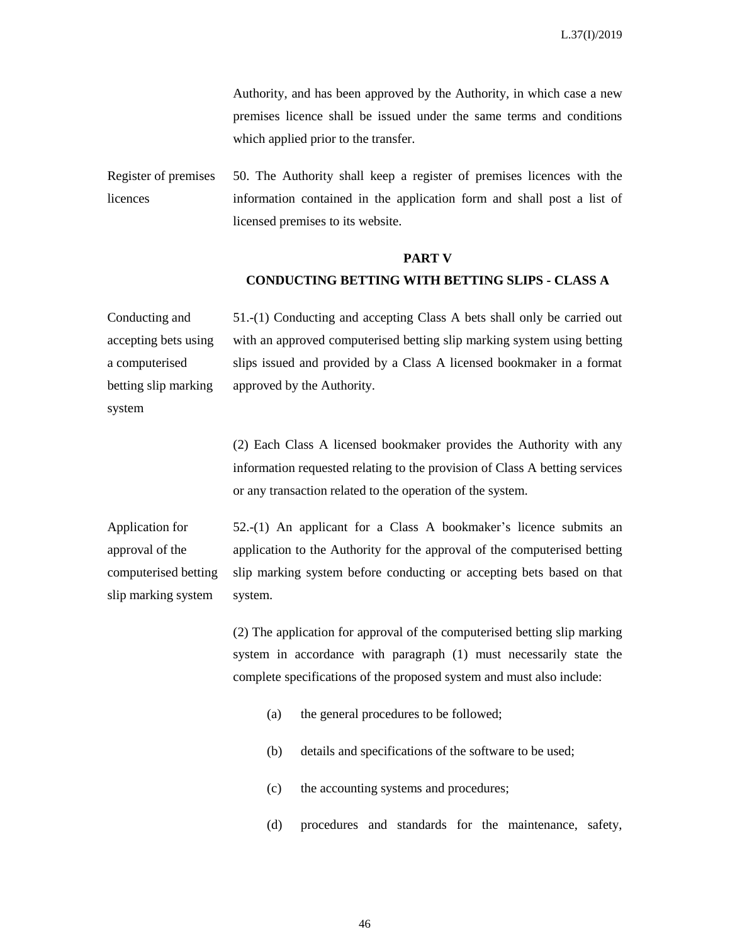Authority, and has been approved by the Authority, in which case a new premises licence shall be issued under the same terms and conditions which applied prior to the transfer.

Register of premises licences 50. The Authority shall keep a register of premises licences with the information contained in the application form and shall post a list of licensed premises to its website.

#### **PART V**

#### **CONDUCTING BETTING WITH BETTING SLIPS - CLASS A**

Conducting and accepting bets using a computerised betting slip marking 51.-(1) Conducting and accepting Class A bets shall only be carried out with an approved computerised betting slip marking system using betting slips issued and provided by a Class A licensed bookmaker in a format approved by the Authority.

system

(2) Each Class A licensed bookmaker provides the Authority with any information requested relating to the provision of Class A betting services or any transaction related to the operation of the system.

Application for approval of the computerised betting slip marking system 52.-(1) An applicant for a Class A bookmaker's licence submits an application to the Authority for the approval of the computerised betting slip marking system before conducting or accepting bets based on that system.

> (2) The application for approval of the computerised betting slip marking system in accordance with paragraph (1) must necessarily state the complete specifications of the proposed system and must also include:

- (a) the general procedures to be followed;
- (b) details and specifications of the software to be used;
- (c) the accounting systems and procedures;
- (d) procedures and standards for the maintenance, safety,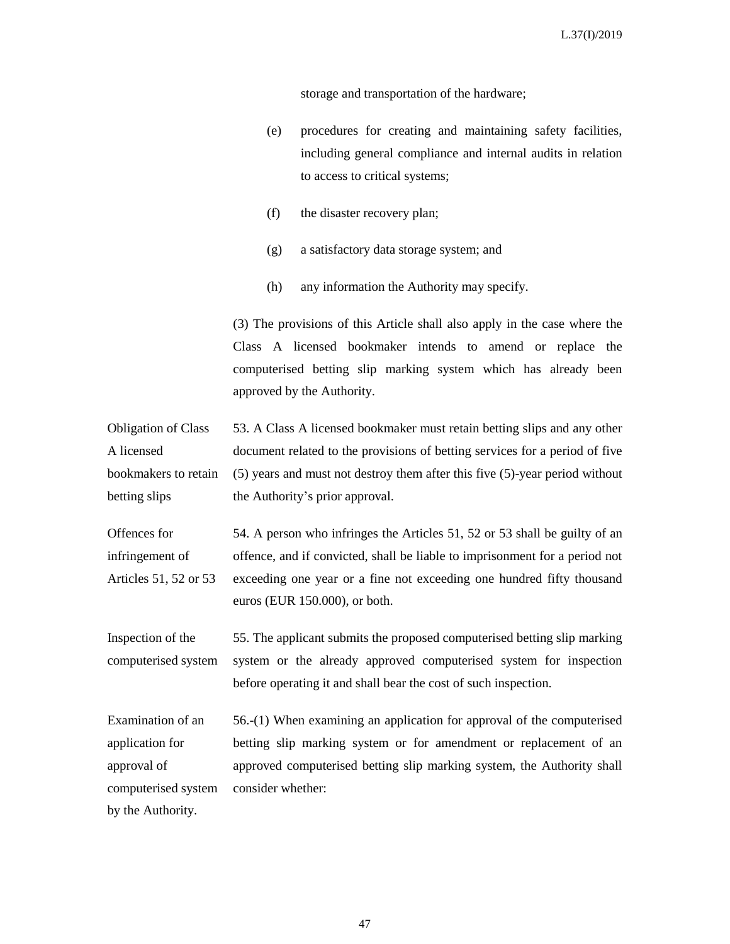storage and transportation of the hardware;

- (e) procedures for creating and maintaining safety facilities, including general compliance and internal audits in relation to access to critical systems;
- (f) the disaster recovery plan;
- (g) a satisfactory data storage system; and
- (h) any information the Authority may specify.

(3) The provisions of this Article shall also apply in the case where the Class A licensed bookmaker intends to amend or replace the computerised betting slip marking system which has already been approved by the Authority.

Obligation of Class A licensed bookmakers to retain betting slips 53. A Class A licensed bookmaker must retain betting slips and any other document related to the provisions of betting services for a period of five (5) years and must not destroy them after this five (5)-year period without the Authority's prior approval.

Offences for infringement of Articles 51, 52 or 53 54. A person who infringes the Articles 51, 52 or 53 shall be guilty of an offence, and if convicted, shall be liable to imprisonment for a period not exceeding one year or a fine not exceeding one hundred fifty thousand euros (EUR 150.000), or both.

Inspection of the computerised system 55. The applicant submits the proposed computerised betting slip marking system or the already approved computerised system for inspection before operating it and shall bear the cost of such inspection.

Examination of an application for approval of computerised system 56.-(1) When examining an application for approval of the computerised betting slip marking system or for amendment or replacement of an approved computerised betting slip marking system, the Authority shall consider whether:

by the Authority.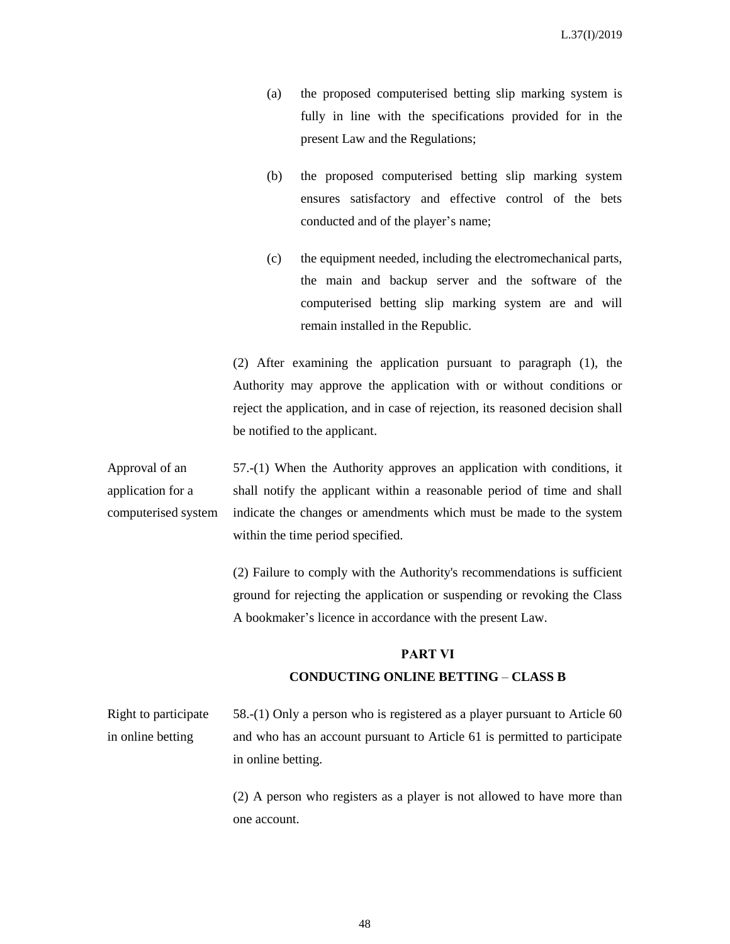- (a) the proposed computerised betting slip marking system is fully in line with the specifications provided for in the present Law and the Regulations;
- (b) the proposed computerised betting slip marking system ensures satisfactory and effective control of the bets conducted and of the player's name;
- (c) the equipment needed, including the electromechanical parts, the main and backup server and the software of the computerised betting slip marking system are and will remain installed in the Republic.

(2) After examining the application pursuant to paragraph (1), the Authority may approve the application with or without conditions or reject the application, and in case of rejection, its reasoned decision shall be notified to the applicant.

Approval of an application for a computerised system 57.-(1) When the Authority approves an application with conditions, it shall notify the applicant within a reasonable period of time and shall indicate the changes or amendments which must be made to the system within the time period specified.

> (2) Failure to comply with the Authority's recommendations is sufficient ground for rejecting the application or suspending or revoking the Class A bookmaker's licence in accordance with the present Law.

#### **PART VΙ**

#### **CONDUCTING ONLINE BETTING** – **CLASS B**

Right to participate in online betting 58.-(1) Only a person who is registered as a player pursuant to Article 60 and who has an account pursuant to Article 61 is permitted to participate in online betting.

> (2) A person who registers as a player is not allowed to have more than one account.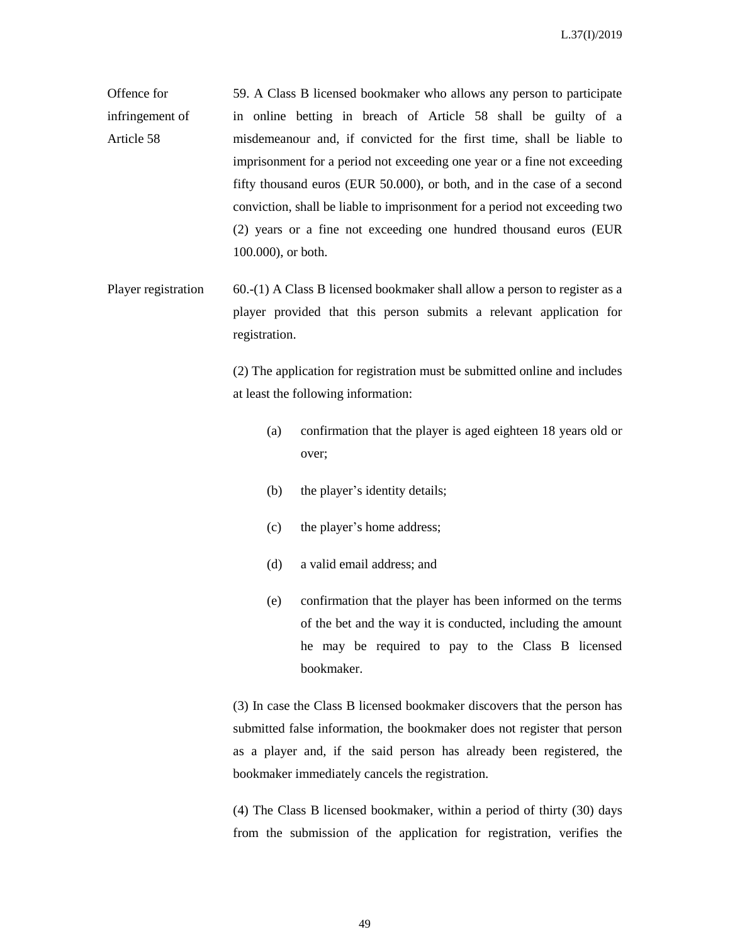Offence for infringement of Article 58 59. A Class B licensed bookmaker who allows any person to participate in online betting in breach of Article 58 shall be guilty of a misdemeanour and, if convicted for the first time, shall be liable to imprisonment for a period not exceeding one year or a fine not exceeding fifty thousand euros (EUR 50.000), or both, and in the case of a second conviction, shall be liable to imprisonment for a period not exceeding two (2) years or a fine not exceeding one hundred thousand euros (EUR 100.000), or both.

Player registration 60.-(1) A Class B licensed bookmaker shall allow a person to register as a player provided that this person submits a relevant application for registration.

> (2) The application for registration must be submitted online and includes at least the following information:

- (a) confirmation that the player is aged eighteen 18 years old or over;
- (b) the player's identity details;
- (c) the player's home address;
- (d) a valid email address; and
- (e) confirmation that the player has been informed on the terms of the bet and the way it is conducted, including the amount he may be required to pay to the Class B licensed bookmaker.

(3) In case the Class B licensed bookmaker discovers that the person has submitted false information, the bookmaker does not register that person as a player and, if the said person has already been registered, the bookmaker immediately cancels the registration.

(4) The Class B licensed bookmaker, within a period of thirty (30) days from the submission of the application for registration, verifies the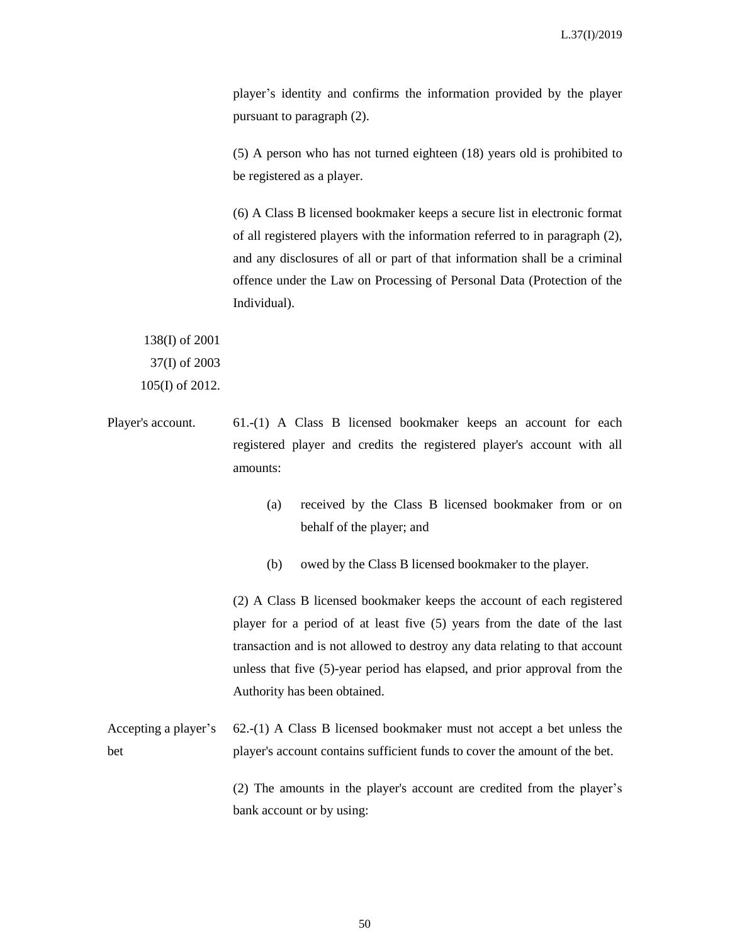player's identity and confirms the information provided by the player pursuant to paragraph (2).

(5) A person who has not turned eighteen (18) years old is prohibited to be registered as a player.

(6) A Class B licensed bookmaker keeps a secure list in electronic format of all registered players with the information referred to in paragraph (2), and any disclosures of all or part of that information shall be a criminal offence under the Law on Processing of Personal Data (Protection of the Individual).

138(I) of 2001 37(I) of 2003 105(I) of 2012.

- Player's account. 61.-(1) A Class B licensed bookmaker keeps an account for each registered player and credits the registered player's account with all amounts:
	- (a) received by the Class B licensed bookmaker from or on behalf of the player; and
	- (b) owed by the Class B licensed bookmaker to the player.

(2) A Class B licensed bookmaker keeps the account of each registered player for a period of at least five (5) years from the date of the last transaction and is not allowed to destroy any data relating to that account unless that five (5)-year period has elapsed, and prior approval from the Authority has been obtained.

Accepting a player's bet 62.-(1) A Class B licensed bookmaker must not accept a bet unless the player's account contains sufficient funds to cover the amount of the bet.

(2) The amounts in the player's account are credited from the player's bank account or by using: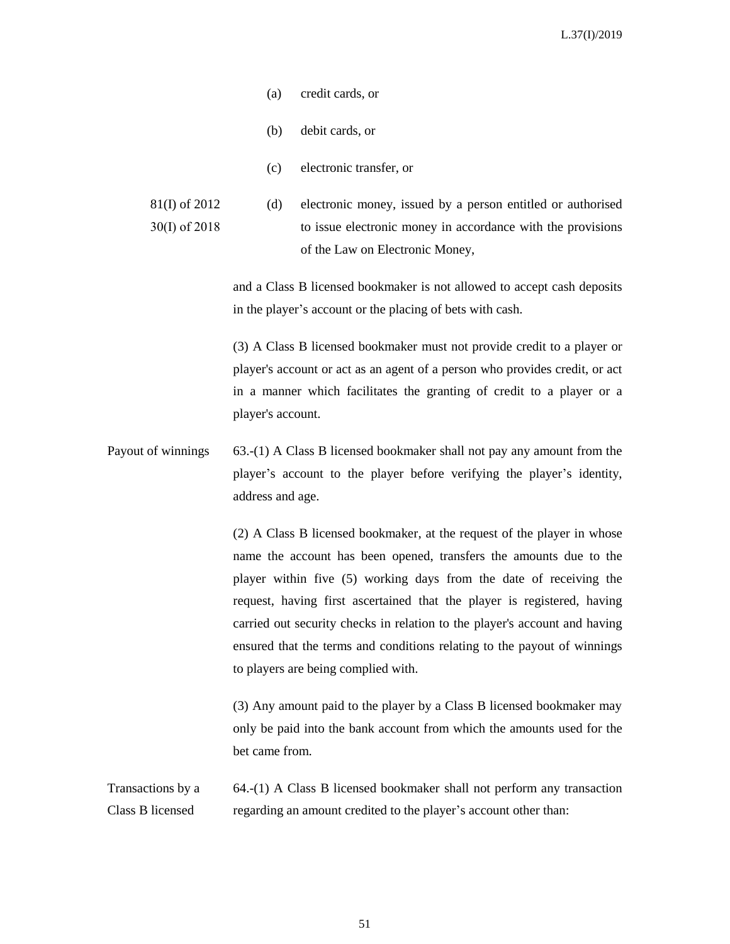- (a) credit cards, or
- (b) debit cards, or
- (c) electronic transfer, or
- 81(I) of 2012 30(I) of 2018 (d) electronic money, issued by a person entitled or authorised to issue electronic money in accordance with the provisions of the Law on Electronic Money,

and a Class B licensed bookmaker is not allowed to accept cash deposits in the player's account or the placing of bets with cash.

(3) A Class B licensed bookmaker must not provide credit to a player or player's account or act as an agent of a person who provides credit, or act in a manner which facilitates the granting of credit to a player or a player's account.

Payout of winnings 63.-(1) A Class B licensed bookmaker shall not pay any amount from the player's account to the player before verifying the player's identity, address and age.

> (2) A Class B licensed bookmaker, at the request of the player in whose name the account has been opened, transfers the amounts due to the player within five (5) working days from the date of receiving the request, having first ascertained that the player is registered, having carried out security checks in relation to the player's account and having ensured that the terms and conditions relating to the payout of winnings to players are being complied with.

> (3) Any amount paid to the player by a Class B licensed bookmaker may only be paid into the bank account from which the amounts used for the bet came from.

Transactions by a Class B licensed 64.-(1) A Class B licensed bookmaker shall not perform any transaction regarding an amount credited to the player's account other than: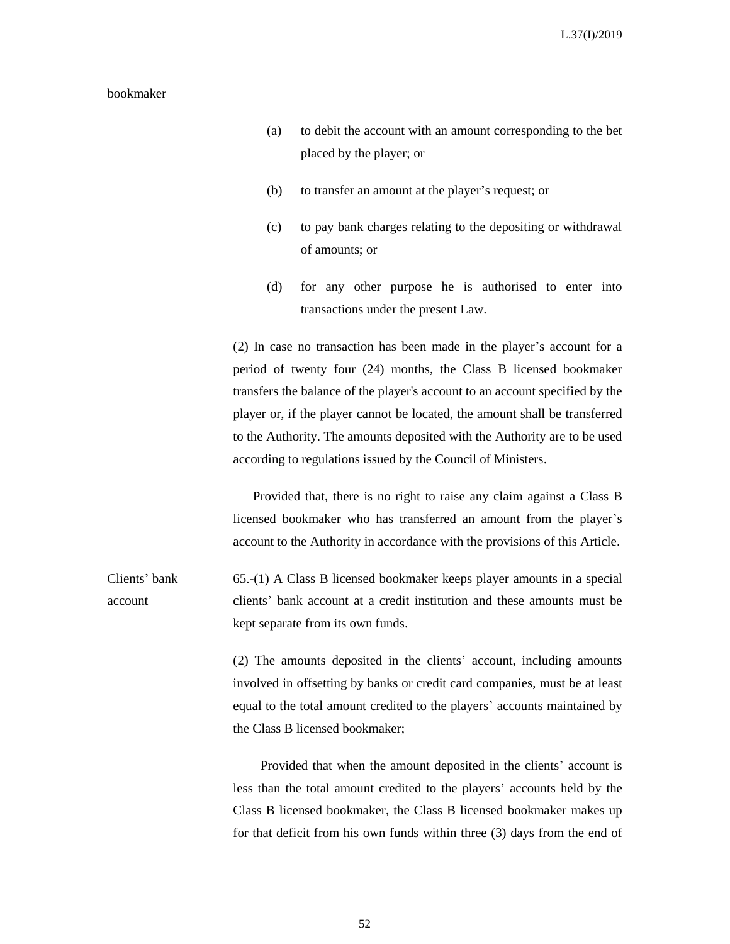#### bookmaker

- (a) to debit the account with an amount corresponding to the bet placed by the player; or
- (b) to transfer an amount at the player's request; or
- (c) to pay bank charges relating to the depositing or withdrawal of amounts; or
- (d) for any other purpose he is authorised to enter into transactions under the present Law.

(2) In case no transaction has been made in the player's account for a period of twenty four (24) months, the Class B licensed bookmaker transfers the balance of the player's account to an account specified by the player or, if the player cannot be located, the amount shall be transferred to the Authority. The amounts deposited with the Authority are to be used according to regulations issued by the Council of Ministers.

 Provided that, there is no right to raise any claim against a Class B licensed bookmaker who has transferred an amount from the player's account to the Authority in accordance with the provisions of this Article.

Clients' bank account 65.-(1) A Class B licensed bookmaker keeps player amounts in a special clients' bank account at a credit institution and these amounts must be kept separate from its own funds.

> (2) The amounts deposited in the clients' account, including amounts involved in offsetting by banks or credit card companies, must be at least equal to the total amount credited to the players' accounts maintained by the Class B licensed bookmaker;

> Provided that when the amount deposited in the clients' account is less than the total amount credited to the players' accounts held by the Class B licensed bookmaker, the Class B licensed bookmaker makes up for that deficit from his own funds within three (3) days from the end of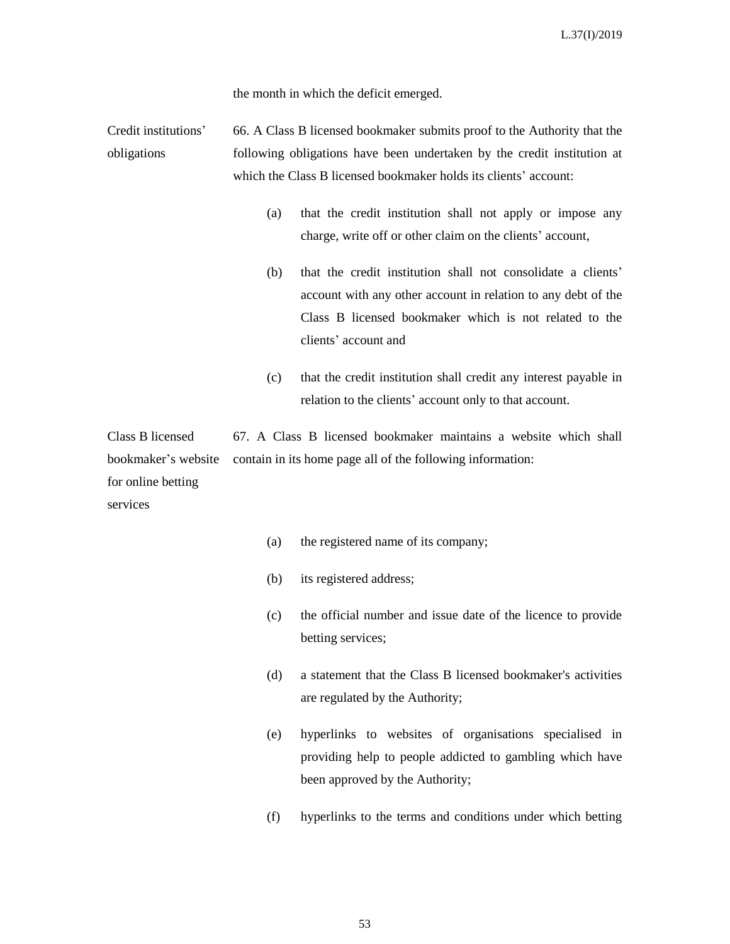the month in which the deficit emerged.

Credit institutions' obligations 66. A Class B licensed bookmaker submits proof to the Authority that the following obligations have been undertaken by the credit institution at which the Class B licensed bookmaker holds its clients' account:

- (a) that the credit institution shall not apply or impose any charge, write off or other claim on the clients' account,
- (b) that the credit institution shall not consolidate a clients' account with any other account in relation to any debt of the Class B licensed bookmaker which is not related to the clients' account and
- (c) that the credit institution shall credit any interest payable in relation to the clients' account only to that account.

Class B licensed bookmaker's website for online betting services 67. A Class B licensed bookmaker maintains a website which shall contain in its home page all of the following information:

- (a) the registered name of its company;
- (b) its registered address;
- (c) the official number and issue date of the licence to provide betting services;
- (d) a statement that the Class B licensed bookmaker's activities are regulated by the Authority;
- (e) hyperlinks to websites of organisations specialised in providing help to people addicted to gambling which have been approved by the Authority;
- (f) hyperlinks to the terms and conditions under which betting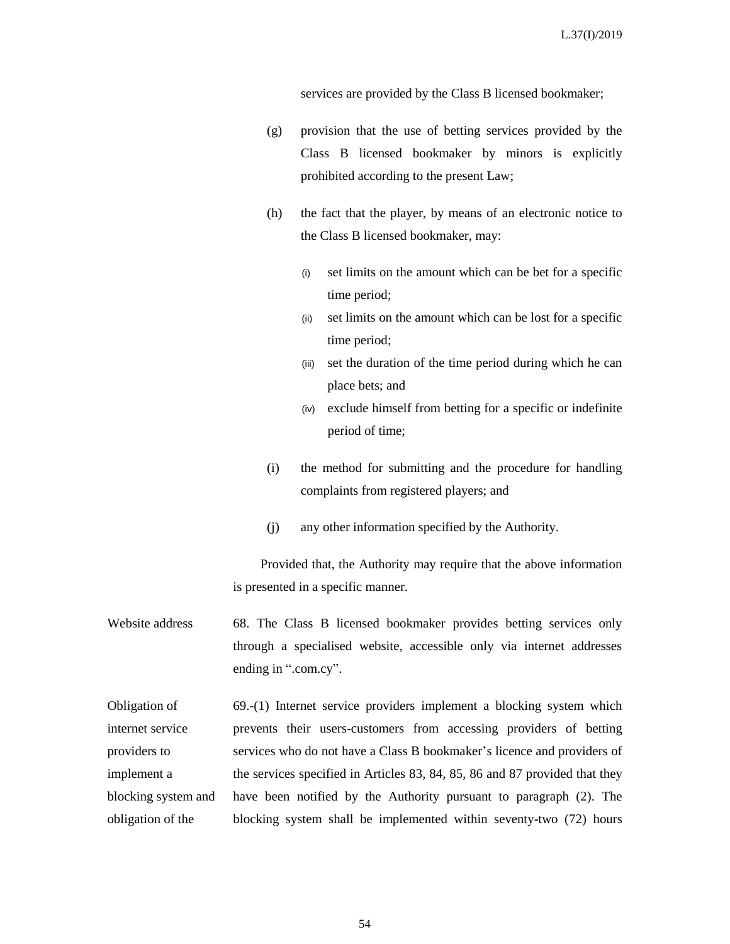services are provided by the Class B licensed bookmaker;

- (g) provision that the use of betting services provided by the Class B licensed bookmaker by minors is explicitly prohibited according to the present Law;
- (h) the fact that the player, by means of an electronic notice to the Class B licensed bookmaker, may:
	- (i) set limits on the amount which can be bet for a specific time period;
	- (ii) set limits on the amount which can be lost for a specific time period;
	- (iii) set the duration of the time period during which he can place bets; and
	- (iv) exclude himself from betting for a specific or indefinite period of time;
- (i) the method for submitting and the procedure for handling complaints from registered players; and
- (j) any other information specified by the Authority.

Provided that, the Authority may require that the above information is presented in a specific manner.

Website address 68. The Class B licensed bookmaker provides betting services only through a specialised website, accessible only via internet addresses ending in ".com.cy".

Obligation of internet service providers to implement a blocking system and obligation of the 69.-(1) Internet service providers implement a blocking system which prevents their users-customers from accessing providers of betting services who do not have a Class B bookmaker's licence and providers of the services specified in Articles 83, 84, 85, 86 and 87 provided that they have been notified by the Authority pursuant to paragraph (2). The blocking system shall be implemented within seventy-two (72) hours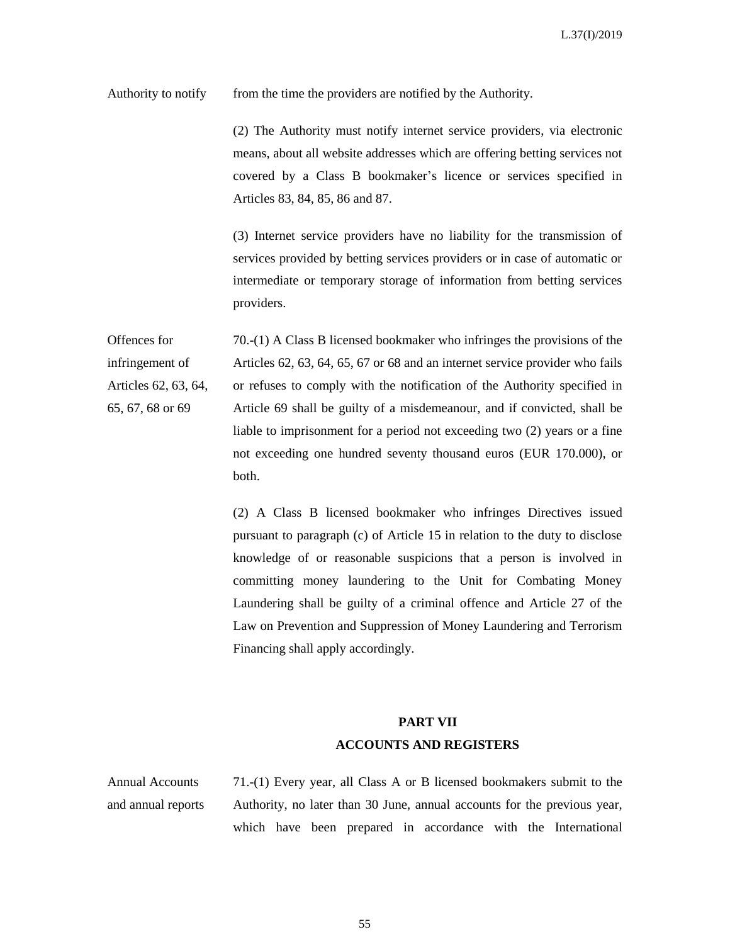Authority to notify from the time the providers are notified by the Authority.

(2) The Authority must notify internet service providers, via electronic means, about all website addresses which are offering betting services not covered by a Class B bookmaker's licence or services specified in Articles 83, 84, 85, 86 and 87.

(3) Internet service providers have no liability for the transmission of services provided by betting services providers or in case of automatic or intermediate or temporary storage of information from betting services providers.

Offences for infringement of Articles 62, 63, 64, 65, 67, 68 or 69 70.-(1) A Class B licensed bookmaker who infringes the provisions of the Articles 62, 63, 64, 65, 67 or 68 and an internet service provider who fails or refuses to comply with the notification of the Authority specified in Article 69 shall be guilty of a misdemeanour, and if convicted, shall be liable to imprisonment for a period not exceeding two (2) years or a fine not exceeding one hundred seventy thousand euros (EUR 170.000), or both.

> (2) A Class B licensed bookmaker who infringes Directives issued pursuant to paragraph (c) of Article 15 in relation to the duty to disclose knowledge of or reasonable suspicions that a person is involved in committing money laundering to the Unit for Combating Money Laundering shall be guilty of a criminal offence and Article 27 of the Law on Prevention and Suppression of Money Laundering and Terrorism Financing shall apply accordingly.

# **PART VII ACCOUNTS AND REGISTERS**

Annual Accounts and annual reports 71.-(1) Every year, all Class A or B licensed bookmakers submit to the Authority, no later than 30 June, annual accounts for the previous year, which have been prepared in accordance with the International

55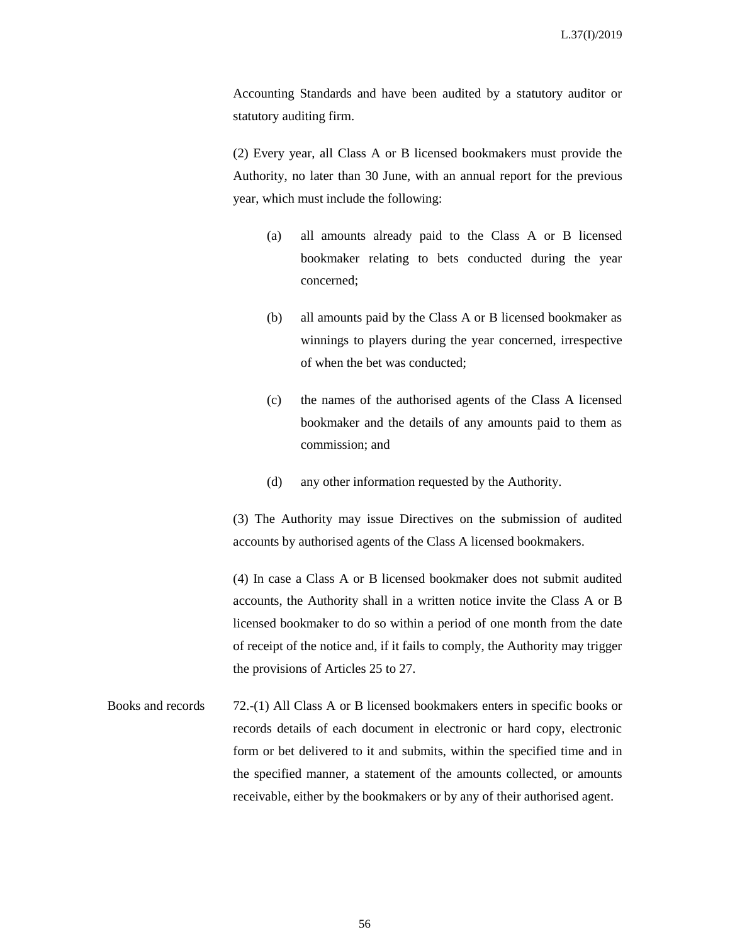Accounting Standards and have been audited by a statutory auditor or statutory auditing firm.

(2) Every year, all Class A or B licensed bookmakers must provide the Authority, no later than 30 June, with an annual report for the previous year, which must include the following:

- (a) all amounts already paid to the Class A or B licensed bookmaker relating to bets conducted during the year concerned;
- (b) all amounts paid by the Class A or B licensed bookmaker as winnings to players during the year concerned, irrespective of when the bet was conducted;
- (c) the names of the authorised agents of the Class A licensed bookmaker and the details of any amounts paid to them as commission; and
- (d) any other information requested by the Authority.

(3) The Authority may issue Directives on the submission of audited accounts by authorised agents of the Class A licensed bookmakers.

(4) In case a Class A or B licensed bookmaker does not submit audited accounts, the Authority shall in a written notice invite the Class A or B licensed bookmaker to do so within a period of one month from the date of receipt of the notice and, if it fails to comply, the Authority may trigger the provisions of Articles 25 to 27.

Books and records 72.-(1) All Class A or B licensed bookmakers enters in specific books or records details of each document in electronic or hard copy, electronic form or bet delivered to it and submits, within the specified time and in the specified manner, a statement of the amounts collected, or amounts receivable, either by the bookmakers or by any of their authorised agent.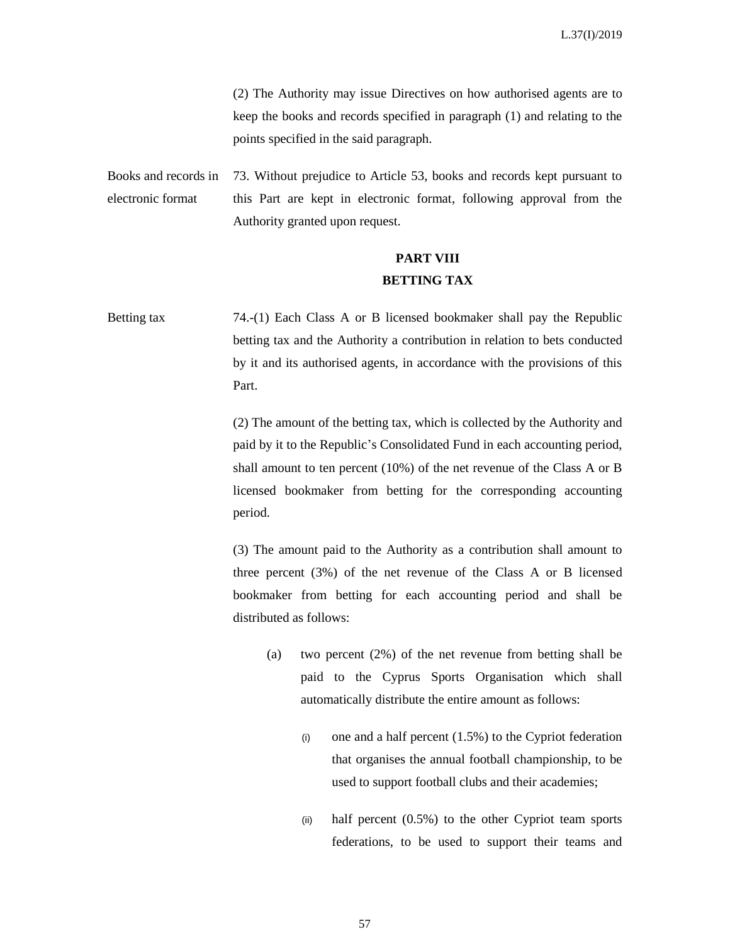(2) The Authority may issue Directives on how authorised agents are to keep the books and records specified in paragraph (1) and relating to the points specified in the said paragraph.

Books and records in electronic format 73. Without prejudice to Article 53, books and records kept pursuant to this Part are kept in electronic format, following approval from the Authority granted upon request.

## **PART VIII BETTING TAX**

Betting tax 74.-(1) Each Class A or B licensed bookmaker shall pay the Republic betting tax and the Authority a contribution in relation to bets conducted by it and its authorised agents, in accordance with the provisions of this Part.

> (2) The amount of the betting tax, which is collected by the Authority and paid by it to the Republic's Consolidated Fund in each accounting period, shall amount to ten percent (10%) of the net revenue of the Class A or B licensed bookmaker from betting for the corresponding accounting period.

> (3) The amount paid to the Authority as a contribution shall amount to three percent (3%) of the net revenue of the Class A or B licensed bookmaker from betting for each accounting period and shall be distributed as follows:

- (a) two percent (2%) of the net revenue from betting shall be paid to the Cyprus Sports Organisation which shall automatically distribute the entire amount as follows:
	- (i) one and a half percent  $(1.5\%)$  to the Cypriot federation that organises the annual football championship, to be used to support football clubs and their academies;
	- (ii) half percent  $(0.5\%)$  to the other Cypriot team sports federations, to be used to support their teams and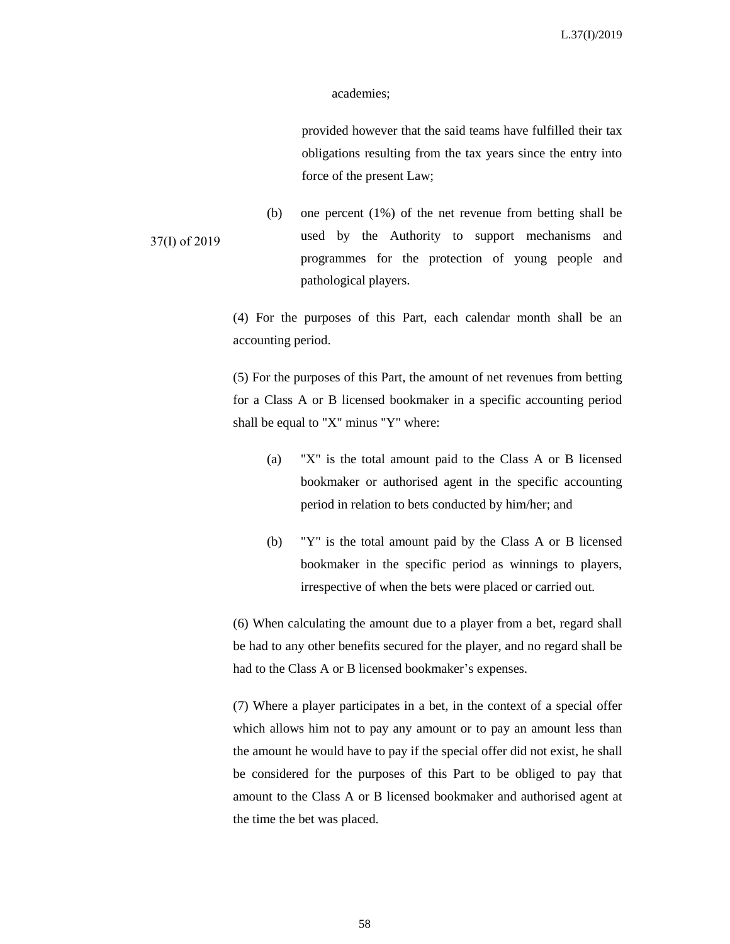#### academies;

provided however that the said teams have fulfilled their tax obligations resulting from the tax years since the entry into force of the present Law;

37(I) of 2019 (b) one percent (1%) of the net revenue from betting shall be used by the Authority to support mechanisms and programmes for the protection of young people and pathological players.

> (4) For the purposes of this Part, each calendar month shall be an accounting period.

> (5) For the purposes of this Part, the amount of net revenues from betting for a Class A or B licensed bookmaker in a specific accounting period shall be equal to "X" minus "Y" where:

- (a) "X" is the total amount paid to the Class A or B licensed bookmaker or authorised agent in the specific accounting period in relation to bets conducted by him/her; and
- (b) "Y" is the total amount paid by the Class A or B licensed bookmaker in the specific period as winnings to players, irrespective of when the bets were placed or carried out.

(6) When calculating the amount due to a player from a bet, regard shall be had to any other benefits secured for the player, and no regard shall be had to the Class A or B licensed bookmaker's expenses.

(7) Where a player participates in a bet, in the context of a special offer which allows him not to pay any amount or to pay an amount less than the amount he would have to pay if the special offer did not exist, he shall be considered for the purposes of this Part to be obliged to pay that amount to the Class A or B licensed bookmaker and authorised agent at the time the bet was placed.

58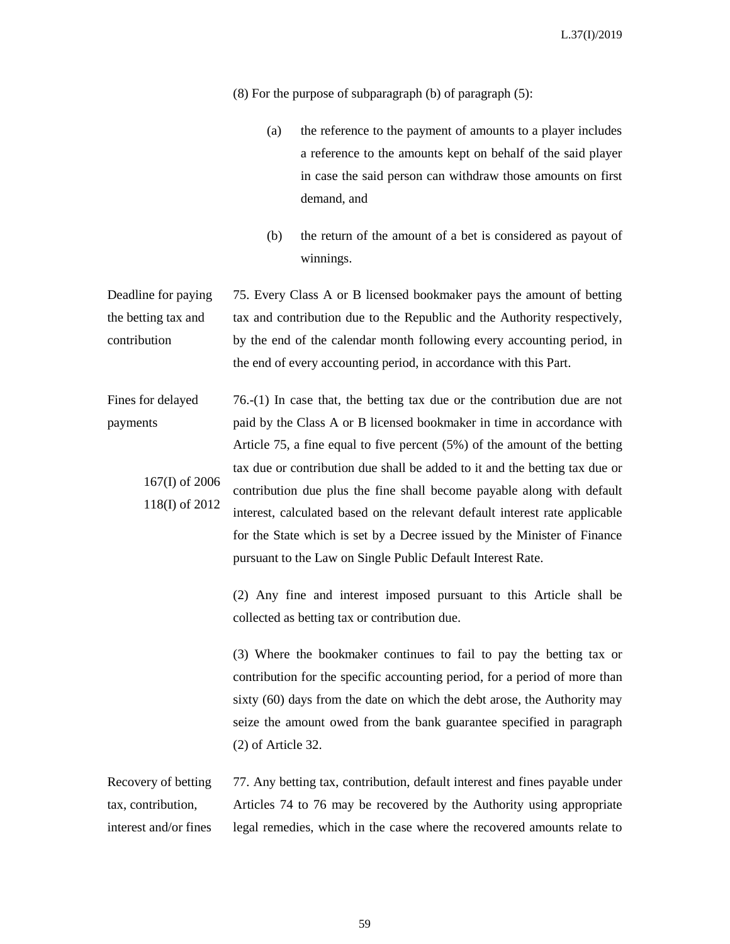(8) For the purpose of subparagraph (b) of paragraph (5):

- (a) the reference to the payment of amounts to a player includes a reference to the amounts kept on behalf of the said player in case the said person can withdraw those amounts on first demand, and
- (b) the return of the amount of a bet is considered as payout of winnings.

Deadline for paying the betting tax and contribution 75. Every Class A or B licensed bookmaker pays the amount of betting tax and contribution due to the Republic and the Authority respectively, by the end of the calendar month following every accounting period, in the end of every accounting period, in accordance with this Part.

Fines for delayed payments 167(I) of 2006 118(I) of 2012 76.-(1) In case that, the betting tax due or the contribution due are not paid by the Class A or B licensed bookmaker in time in accordance with Article 75, a fine equal to five percent (5%) of the amount of the betting tax due or contribution due shall be added to it and the betting tax due or contribution due plus the fine shall become payable along with default interest, calculated based on the relevant default interest rate applicable for the State which is set by a Decree issued by the Minister of Finance pursuant to the Law on Single Public Default Interest Rate.

> (2) Any fine and interest imposed pursuant to this Article shall be collected as betting tax or contribution due.

> (3) Where the bookmaker continues to fail to pay the betting tax or contribution for the specific accounting period, for a period of more than sixty (60) days from the date on which the debt arose, the Authority may seize the amount owed from the bank guarantee specified in paragraph (2) of Article 32.

Recovery of betting tax, contribution, interest and/or fines 77. Any betting tax, contribution, default interest and fines payable under Articles 74 to 76 may be recovered by the Authority using appropriate legal remedies, which in the case where the recovered amounts relate to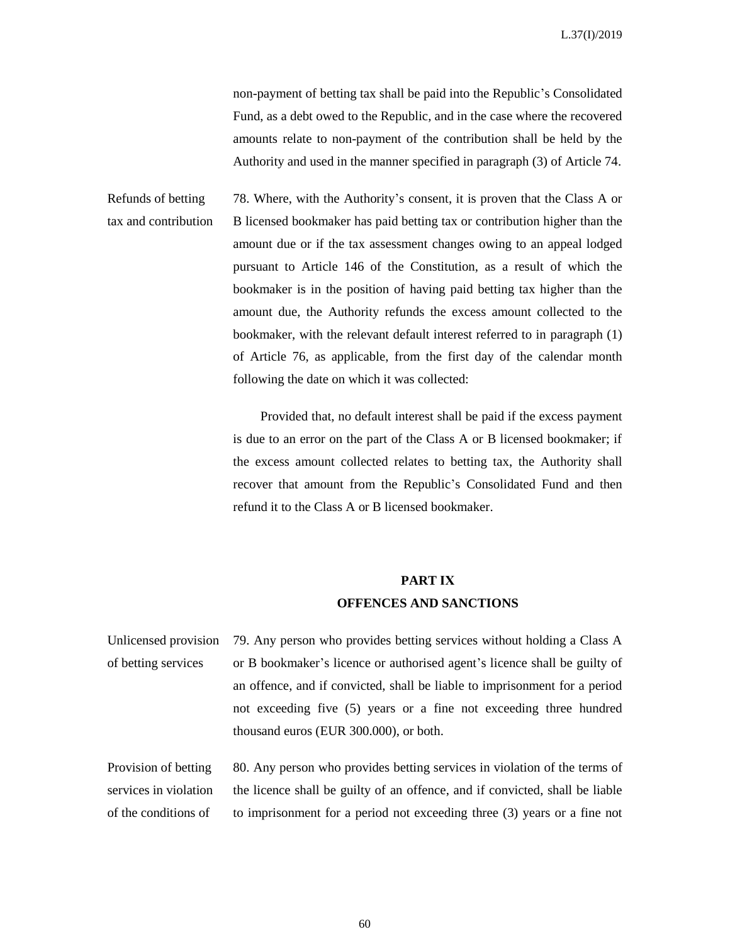non-payment of betting tax shall be paid into the Republic's Consolidated Fund, as a debt owed to the Republic, and in the case where the recovered amounts relate to non-payment of the contribution shall be held by the Authority and used in the manner specified in paragraph (3) of Article 74.

Refunds of betting tax and contribution 78. Where, with the Authority's consent, it is proven that the Class A or B licensed bookmaker has paid betting tax or contribution higher than the amount due or if the tax assessment changes owing to an appeal lodged pursuant to Article 146 of the Constitution, as a result of which the bookmaker is in the position of having paid betting tax higher than the amount due, the Authority refunds the excess amount collected to the bookmaker, with the relevant default interest referred to in paragraph (1) of Article 76, as applicable, from the first day of the calendar month following the date on which it was collected:

> Provided that, no default interest shall be paid if the excess payment is due to an error on the part of the Class A or B licensed bookmaker; if the excess amount collected relates to betting tax, the Authority shall recover that amount from the Republic's Consolidated Fund and then refund it to the Class A or B licensed bookmaker.

# **PART ΙX OFFENCES AND SANCTIONS**

Unlicensed provision of betting services 79. Any person who provides betting services without holding a Class A or B bookmaker's licence or authorised agent's licence shall be guilty of an offence, and if convicted, shall be liable to imprisonment for a period not exceeding five (5) years or a fine not exceeding three hundred thousand euros (EUR 300.000), or both.

Provision of betting services in violation of the conditions of 80. Any person who provides betting services in violation of the terms of the licence shall be guilty of an offence, and if convicted, shall be liable to imprisonment for a period not exceeding three (3) years or a fine not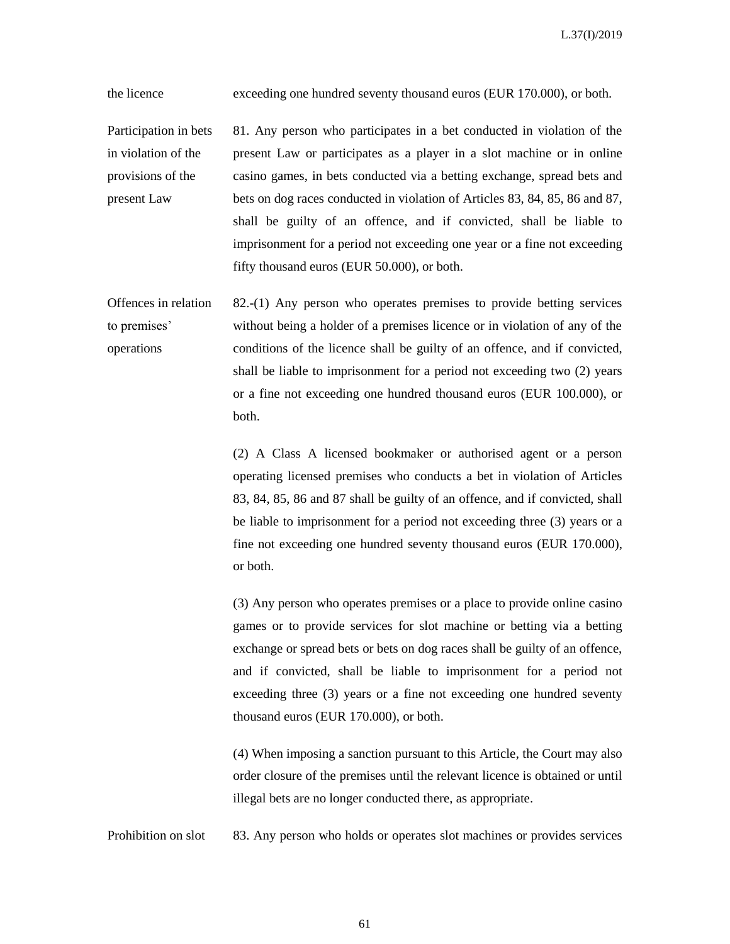the licence exceeding one hundred seventy thousand euros (EUR 170.000), or both.

Participation in bets in violation of the provisions of the present Law 81. Any person who participates in a bet conducted in violation of the present Law or participates as a player in a slot machine or in online casino games, in bets conducted via a betting exchange, spread bets and bets on dog races conducted in violation of Articles 83, 84, 85, 86 and 87, shall be guilty of an offence, and if convicted, shall be liable to imprisonment for a period not exceeding one year or a fine not exceeding fifty thousand euros (EUR 50.000), or both.

Offences in relation to premises' operations 82.-(1) Any person who operates premises to provide betting services without being a holder of a premises licence or in violation of any of the conditions of the licence shall be guilty of an offence, and if convicted, shall be liable to imprisonment for a period not exceeding two (2) years or a fine not exceeding one hundred thousand euros (EUR 100.000), or both.

> (2) A Class A licensed bookmaker or authorised agent or a person operating licensed premises who conducts a bet in violation of Articles 83, 84, 85, 86 and 87 shall be guilty of an offence, and if convicted, shall be liable to imprisonment for a period not exceeding three (3) years or a fine not exceeding one hundred seventy thousand euros (EUR 170.000), or both.

> (3) Any person who operates premises or a place to provide online casino games or to provide services for slot machine or betting via a betting exchange or spread bets or bets on dog races shall be guilty of an offence, and if convicted, shall be liable to imprisonment for a period not exceeding three (3) years or a fine not exceeding one hundred seventy thousand euros (EUR 170.000), or both.

> (4) When imposing a sanction pursuant to this Article, the Court may also order closure of the premises until the relevant licence is obtained or until illegal bets are no longer conducted there, as appropriate.

Prohibition on slot 83. Any person who holds or operates slot machines or provides services

61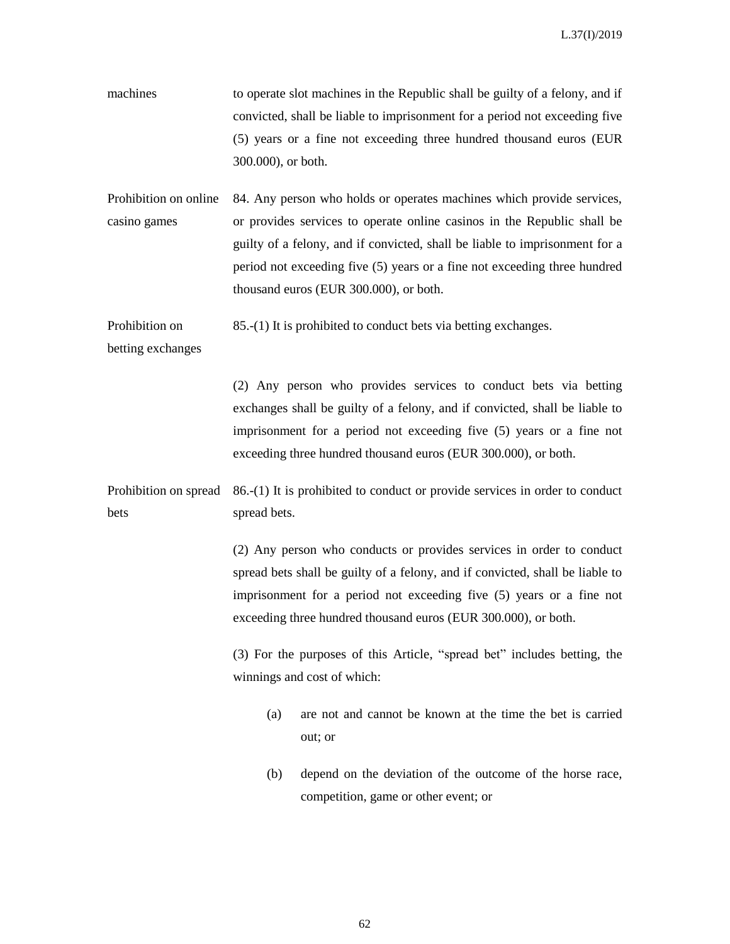- machines to operate slot machines in the Republic shall be guilty of a felony, and if convicted, shall be liable to imprisonment for a period not exceeding five (5) years or a fine not exceeding three hundred thousand euros (EUR 300.000), or both.
- Prohibition on online casino games 84. Any person who holds or operates machines which provide services, or provides services to operate online casinos in the Republic shall be guilty of a felony, and if convicted, shall be liable to imprisonment for a period not exceeding five (5) years or a fine not exceeding three hundred thousand euros (EUR 300.000), or both.

Prohibition on 85.-(1) It is prohibited to conduct bets via betting exchanges.

betting exchanges

(2) Any person who provides services to conduct bets via betting exchanges shall be guilty of a felony, and if convicted, shall be liable to imprisonment for a period not exceeding five (5) years or a fine not exceeding three hundred thousand euros (EUR 300.000), or both.

Prohibition on spread bets 86.-(1) It is prohibited to conduct or provide services in order to conduct spread bets.

> (2) Any person who conducts or provides services in order to conduct spread bets shall be guilty of a felony, and if convicted, shall be liable to imprisonment for a period not exceeding five (5) years or a fine not exceeding three hundred thousand euros (EUR 300.000), or both.

> (3) For the purposes of this Article, "spread bet" includes betting, the winnings and cost of which:

- (a) are not and cannot be known at the time the bet is carried out; or
- (b) depend on the deviation of the outcome of the horse race, competition, game or other event; or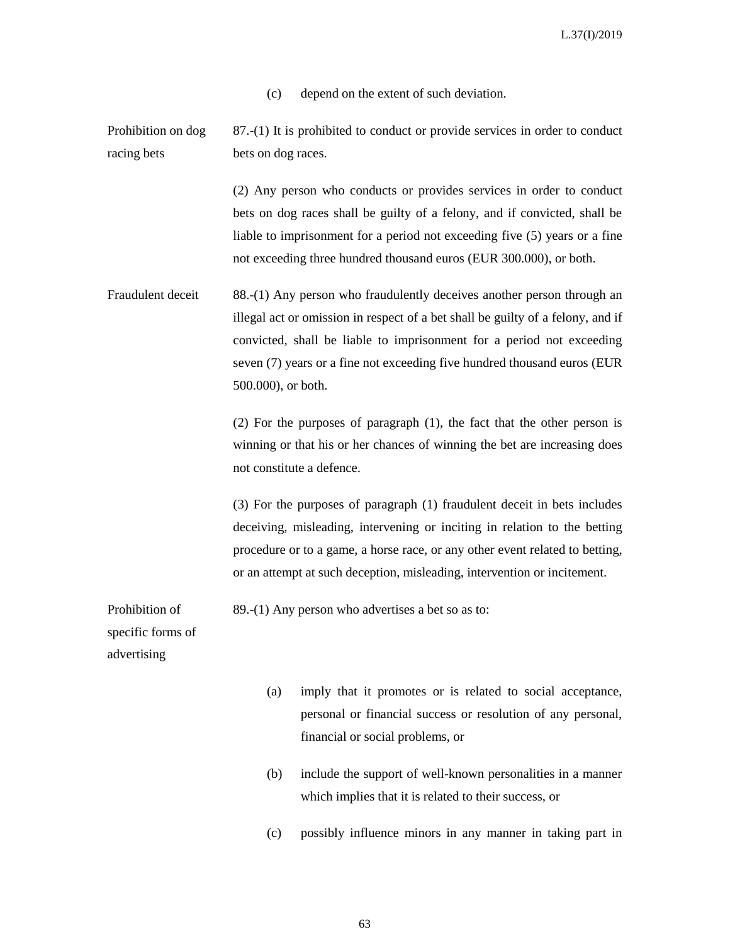(c) depend on the extent of such deviation.

Prohibition on dog racing bets 87.-(1) It is prohibited to conduct or provide services in order to conduct bets on dog races.

> (2) Any person who conducts or provides services in order to conduct bets on dog races shall be guilty of a felony, and if convicted, shall be liable to imprisonment for a period not exceeding five (5) years or a fine not exceeding three hundred thousand euros (EUR 300.000), or both.

Fraudulent deceit 88.-(1) Any person who fraudulently deceives another person through an illegal act or omission in respect of a bet shall be guilty of a felony, and if convicted, shall be liable to imprisonment for a period not exceeding seven (7) years or a fine not exceeding five hundred thousand euros (EUR 500.000), or both.

> (2) For the purposes of paragraph (1), the fact that the other person is winning or that his or her chances of winning the bet are increasing does not constitute a defence.

> (3) For the purposes of paragraph (1) fraudulent deceit in bets includes deceiving, misleading, intervening or inciting in relation to the betting procedure or to a game, a horse race, or any other event related to betting, or an attempt at such deception, misleading, intervention or incitement.

Prohibition of 89.-(1) Any person who advertises a bet so as to:

specific forms of

advertising

- (a) imply that it promotes or is related to social acceptance, personal or financial success or resolution of any personal, financial or social problems, or
- (b) include the support of well-known personalities in a manner which implies that it is related to their success, or
- (c) possibly influence minors in any manner in taking part in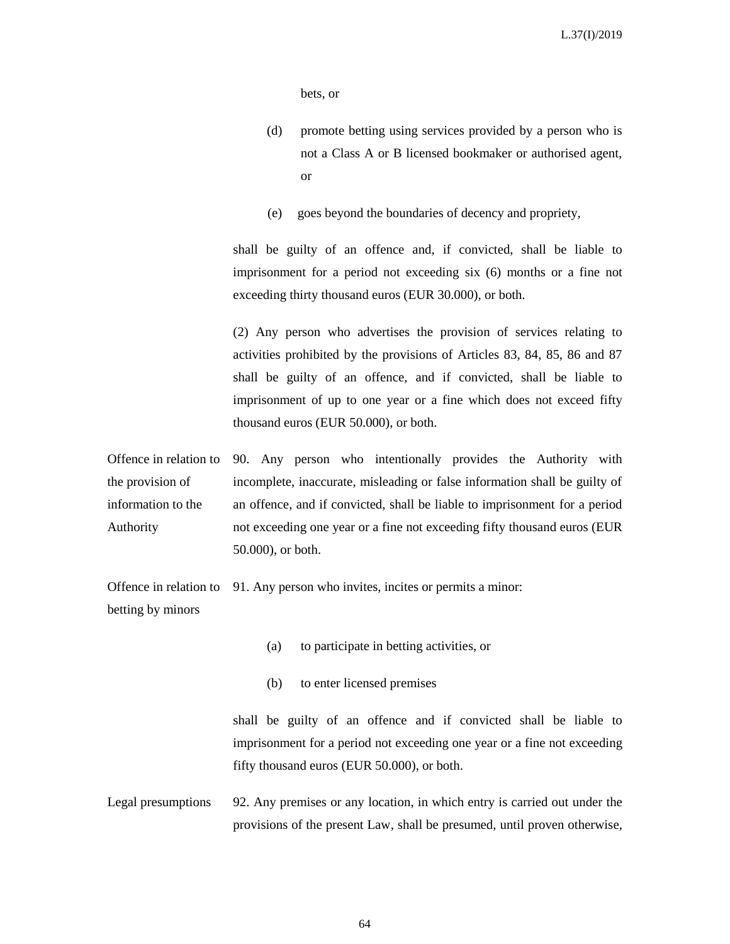bets, or

- (d) promote betting using services provided by a person who is not a Class A or B licensed bookmaker or authorised agent, or
- (e) goes beyond the boundaries of decency and propriety,

shall be guilty of an offence and, if convicted, shall be liable to imprisonment for a period not exceeding six (6) months or a fine not exceeding thirty thousand euros (EUR 30.000), or both.

(2) Any person who advertises the provision of services relating to activities prohibited by the provisions of Articles 83, 84, 85, 86 and 87 shall be guilty of an offence, and if convicted, shall be liable to imprisonment of up to one year or a fine which does not exceed fifty thousand euros (EUR 50.000), or both.

Offence in relation to the provision of information to the Authority 90. Any person who intentionally provides the Authority with incomplete, inaccurate, misleading or false information shall be guilty of an offence, and if convicted, shall be liable to imprisonment for a period not exceeding one year or a fine not exceeding fifty thousand euros (EUR 50.000), or both.

Offence in relation to betting by minors 91. Any person who invites, incites or permits a minor:

- (a) to participate in betting activities, or
- (b) to enter licensed premises

shall be guilty of an offence and if convicted shall be liable to imprisonment for a period not exceeding one year or a fine not exceeding fifty thousand euros (EUR 50.000), or both.

Legal presumptions 92. Any premises or any location, in which entry is carried out under the provisions of the present Law, shall be presumed, until proven otherwise,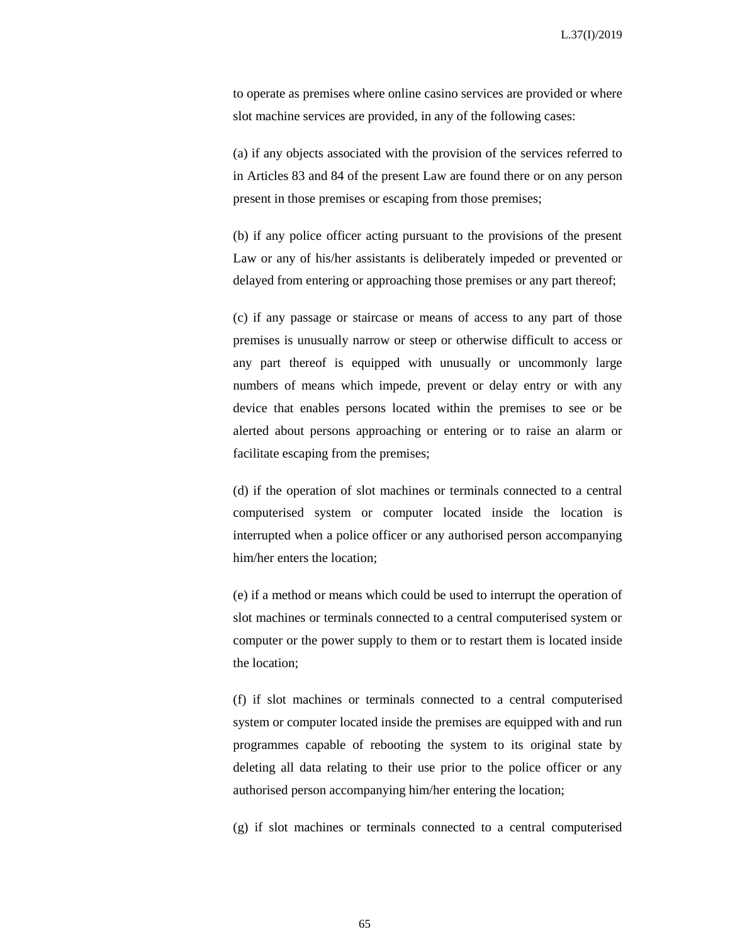to operate as premises where online casino services are provided or where slot machine services are provided, in any of the following cases:

(a) if any objects associated with the provision of the services referred to in Articles 83 and 84 of the present Law are found there or on any person present in those premises or escaping from those premises;

(b) if any police officer acting pursuant to the provisions of the present Law or any of his/her assistants is deliberately impeded or prevented or delayed from entering or approaching those premises or any part thereof;

(c) if any passage or staircase or means of access to any part of those premises is unusually narrow or steep or otherwise difficult to access or any part thereof is equipped with unusually or uncommonly large numbers of means which impede, prevent or delay entry or with any device that enables persons located within the premises to see or be alerted about persons approaching or entering or to raise an alarm or facilitate escaping from the premises;

(d) if the operation of slot machines or terminals connected to a central computerised system or computer located inside the location is interrupted when a police officer or any authorised person accompanying him/her enters the location;

(e) if a method or means which could be used to interrupt the operation of slot machines or terminals connected to a central computerised system or computer or the power supply to them or to restart them is located inside the location;

(f) if slot machines or terminals connected to a central computerised system or computer located inside the premises are equipped with and run programmes capable of rebooting the system to its original state by deleting all data relating to their use prior to the police officer or any authorised person accompanying him/her entering the location;

(g) if slot machines or terminals connected to a central computerised

65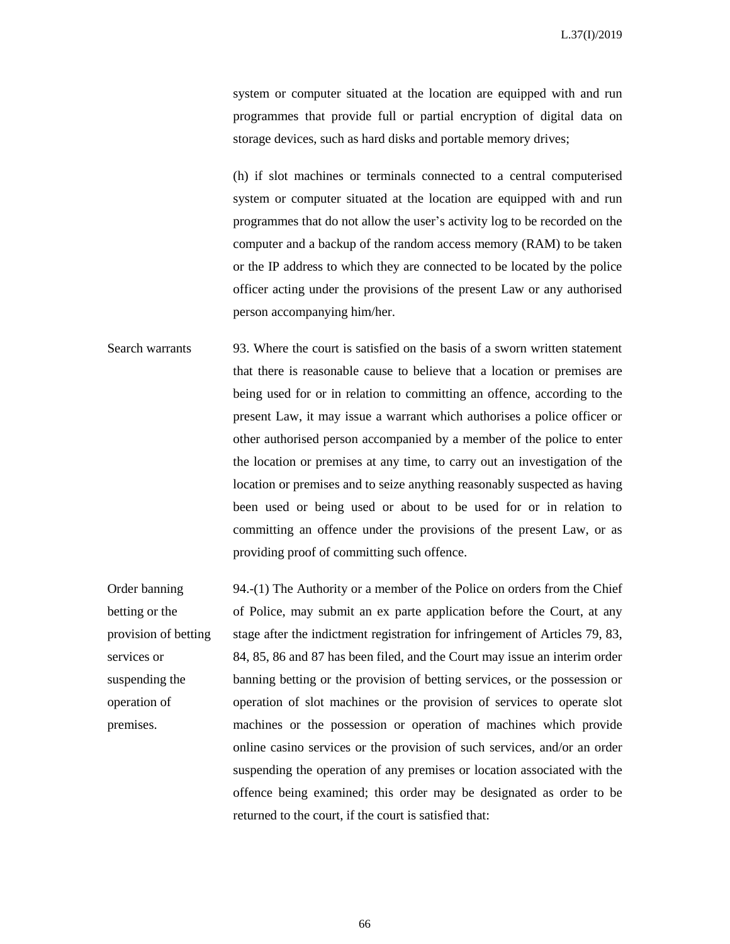system or computer situated at the location are equipped with and run programmes that provide full or partial encryption of digital data on storage devices, such as hard disks and portable memory drives;

(h) if slot machines or terminals connected to a central computerised system or computer situated at the location are equipped with and run programmes that do not allow the user's activity log to be recorded on the computer and a backup of the random access memory (RAM) to be taken or the IP address to which they are connected to be located by the police officer acting under the provisions of the present Law or any authorised person accompanying him/her.

Search warrants 93. Where the court is satisfied on the basis of a sworn written statement that there is reasonable cause to believe that a location or premises are being used for or in relation to committing an offence, according to the present Law, it may issue a warrant which authorises a police officer or other authorised person accompanied by a member of the police to enter the location or premises at any time, to carry out an investigation of the location or premises and to seize anything reasonably suspected as having been used or being used or about to be used for or in relation to committing an offence under the provisions of the present Law, or as providing proof of committing such offence.

Order banning betting or the provision of betting services or suspending the operation of premises. 94.-(1) The Authority or a member of the Police on orders from the Chief of Police, may submit an ex parte application before the Court, at any stage after the indictment registration for infringement of Articles 79, 83, 84, 85, 86 and 87 has been filed, and the Court may issue an interim order banning betting or the provision of betting services, or the possession or operation of slot machines or the provision of services to operate slot machines or the possession or operation of machines which provide online casino services or the provision of such services, and/or an order suspending the operation of any premises or location associated with the offence being examined; this order may be designated as order to be returned to the court, if the court is satisfied that: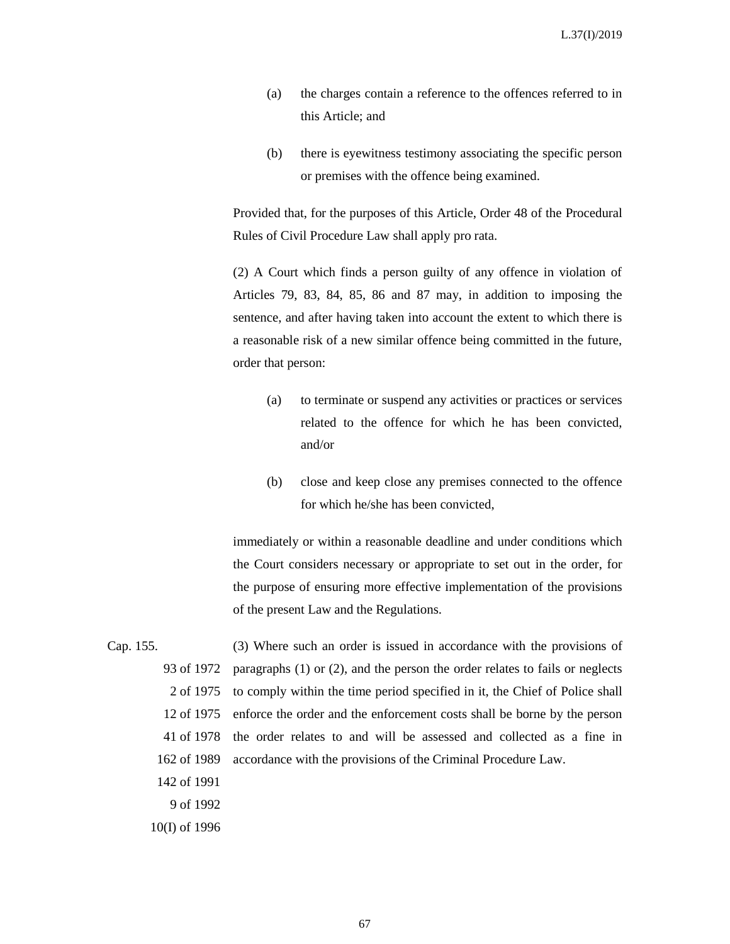- (a) the charges contain a reference to the offences referred to in this Article; and
- (b) there is eyewitness testimony associating the specific person or premises with the offence being examined.

Provided that, for the purposes of this Article, Order 48 of the Procedural Rules of Civil Procedure Law shall apply pro rata.

(2) A Court which finds a person guilty of any offence in violation of Articles 79, 83, 84, 85, 86 and 87 may, in addition to imposing the sentence, and after having taken into account the extent to which there is a reasonable risk of a new similar offence being committed in the future, order that person:

- (a) to terminate or suspend any activities or practices or services related to the offence for which he has been convicted, and/or
- (b) close and keep close any premises connected to the offence for which he/she has been convicted,

immediately or within a reasonable deadline and under conditions which the Court considers necessary or appropriate to set out in the order, for the purpose of ensuring more effective implementation of the provisions of the present Law and the Regulations.

- Cap. 155. 93 of 1972 2 of 1975 to comply within the time period specified in it, the Chief of Police shall 12 of 1975 41 of 1978 162 of 1989 142 of 1991 (3) Where such an order is issued in accordance with the provisions of paragraphs (1) or (2), and the person the order relates to fails or neglects enforce the order and the enforcement costs shall be borne by the person the order relates to and will be assessed and collected as a fine in accordance with the provisions of the Criminal Procedure Law.
	- 9 of 1992
	- 10(I) of 1996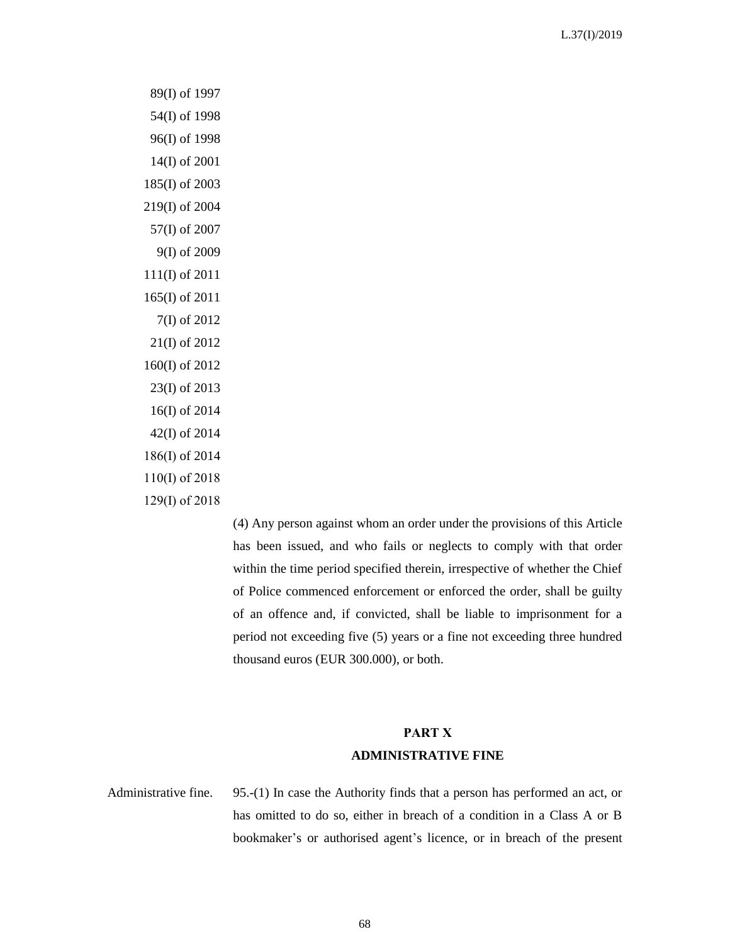89(I) of 1997 54(I) of 1998 96(I) of 1998 14(I) of 2001 185(I) of 2003 219(I) of 2004 57(I) of 2007 9(I) of 2009 111(I) of 2011 165(I) of 2011 7(I) of 2012 21(I) of 2012 160(I) of 2012 23(I) of 2013 16(I) of 2014 42(I) of 2014 186(I) of 2014 110(I) of 2018 129(I) of 2018

> (4) Any person against whom an order under the provisions of this Article has been issued, and who fails or neglects to comply with that order within the time period specified therein, irrespective of whether the Chief of Police commenced enforcement or enforced the order, shall be guilty of an offence and, if convicted, shall be liable to imprisonment for a period not exceeding five (5) years or a fine not exceeding three hundred thousand euros (EUR 300.000), or both.

## **PART Χ ADMINISTRATIVE FINE**

Administrative fine. 95.-(1) In case the Authority finds that a person has performed an act, or has omitted to do so, either in breach of a condition in a Class A or B bookmaker's or authorised agent's licence, or in breach of the present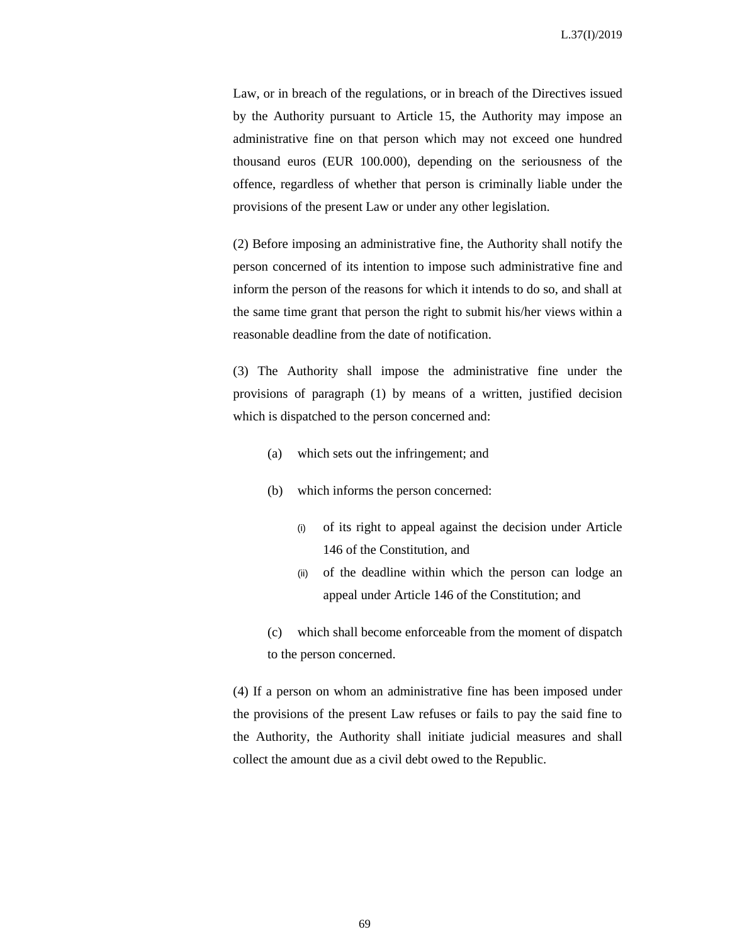Law, or in breach of the regulations, or in breach of the Directives issued by the Authority pursuant to Article 15, the Authority may impose an administrative fine on that person which may not exceed one hundred thousand euros (EUR 100.000), depending on the seriousness of the offence, regardless of whether that person is criminally liable under the provisions of the present Law or under any other legislation.

(2) Before imposing an administrative fine, the Authority shall notify the person concerned of its intention to impose such administrative fine and inform the person of the reasons for which it intends to do so, and shall at the same time grant that person the right to submit his/her views within a reasonable deadline from the date of notification.

(3) The Authority shall impose the administrative fine under the provisions of paragraph (1) by means of a written, justified decision which is dispatched to the person concerned and:

- (a) which sets out the infringement; and
- (b) which informs the person concerned:
	- (i) of its right to appeal against the decision under Article 146 of the Constitution, and
	- (ii) of the deadline within which the person can lodge an appeal under Article 146 of the Constitution; and
- (c) which shall become enforceable from the moment of dispatch to the person concerned.

(4) If a person on whom an administrative fine has been imposed under the provisions of the present Law refuses or fails to pay the said fine to the Authority, the Authority shall initiate judicial measures and shall collect the amount due as a civil debt owed to the Republic.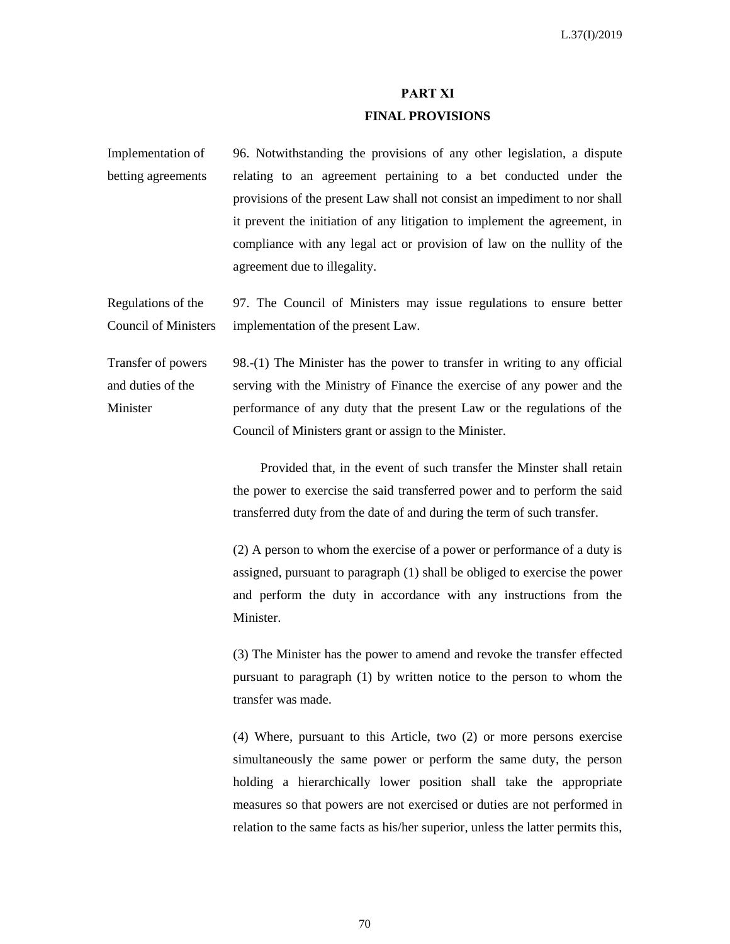## **PART XΙ FINAL PROVISIONS**

Implementation of betting agreements 96. Notwithstanding the provisions of any other legislation, a dispute relating to an agreement pertaining to a bet conducted under the provisions of the present Law shall not consist an impediment to nor shall it prevent the initiation of any litigation to implement the agreement, in compliance with any legal act or provision of law on the nullity of the agreement due to illegality.

Regulations of the Council of Ministers 97. The Council of Ministers may issue regulations to ensure better implementation of the present Law.

Transfer of powers and duties of the Minister 98.-(1) The Minister has the power to transfer in writing to any official serving with the Ministry of Finance the exercise of any power and the performance of any duty that the present Law or the regulations of the Council of Ministers grant or assign to the Minister.

> Provided that, in the event of such transfer the Minster shall retain the power to exercise the said transferred power and to perform the said transferred duty from the date of and during the term of such transfer.

> (2) A person to whom the exercise of a power or performance of a duty is assigned, pursuant to paragraph (1) shall be obliged to exercise the power and perform the duty in accordance with any instructions from the Minister.

> (3) The Minister has the power to amend and revoke the transfer effected pursuant to paragraph (1) by written notice to the person to whom the transfer was made.

> (4) Where, pursuant to this Article, two (2) or more persons exercise simultaneously the same power or perform the same duty, the person holding a hierarchically lower position shall take the appropriate measures so that powers are not exercised or duties are not performed in relation to the same facts as his/her superior, unless the latter permits this,

> > 70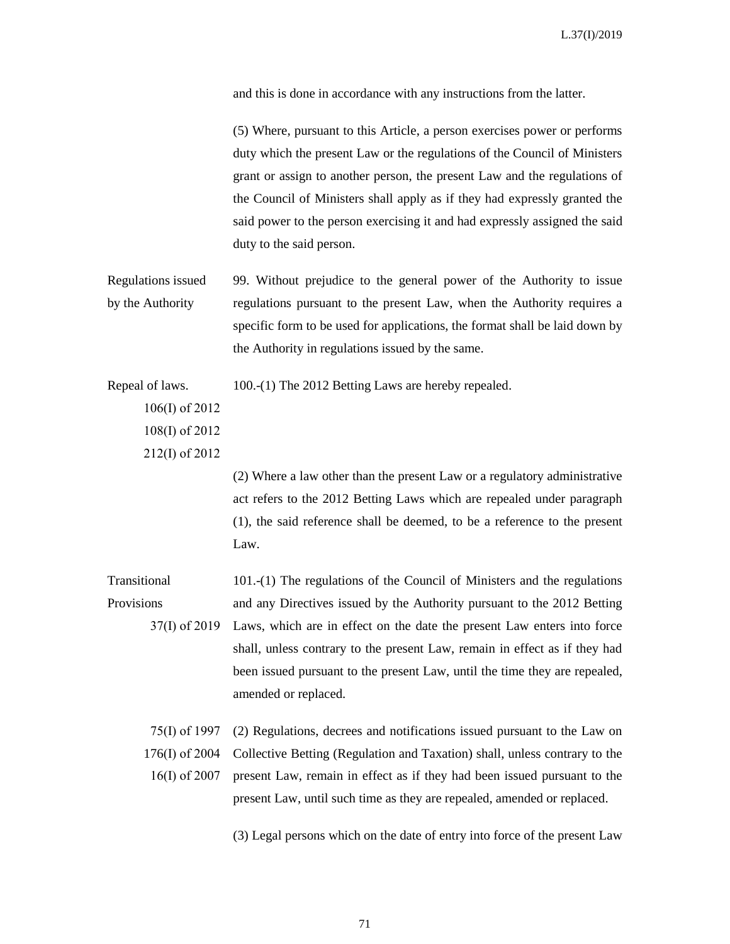and this is done in accordance with any instructions from the latter.

(5) Where, pursuant to this Article, a person exercises power or performs duty which the present Law or the regulations of the Council of Ministers grant or assign to another person, the present Law and the regulations of the Council of Ministers shall apply as if they had expressly granted the said power to the person exercising it and had expressly assigned the said duty to the said person.

Regulations issued by the Authority 99. Without prejudice to the general power of the Authority to issue regulations pursuant to the present Law, when the Authority requires a specific form to be used for applications, the format shall be laid down by the Authority in regulations issued by the same.

Repeal of laws. 100.-(1) The 2012 Betting Laws are hereby repealed.

106(Ι) of 2012 108(Ι) of 2012 212(I) of 2012

> (2) Where a law other than the present Law or a regulatory administrative act refers to the 2012 Betting Laws which are repealed under paragraph (1), the said reference shall be deemed, to be a reference to the present Law.

Transitional **Provisions** 37(I) of 2019 101.-(1) The regulations of the Council of Ministers and the regulations and any Directives issued by the Authority pursuant to the 2012 Betting Laws, which are in effect on the date the present Law enters into force shall, unless contrary to the present Law, remain in effect as if they had been issued pursuant to the present Law, until the time they are repealed, amended or replaced.

75(Ι) of 1997 176(Ι) of 2004 16(Ι) of 2007 (2) Regulations, decrees and notifications issued pursuant to the Law on Collective Betting (Regulation and Taxation) shall, unless contrary to the present Law, remain in effect as if they had been issued pursuant to the present Law, until such time as they are repealed, amended or replaced.

(3) Legal persons which on the date of entry into force of the present Law